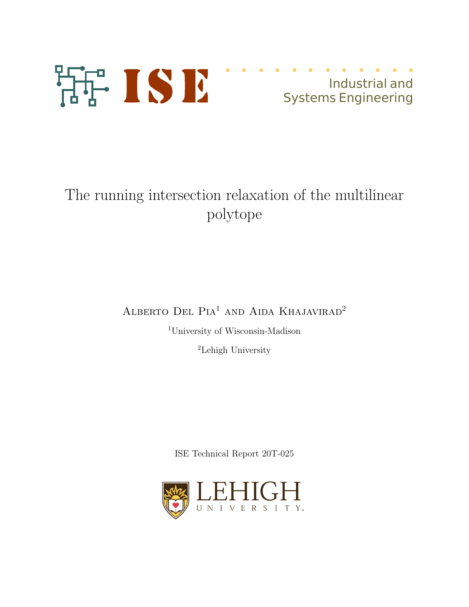

## Industrial and Systems Engineering

# The running intersection relaxation of the multilinear polytope

ALBERTO DEL PIA<sup>1</sup> AND AIDA KHAJAVIRAD<sup>2</sup>

<sup>1</sup>University of Wisconsin-Madison

<sup>2</sup>Lehigh University

ISE Technical Report 20T-025

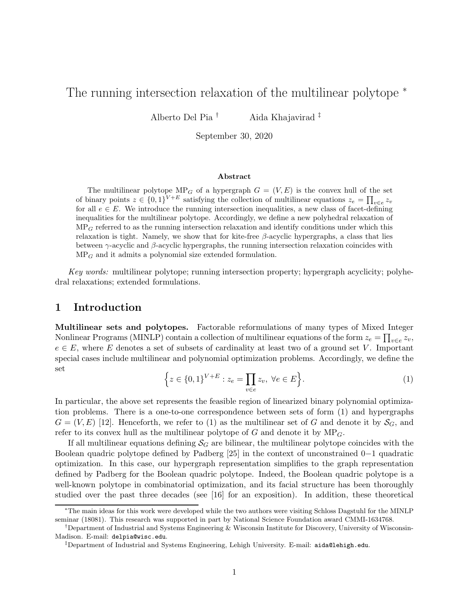## The running intersection relaxation of the multilinear polytope <sup>\*</sup>

Alberto Del Pia † Aida Khajavirad ‡

September 30, 2020

#### Abstract

The multilinear polytope  $MP_G$  of a hypergraph  $G = (V, E)$  is the convex hull of the set of binary points  $z \in \{0,1\}^{V+E}$  satisfying the collection of multilinear equations  $z_e = \prod_{v \in e} z_v$ for all  $e \in E$ . We introduce the running intersection inequalities, a new class of facet-defining inequalities for the multilinear polytope. Accordingly, we define a new polyhedral relaxation of  $MP<sub>G</sub>$  referred to as the running intersection relaxation and identify conditions under which this relaxation is tight. Namely, we show that for kite-free  $\beta$ -acyclic hypergraphs, a class that lies between  $\gamma$ -acyclic and  $\beta$ -acyclic hypergraphs, the running intersection relaxation coincides with  $MP<sub>G</sub>$  and it admits a polynomial size extended formulation.

Key words: multilinear polytope; running intersection property; hypergraph acyclicity; polyhedral relaxations; extended formulations.

## 1 Introduction

Multilinear sets and polytopes. Factorable reformulations of many types of Mixed Integer Nonlinear Programs (MINLP) contain a collection of multilinear equations of the form  $z_e = \prod_{v \in e} z_v$ ,  $e \in E$ , where E denotes a set of subsets of cardinality at least two of a ground set V. Important special cases include multilinear and polynomial optimization problems. Accordingly, we define the set

$$
\left\{ z \in \{0,1\}^{V+E} : z_e = \prod_{v \in e} z_v, \ \forall e \in E \right\}.
$$
 (1)

In particular, the above set represents the feasible region of linearized binary polynomial optimization problems. There is a one-to-one correspondence between sets of form (1) and hypergraphs  $G = (V, E)$  [12]. Henceforth, we refer to (1) as the multilinear set of G and denote it by  $\mathcal{S}_G$ , and refer to its convex hull as the multilinear polytope of  $G$  and denote it by  $MP<sub>G</sub>$ .

If all multilinear equations defining  $\mathcal{S}_G$  are bilinear, the multilinear polytope coincides with the Boolean quadric polytope defined by Padberg [25] in the context of unconstrained 0−1 quadratic optimization. In this case, our hypergraph representation simplifies to the graph representation defined by Padberg for the Boolean quadric polytope. Indeed, the Boolean quadric polytope is a well-known polytope in combinatorial optimization, and its facial structure has been thoroughly studied over the past three decades (see [16] for an exposition). In addition, these theoretical

<sup>∗</sup>The main ideas for this work were developed while the two authors were visiting Schloss Dagstuhl for the MINLP seminar (18081). This research was supported in part by National Science Foundation award CMMI-1634768.

<sup>†</sup>Department of Industrial and Systems Engineering & Wisconsin Institute for Discovery, University of Wisconsin-Madison. E-mail: delpia@wisc.edu.

<sup>‡</sup>Department of Industrial and Systems Engineering, Lehigh University. E-mail: aida@lehigh.edu.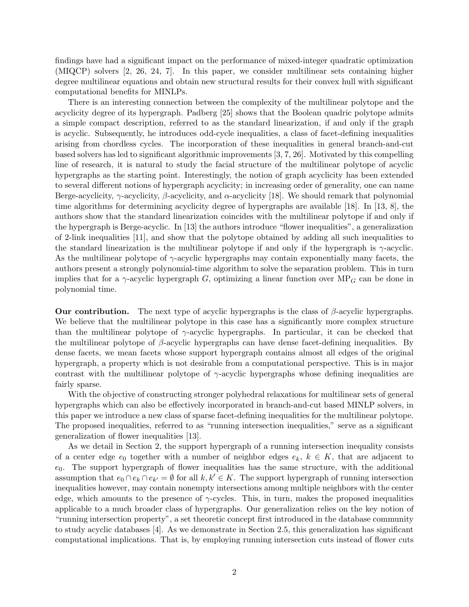findings have had a significant impact on the performance of mixed-integer quadratic optimization (MIQCP) solvers [2, 26, 24, 7]. In this paper, we consider multilinear sets containing higher degree multilinear equations and obtain new structural results for their convex hull with significant computational benefits for MINLPs.

There is an interesting connection between the complexity of the multilinear polytope and the acyclicity degree of its hypergraph. Padberg [25] shows that the Boolean quadric polytope admits a simple compact description, referred to as the standard linearization, if and only if the graph is acyclic. Subsequently, he introduces odd-cycle inequalities, a class of facet-defining inequalities arising from chordless cycles. The incorporation of these inequalities in general branch-and-cut based solvers has led to significant algorithmic improvements [3, 7, 26]. Motivated by this compelling line of research, it is natural to study the facial structure of the multilinear polytope of acyclic hypergraphs as the starting point. Interestingly, the notion of graph acyclicity has been extended to several different notions of hypergraph acyclicity; in increasing order of generality, one can name Berge-acyclicity,  $\gamma$ -acyclicity,  $\beta$ -acyclicity, and  $\alpha$ -acyclicity [18]. We should remark that polynomial time algorithms for determining acyclicity degree of hypergraphs are available [18]. In [13, 8], the authors show that the standard linearization coincides with the multilinear polytope if and only if the hypergraph is Berge-acyclic. In [13] the authors introduce "flower inequalities", a generalization of 2-link inequalities [11], and show that the polytope obtained by adding all such inequalities to the standard linearization is the multilinear polytope if and only if the hypergraph is  $\gamma$ -acyclic. As the multilinear polytope of  $\gamma$ -acyclic hypergraphs may contain exponentially many facets, the authors present a strongly polynomial-time algorithm to solve the separation problem. This in turn implies that for a  $\gamma$ -acyclic hypergraph G, optimizing a linear function over MP<sub>G</sub> can be done in polynomial time.

**Our contribution.** The next type of acyclic hypergraphs is the class of  $\beta$ -acyclic hypergraphs. We believe that the multilinear polytope in this case has a significantly more complex structure than the multilinear polytope of  $\gamma$ -acyclic hypergraphs. In particular, it can be checked that the multilinear polytope of  $\beta$ -acyclic hypergraphs can have dense facet-defining inequalities. By dense facets, we mean facets whose support hypergraph contains almost all edges of the original hypergraph, a property which is not desirable from a computational perspective. This is in major contrast with the multilinear polytope of  $\gamma$ -acyclic hypergraphs whose defining inequalities are fairly sparse.

With the objective of constructing stronger polyhedral relaxations for multilinear sets of general hypergraphs which can also be effectively incorporated in branch-and-cut based MINLP solvers, in this paper we introduce a new class of sparse facet-defining inequalities for the multilinear polytope. The proposed inequalities, referred to as "running intersection inequalities," serve as a significant generalization of flower inequalities [13].

As we detail in Section 2, the support hypergraph of a running intersection inequality consists of a center edge  $e_0$  together with a number of neighbor edges  $e_k$ ,  $k \in K$ , that are adjacent to  $e_0$ . The support hypergraph of flower inequalities has the same structure, with the additional assumption that  $e_0 \cap e_k \cap e_{k'} = \emptyset$  for all  $k, k' \in K$ . The support hypergraph of running intersection inequalities however, may contain nonempty intersections among multiple neighbors with the center edge, which amounts to the presence of  $\gamma$ -cycles. This, in turn, makes the proposed inequalities applicable to a much broader class of hypergraphs. Our generalization relies on the key notion of "running intersection property", a set theoretic concept first introduced in the database community to study acyclic databases [4]. As we demonstrate in Section 2.5, this generalization has significant computational implications. That is, by employing running intersection cuts instead of flower cuts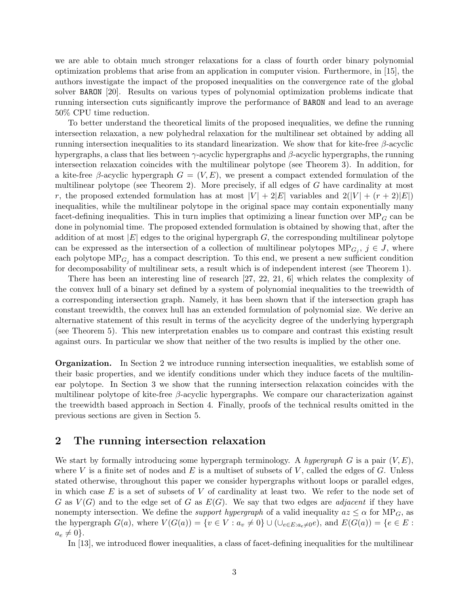we are able to obtain much stronger relaxations for a class of fourth order binary polynomial optimization problems that arise from an application in computer vision. Furthermore, in [15], the authors investigate the impact of the proposed inequalities on the convergence rate of the global solver BARON [20]. Results on various types of polynomial optimization problems indicate that running intersection cuts significantly improve the performance of BARON and lead to an average 50% CPU time reduction.

To better understand the theoretical limits of the proposed inequalities, we define the running intersection relaxation, a new polyhedral relaxation for the multilinear set obtained by adding all running intersection inequalities to its standard linearization. We show that for kite-free β-acyclic hypergraphs, a class that lies between  $\gamma$ -acyclic hypergraphs and β-acyclic hypergraphs, the running intersection relaxation coincides with the multilinear polytope (see Theorem 3). In addition, for a kite-free β-acyclic hypergraph  $G = (V, E)$ , we present a compact extended formulation of the multilinear polytope (see Theorem 2). More precisely, if all edges of G have cardinality at most r, the proposed extended formulation has at most  $|V| + 2|E|$  variables and  $2(|V| + (r + 2)|E|)$ inequalities, while the multilinear polytope in the original space may contain exponentially many facet-defining inequalities. This in turn implies that optimizing a linear function over  $MP<sub>G</sub>$  can be done in polynomial time. The proposed extended formulation is obtained by showing that, after the addition of at most  $|E|$  edges to the original hypergraph G, the corresponding multilinear polytope can be expressed as the intersection of a collection of multilinear polytopes  $MP_{G_j}$ ,  $j \in J$ , where each polytope  $MP_{G_i}$  has a compact description. To this end, we present a new sufficient condition for decomposability of multilinear sets, a result which is of independent interest (see Theorem 1).

There has been an interesting line of research [27, 22, 21, 6] which relates the complexity of the convex hull of a binary set defined by a system of polynomial inequalities to the treewidth of a corresponding intersection graph. Namely, it has been shown that if the intersection graph has constant treewidth, the convex hull has an extended formulation of polynomial size. We derive an alternative statement of this result in terms of the acyclicity degree of the underlying hypergraph (see Theorem 5). This new interpretation enables us to compare and contrast this existing result against ours. In particular we show that neither of the two results is implied by the other one.

Organization. In Section 2 we introduce running intersection inequalities, we establish some of their basic properties, and we identify conditions under which they induce facets of the multilinear polytope. In Section 3 we show that the running intersection relaxation coincides with the multilinear polytope of kite-free  $\beta$ -acyclic hypergraphs. We compare our characterization against the treewidth based approach in Section 4. Finally, proofs of the technical results omitted in the previous sections are given in Section 5.

## 2 The running intersection relaxation

We start by formally introducing some hypergraph terminology. A hypergraph G is a pair  $(V, E)$ , where V is a finite set of nodes and E is a multiset of subsets of V, called the edges of G. Unless stated otherwise, throughout this paper we consider hypergraphs without loops or parallel edges, in which case  $E$  is a set of subsets of  $V$  of cardinality at least two. We refer to the node set of G as  $V(G)$  and to the edge set of G as  $E(G)$ . We say that two edges are *adjacent* if they have nonempty intersection. We define the *support hypergraph* of a valid inequality  $az \leq \alpha$  for MP<sub>G</sub>, as the hypergraph  $G(a)$ , where  $V(G(a)) = \{v \in V : a_v \neq 0\} \cup (\cup_{e \in E: a_e \neq 0} e)$ , and  $E(G(a)) = \{e \in E : a_e \neq 0\}$  $a_e \neq 0$ .

In [13], we introduced flower inequalities, a class of facet-defining inequalities for the multilinear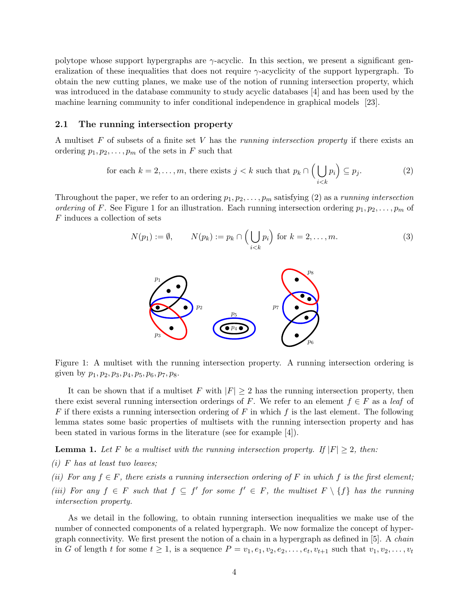polytope whose support hypergraphs are  $\gamma$ -acyclic. In this section, we present a significant generalization of these inequalities that does not require  $\gamma$ -acyclicity of the support hypergraph. To obtain the new cutting planes, we make use of the notion of running intersection property, which was introduced in the database community to study acyclic databases [4] and has been used by the machine learning community to infer conditional independence in graphical models [23].

#### 2.1 The running intersection property

A multiset F of subsets of a finite set V has the *running intersection property* if there exists an ordering  $p_1, p_2, \ldots, p_m$  of the sets in F such that

for each 
$$
k = 2, ..., m
$$
, there exists  $j < k$  such that  $p_k \cap \left(\bigcup_{i < k} p_i\right) \subseteq p_j$ . (2)

Throughout the paper, we refer to an ordering  $p_1, p_2, \ldots, p_m$  satisfying (2) as a *running intersection* ordering of F. See Figure 1 for an illustration. Each running intersection ordering  $p_1, p_2, \ldots, p_m$  of F induces a collection of sets

$$
N(p_1) := \emptyset, \qquad N(p_k) := p_k \cap \left(\bigcup_{i < k} p_i\right) \text{ for } k = 2, \dots, m. \tag{3}
$$



Figure 1: A multiset with the running intersection property. A running intersection ordering is given by  $p_1, p_2, p_3, p_4, p_5, p_6, p_7, p_8.$ 

It can be shown that if a multiset F with  $|F| \geq 2$  has the running intersection property, then there exist several running intersection orderings of F. We refer to an element  $f \in F$  as a leaf of F if there exists a running intersection ordering of F in which f is the last element. The following lemma states some basic properties of multisets with the running intersection property and has been stated in various forms in the literature (see for example [4]).

**Lemma 1.** Let F be a multiset with the running intersection property. If  $|F| \geq 2$ , then:

 $(i)$  F has at least two leaves;

(ii) For any  $f \in F$ , there exists a running intersection ordering of F in which f is the first element; (iii) For any  $f \in F$  such that  $f \subseteq f'$  for some  $f' \in F$ , the multiset  $F \setminus \{f\}$  has the running intersection property.

As we detail in the following, to obtain running intersection inequalities we make use of the number of connected components of a related hypergraph. We now formalize the concept of hypergraph connectivity. We first present the notion of a chain in a hypergraph as defined in [5]. A chain in G of length t for some  $t \geq 1$ , is a sequence  $P = v_1, e_1, v_2, e_2, \ldots, e_t, v_{t+1}$  such that  $v_1, v_2, \ldots, v_t$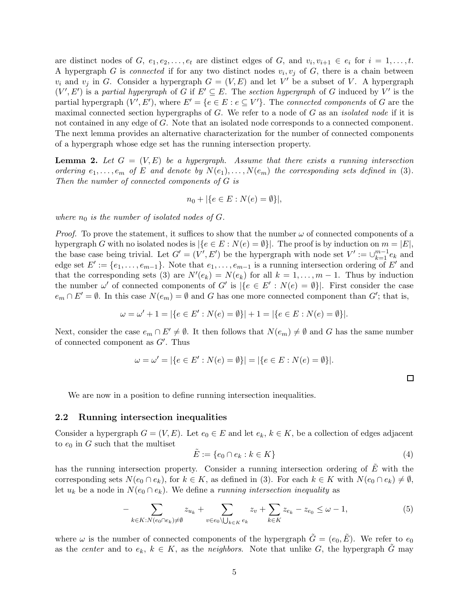are distinct nodes of  $G, e_1, e_2, \ldots, e_t$  are distinct edges of  $G$ , and  $v_i, v_{i+1} \in e_i$  for  $i = 1, \ldots, t$ . A hypergraph G is *connected* if for any two distinct nodes  $v_i, v_j$  of G, there is a chain between  $v_i$  and  $v_j$  in G. Consider a hypergraph  $G = (V, E)$  and let V' be a subset of V. A hypergraph  $(V', E')$  is a partial hypergraph of G if  $E' \subseteq E$ . The section hypergraph of G induced by V' is the partial hypergraph  $(V', E')$ , where  $E' = \{e \in E : e \subseteq V'\}$ . The *connected components* of G are the maximal connected section hypergraphs of  $G$ . We refer to a node of  $G$  as an *isolated node* if it is not contained in any edge of G. Note that an isolated node corresponds to a connected component. The next lemma provides an alternative characterization for the number of connected components of a hypergraph whose edge set has the running intersection property.

**Lemma 2.** Let  $G = (V, E)$  be a hypergraph. Assume that there exists a running intersection ordering  $e_1, \ldots, e_m$  of E and denote by  $N(e_1), \ldots, N(e_m)$  the corresponding sets defined in (3). Then the number of connected components of G is

$$
n_0 + |\{e \in E : N(e) = \emptyset\}|,
$$

where  $n_0$  is the number of isolated nodes of  $G$ .

*Proof.* To prove the statement, it suffices to show that the number  $\omega$  of connected components of a hypergraph G with no isolated nodes is  $|\{e \in E : N(e) = \emptyset\}|$ . The proof is by induction on  $m = |E|$ , the base case being trivial. Let  $G' = (V', E')$  be the hypergraph with node set  $V' := \bigcup_{k=1}^{m-1} e_k$  and edge set  $E' := \{e_1, \ldots, e_{m-1}\}$ . Note that  $e_1, \ldots, e_{m-1}$  is a running intersection ordering of  $E'$  and that the corresponding sets (3) are  $N'(e_k) = N(e_k)$  for all  $k = 1, ..., m-1$ . Thus by induction the number  $\omega'$  of connected components of G' is  $|\{e \in E': N(e) = \emptyset\}|$ . First consider the case  $e_m \cap E' = \emptyset$ . In this case  $N(e_m) = \emptyset$  and G has one more connected component than G'; that is,

$$
\omega = \omega' + 1 = |\{e \in E' : N(e) = \emptyset\}| + 1 = |\{e \in E : N(e) = \emptyset\}|.
$$

Next, consider the case  $e_m \n\cap E' \neq \emptyset$ . It then follows that  $N(e_m) \neq \emptyset$  and G has the same number of connected component as G′ . Thus

$$
\omega = \omega' = |\{e \in E' : N(e) = \emptyset\}| = |\{e \in E : N(e) = \emptyset\}|.
$$

 $\Box$ 

We are now in a position to define running intersection inequalities.

### 2.2 Running intersection inequalities

Consider a hypergraph  $G = (V, E)$ . Let  $e_0 \in E$  and let  $e_k, k \in K$ , be a collection of edges adjacent to  $e_0$  in G such that the multiset

$$
\tilde{E} := \{e_0 \cap e_k : k \in K\}
$$
\n<sup>(4)</sup>

has the running intersection property. Consider a running intersection ordering of  $\tilde{E}$  with the corresponding sets  $N(e_0 \cap e_k)$ , for  $k \in K$ , as defined in (3). For each  $k \in K$  with  $N(e_0 \cap e_k) \neq \emptyset$ , let  $u_k$  be a node in  $N(e_0 \cap e_k)$ . We define a *running intersection inequality* as

$$
-\sum_{k\in K: N(e_0\cap e_k)\neq\emptyset} z_{u_k} + \sum_{v\in e_0\setminus\bigcup_{k\in K} e_k} z_v + \sum_{k\in K} z_{e_k} - z_{e_0} \leq \omega - 1,\tag{5}
$$

where  $\omega$  is the number of connected components of the hypergraph  $\tilde{G} = (e_0, \tilde{E})$ . We refer to  $e_0$ as the center and to  $e_k$ ,  $k \in K$ , as the neighbors. Note that unlike G, the hypergraph  $\tilde{G}$  may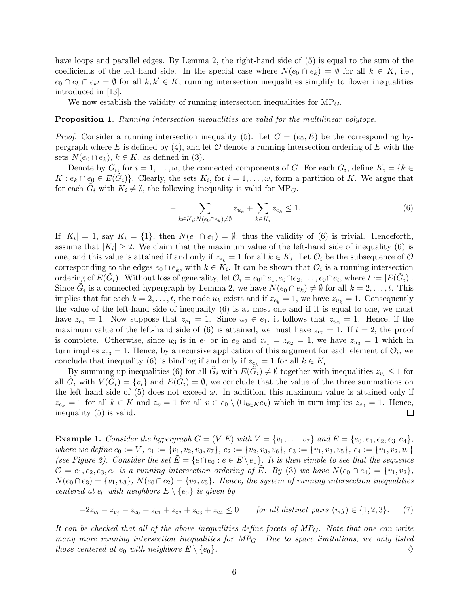have loops and parallel edges. By Lemma 2, the right-hand side of  $(5)$  is equal to the sum of the coefficients of the left-hand side. In the special case where  $N(e_0 \cap e_k) = \emptyset$  for all  $k \in K$ , i.e.,  $e_0 \cap e_k \cap e_{k'} = \emptyset$  for all  $k, k' \in K$ , running intersection inequalities simplify to flower inequalities introduced in [13].

We now establish the validity of running intersection inequalities for  $MP<sub>G</sub>$ .

#### Proposition 1. Running intersection inequalities are valid for the multilinear polytope.

*Proof.* Consider a running intersection inequality (5). Let  $\tilde{G} = (e_0, \tilde{E})$  be the corresponding hypergraph where E is defined by (4), and let  $\mathcal O$  denote a running intersection ordering of  $\tilde E$  with the sets  $N(e_0 \cap e_k)$ ,  $k \in K$ , as defined in (3).

Denote by  $\tilde{G}_i$ , for  $i = 1, \ldots, \omega$ , the connected components of  $\tilde{G}$ . For each  $\tilde{G}_i$ , define  $K_i = \{k \in$  $K: e_k \cap e_0 \in E(\tilde{G}_i)$ . Clearly, the sets  $K_i$ , for  $i = 1, \ldots, \omega$ , form a partition of K. We argue that for each  $\tilde{G}_i$  with  $K_i \neq \emptyset$ , the following inequality is valid for  $MP_G$ .

$$
-\sum_{k\in K_i:N(e_0\cap e_k)\neq\emptyset}z_{u_k}+\sum_{k\in K_i}z_{e_k}\leq 1.\tag{6}
$$

If  $|K_i| = 1$ , say  $K_i = \{1\}$ , then  $N(e_0 \cap e_1) = \emptyset$ ; thus the validity of (6) is trivial. Henceforth, assume that  $|K_i| \geq 2$ . We claim that the maximum value of the left-hand side of inequality (6) is one, and this value is attained if and only if  $z_{e_k} = 1$  for all  $k \in K_i$ . Let  $\mathcal{O}_i$  be the subsequence of  $\mathcal{O}_i$ corresponding to the edges  $e_0 \cap e_k$ , with  $k \in K_i$ . It can be shown that  $\mathcal{O}_i$  is a running intersection ordering of  $E(\tilde{G}_i)$ . Without loss of generality, let  $\mathcal{O}_i = e_0 \cap e_1, e_0 \cap e_2, \ldots, e_0 \cap e_t$ , where  $t := |E(\tilde{G}_i)|$ . Since  $\tilde{G}_i$  is a connected hypergraph by Lemma 2, we have  $N(e_0 \cap e_k) \neq \emptyset$  for all  $k = 2, ..., t$ . This implies that for each  $k = 2, \ldots, t$ , the node  $u_k$  exists and if  $z_{e_k} = 1$ , we have  $z_{u_k} = 1$ . Consequently the value of the left-hand side of inequality (6) is at most one and if it is equal to one, we must have  $z_{e_1} = 1$ . Now suppose that  $z_{e_1} = 1$ . Since  $u_2 \in e_1$ , it follows that  $z_{u_2} = 1$ . Hence, if the maximum value of the left-hand side of (6) is attained, we must have  $z_{e_2} = 1$ . If  $t = 2$ , the proof is complete. Otherwise, since  $u_3$  is in  $e_1$  or in  $e_2$  and  $z_{e_1} = z_{e_2} = 1$ , we have  $z_{u_3} = 1$  which in turn implies  $z_{e_3} = 1$ . Hence, by a recursive application of this argument for each element of  $\mathcal{O}_i$ , we conclude that inequality (6) is binding if and only if  $z_{e_k} = 1$  for all  $k \in K_i$ .

By summing up inequalities (6) for all  $\tilde{G}_i$  with  $E(\tilde{G}_i) \neq \emptyset$  together with inequalities  $z_{v_i} \leq 1$  for all  $\tilde{G}_i$  with  $V(\tilde{G}_i) = \{v_i\}$  and  $E(\tilde{G}_i) = \emptyset$ , we conclude that the value of the three summations on the left hand side of (5) does not exceed  $\omega$ . In addition, this maximum value is attained only if  $z_{e_k} = 1$  for all  $k \in K$  and  $z_v = 1$  for all  $v \in e_0 \setminus (\cup_{k \in K} e_k)$  which in turn implies  $z_{e_0} = 1$ . Hence, inequality (5) is valid.  $\Box$ inequality (5) is valid.

**Example 1.** Consider the hypergraph  $G = (V, E)$  with  $V = \{v_1, \ldots, v_7\}$  and  $E = \{e_0, e_1, e_2, e_3, e_4\}$ , where we define  $e_0 := V$ ,  $e_1 := \{v_1, v_2, v_3, v_7\}$ ,  $e_2 := \{v_2, v_3, v_6\}$ ,  $e_3 := \{v_1, v_3, v_5\}$ ,  $e_4 := \{v_1, v_2, v_4\}$ (see Figure 2). Consider the set  $\tilde{E} = \{e \cap e_0 : e \in E \setminus e_0\}$ . It is then simple to see that the sequence  $\mathcal{O} = e_1, e_2, e_3, e_4$  is a running intersection ordering of E. By (3) we have  $N(e_0 \cap e_4) = \{v_1, v_2\},\$  $N(e_0 \cap e_3) = \{v_1, v_3\}, N(e_0 \cap e_2) = \{v_2, v_3\}.$  Hence, the system of running intersection inequalities centered at  $e_0$  with neighbors  $E \setminus \{e_0\}$  is given by

$$
-2z_{v_i} - z_{v_j} - z_{e_0} + z_{e_1} + z_{e_2} + z_{e_3} + z_{e_4} \le 0 \qquad \text{for all distinct pairs } (i,j) \in \{1,2,3\}. \tag{7}
$$

It can be checked that all of the above inequalities define facets of  $MP_G$ . Note that one can write many more running intersection inequalities for  $MP_G$ . Due to space limitations, we only listed those centered at  $e_0$  with neighbors  $E \setminus \{e_0\}.$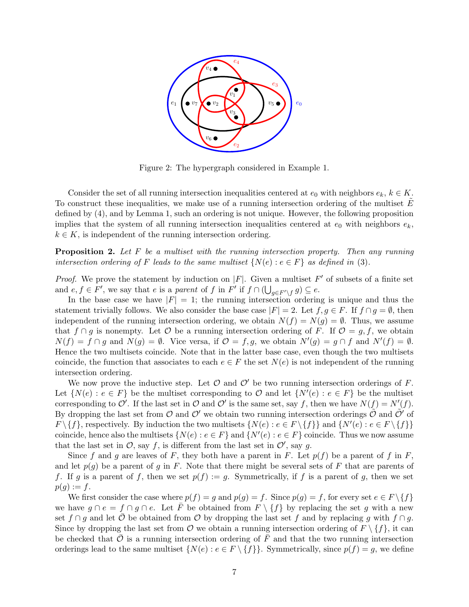

Figure 2: The hypergraph considered in Example 1.

Consider the set of all running intersection inequalities centered at  $e_0$  with neighbors  $e_k, k \in K$ . To construct these inequalities, we make use of a running intersection ordering of the multiset  $\tilde{E}$ defined by (4), and by Lemma 1, such an ordering is not unique. However, the following proposition implies that the system of all running intersection inequalities centered at  $e_0$  with neighbors  $e_k$ ,  $k \in K$ , is independent of the running intersection ordering.

**Proposition 2.** Let  $F$  be a multiset with the running intersection property. Then any running intersection ordering of F leads to the same multiset  $\{N(e): e \in F\}$  as defined in (3).

*Proof.* We prove the statement by induction on  $|F|$ . Given a multiset  $F'$  of subsets of a finite set and  $e, f \in F'$ , we say that  $e$  is a *parent* of  $f$  in  $F'$  if  $f \cap (\bigcup_{g \in F' \setminus f} g) \subseteq e$ .

In the base case we have  $|F| = 1$ ; the running intersection ordering is unique and thus the statement trivially follows. We also consider the base case  $|F| = 2$ . Let  $f, g \in F$ . If  $f \cap g = \emptyset$ , then independent of the running intersection ordering, we obtain  $N(f) = N(g) = \emptyset$ . Thus, we assume that  $f \cap g$  is nonempty. Let  $\mathcal O$  be a running intersection ordering of F. If  $\mathcal O = g, f$ , we obtain  $N(f) = f \cap g$  and  $N(g) = \emptyset$ . Vice versa, if  $\mathcal{O} = f, g$ , we obtain  $N'(g) = g \cap f$  and  $N'(f) = \emptyset$ . Hence the two multisets coincide. Note that in the latter base case, even though the two multisets coincide, the function that associates to each  $e \in F$  the set  $N(e)$  is not independent of the running intersection ordering.

We now prove the inductive step. Let  $\mathcal O$  and  $\mathcal O'$  be two running intersection orderings of F. Let  $\{N(e) : e \in F\}$  be the multiset corresponding to  $\mathcal{O}$  and let  $\{N'(e) : e \in F\}$  be the multiset corresponding to  $\mathcal{O}'$ . If the last set in  $\mathcal{O}$  and  $\mathcal{O}'$  is the same set, say f, then we have  $N(f) = N'(f)$ . By dropping the last set from  $\mathcal O$  and  $\mathcal O'$  we obtain two running intersection orderings  $\tilde{\mathcal O}$  and  $\tilde{\mathcal O}'$  of  $F \setminus \{f\}$ , respectively. By induction the two multisets  $\{N(e) : e \in F \setminus \{f\}\}$  and  $\{N'(e) : e \in F \setminus \{f\}\}$ coincide, hence also the multisets  $\{N(e) : e \in F\}$  and  $\{N'(e) : e \in F\}$  coincide. Thus we now assume that the last set in  $\mathcal{O}$ , say f, is different from the last set in  $\mathcal{O}'$ , say g.

Since f and g are leaves of F, they both have a parent in F. Let  $p(f)$  be a parent of f in F, and let  $p(g)$  be a parent of g in F. Note that there might be several sets of F that are parents of f. If g is a parent of f, then we set  $p(f) := g$ . Symmetrically, if f is a parent of g, then we set  $p(g) := f$ .

We first consider the case where  $p(f) = g$  and  $p(g) = f$ . Since  $p(g) = f$ , for every set  $e \in F \setminus \{f\}$ we have  $g \cap e = f \cap g \cap e$ . Let  $\overline{F}$  be obtained from  $F \setminus \{f\}$  by replacing the set g with a new set  $f \cap g$  and let  $\overline{O}$  be obtained from  $\overline{O}$  by dropping the last set f and by replacing g with  $f \cap g$ . Since by dropping the last set from  $\mathcal O$  we obtain a running intersection ordering of  $F \setminus \{f\}$ , it can be checked that  $\bar{\mathcal{O}}$  is a running intersection ordering of  $\bar{F}$  and that the two running intersection orderings lead to the same multiset  $\{N(e) : e \in F \setminus \{f\}\}\.$  Symmetrically, since  $p(f) = g$ , we define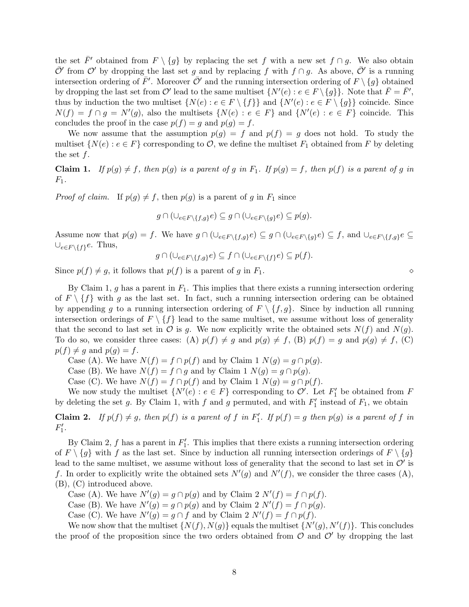the set  $\bar{F}'$  obtained from  $F \setminus \{g\}$  by replacing the set f with a new set  $f \cap g$ . We also obtain  $\overline{\mathcal{O}}'$  from  $\mathcal{O}'$  by dropping the last set g and by replacing f with  $f \cap g$ . As above,  $\overline{\mathcal{O}}'$  is a running intersection ordering of  $\bar{F}'$ . Moreover  $\bar{\mathcal{O}}'$  and the running intersection ordering of  $F \setminus \{g\}$  obtained by dropping the last set from  $\mathcal{O}'$  lead to the same multiset  $\{N'(e) : e \in F \setminus \{g\}\}\$ . Note that  $\overline{F} = \overline{F}'$ , thus by induction the two multiset  $\{N(e) : e \in F \setminus \{f\}\}\$ and  $\{N'(e) : e \in F \setminus \{g\}\}$  coincide. Since  $N(f) = f \cap g = N'(g)$ , also the multisets  $\{N(e) : e \in F\}$  and  $\{N'(e) : e \in F\}$  coincide. This concludes the proof in the case  $p(f) = g$  and  $p(g) = f$ .

We now assume that the assumption  $p(g) = f$  and  $p(f) = g$  does not hold. To study the multiset  $\{N(e) : e \in F\}$  corresponding to  $\mathcal{O}$ , we define the multiset  $F_1$  obtained from F by deleting the set  $f$ .

**Claim 1.** If  $p(g) \neq f$ , then  $p(g)$  is a parent of g in  $F_1$ . If  $p(g) = f$ , then  $p(f)$  is a parent of g in  $F_1$ .

*Proof of claim.* If  $p(g) \neq f$ , then  $p(g)$  is a parent of g in  $F_1$  since

$$
g \cap (\cup_{e \in F \setminus \{f,g\}} e) \subseteq g \cap (\cup_{e \in F \setminus \{g\}} e) \subseteq p(g).
$$

Assume now that  $p(g) = f$ . We have  $g \cap (\bigcup_{e \in F \setminus \{f,g\}} e) \subseteq g \cap (\bigcup_{e \in F \setminus \{g\}} e) \subseteq f$ , and  $\bigcup_{e \in F \setminus \{f,g\}} e \subseteq g$  $\cup_{e\in F\setminus\{f\}}e$ . Thus,

$$
g \cap (\cup_{e \in F \setminus \{f,g\}} e) \subseteq f \cap (\cup_{e \in F \setminus \{f\}} e) \subseteq p(f).
$$

Since  $p(f) \neq g$ , it follows that  $p(f)$  is a parent of g in  $F_1$ .

By Claim 1, g has a parent in  $F_1$ . This implies that there exists a running intersection ordering of  $F \setminus \{f\}$  with g as the last set. In fact, such a running intersection ordering can be obtained by appending g to a running intersection ordering of  $F \setminus \{f, g\}$ . Since by induction all running intersection orderings of  $F \setminus \{f\}$  lead to the same multiset, we assume without loss of generality that the second to last set in  $\mathcal O$  is g. We now explicitly write the obtained sets  $N(f)$  and  $N(g)$ . To do so, we consider three cases: (A)  $p(f) \neq g$  and  $p(g) \neq f$ , (B)  $p(f) = g$  and  $p(g) \neq f$ , (C)  $p(f) \neq g$  and  $p(g) = f$ .

Case (A). We have  $N(f) = f \cap p(f)$  and by Claim 1  $N(g) = g \cap p(g)$ .

Case (B). We have  $N(f) = f \cap g$  and by Claim 1  $N(g) = g \cap p(g)$ .

Case (C). We have  $N(f) = f \cap p(f)$  and by Claim 1  $N(g) = g \cap p(f)$ .

We now study the multiset  $\{N'(e) : e \in F\}$  corresponding to  $\mathcal{O}'$ . Let  $F'_1$  be obtained from F by deleting the set g. By Claim 1, with f and g permuted, and with  $F'_1$  instead of  $F_1$ , we obtain

**Claim 2.** If  $p(f) \neq g$ , then  $p(f)$  is a parent of f in  $F'_1$ . If  $p(f) = g$  then  $p(g)$  is a parent of f in  $F'_1.$ 

By Claim 2,  $f$  has a parent in  $F_1'$ . This implies that there exists a running intersection ordering of  $F \setminus \{g\}$  with f as the last set. Since by induction all running intersection orderings of  $F \setminus \{g\}$ lead to the same multiset, we assume without loss of generality that the second to last set in  $\mathcal{O}'$  is f. In order to explicitly write the obtained sets  $N'(g)$  and  $N'(f)$ , we consider the three cases (A), (B), (C) introduced above.

Case (A). We have  $N'(g) = g \cap p(g)$  and by Claim 2  $N'(f) = f \cap p(f)$ .

Case (B). We have  $N'(g) = g \cap p(g)$  and by Claim 2  $N'(f) = f \cap p(g)$ .

Case (C). We have  $N'(g) = g \cap f$  and by Claim 2  $N'(f) = f \cap p(f)$ .

We now show that the multiset  $\{N(f), N(g)\}$  equals the multiset  $\{N'(g), N'(f)\}$ . This concludes the proof of the proposition since the two orders obtained from  $\mathcal O$  and  $\mathcal O'$  by dropping the last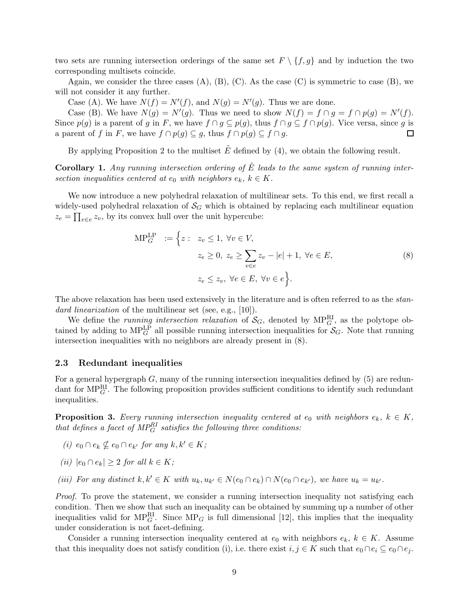two sets are running intersection orderings of the same set  $F \setminus \{f, g\}$  and by induction the two corresponding multisets coincide.

Again, we consider the three cases  $(A)$ ,  $(B)$ ,  $(C)$ . As the case  $(C)$  is symmetric to case  $(B)$ , we will not consider it any further.

Case (A). We have  $N(f) = N'(f)$ , and  $N(g) = N'(g)$ . Thus we are done.

Case (B). We have  $N(g) = N'(g)$ . Thus we need to show  $N(f) = f \cap g = f \cap p(g) = N'(f)$ . Since  $p(g)$  is a parent of g in F, we have  $f \cap g \subseteq p(g)$ , thus  $f \cap g \subseteq f \cap p(g)$ . Vice versa, since g is a parent of f in F, we have  $f \cap p(g) \subseteq g$ , thus  $f \cap p(g) \subseteq f \cap g$ . a parent of f in F, we have  $f \cap p(g) \subseteq g$ , thus  $f \cap p(g) \subseteq f \cap g$ .

By applying Proposition 2 to the multiset  $\tilde{E}$  defined by (4), we obtain the following result.

**Corollary 1.** Any running intersection ordering of  $\tilde{E}$  leads to the same system of running intersection inequalities centered at  $e_0$  with neighbors  $e_k, k \in K$ .

We now introduce a new polyhedral relaxation of multilinear sets. To this end, we first recall a widely-used polyhedral relaxation of  $\mathcal{S}_G$  which is obtained by replacing each multilinear equation  $z_e = \prod_{v \in e} z_v$ , by its convex hull over the unit hypercube:

$$
MP_G^{LP} := \left\{ z : z_v \le 1, \ \forall v \in V, z_e \ge 0, \ z_e \ge \sum_{v \in e} z_v - |e| + 1, \ \forall e \in E, z_e \le z_v, \ \forall e \in E, \ \forall v \in e \right\}.
$$
 (8)

The above relaxation has been used extensively in the literature and is often referred to as the *stan*dard linearization of the multilinear set (see, e.g., [10]).

We define the *running intersection relaxation* of  $S_G$ , denoted by  $MP_G^R$ , as the polytope obtained by adding to  $MP_G^L$  all possible running intersection inequalities for  $S_G$ . Note that running intersection inequalities with no neighbors are already present in (8).

#### 2.3 Redundant inequalities

For a general hypergraph  $G$ , many of the running intersection inequalities defined by  $(5)$  are redundant for  $MP_G^{\text{RI}}$ . The following proposition provides sufficient conditions to identify such redundant inequalities.

**Proposition 3.** Every running intersection inequality centered at  $e_0$  with neighbors  $e_k$ ,  $k \in K$ , that defines a facet of  $MP_G^{RI}$  satisfies the following three conditions:

- (i)  $e_0 \cap e_k \nsubseteq e_0 \cap e_{k'}$  for any  $k, k' \in K$ ;
- (ii)  $|e_0 \cap e_k| > 2$  for all  $k \in K$ ;
- (iii) For any distinct  $k, k' \in K$  with  $u_k, u_{k'} \in N(e_0 \cap e_k) \cap N(e_0 \cap e_{k'})$ , we have  $u_k = u_{k'}$ .

Proof. To prove the statement, we consider a running intersection inequality not satisfying each condition. Then we show that such an inequality can be obtained by summing up a number of other inequalities valid for  $MP_G^{\text{RI}}$ . Since  $MP_G$  is full dimensional [12], this implies that the inequality under consideration is not facet-defining.

Consider a running intersection inequality centered at  $e_0$  with neighbors  $e_k, k \in K$ . Assume that this inequality does not satisfy condition (i), i.e. there exist  $i, j \in K$  such that  $e_0 \cap e_i \subseteq e_0 \cap e_j$ .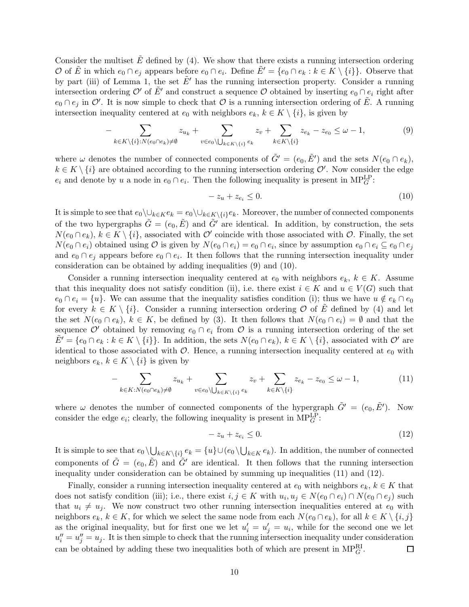Consider the multiset  $E$  defined by (4). We show that there exists a running intersection ordering O of  $\tilde{E}$  in which  $e_0 \cap e_j$  appears before  $e_0 \cap e_i$ . Define  $\tilde{E}' = \{e_0 \cap e_k : k \in K \setminus \{i\}\}\.$  Observe that by part (iii) of Lemma 1, the set  $\tilde{E}'$  has the running intersection property. Consider a running intersection ordering O' of  $E'$  and construct a sequence O obtained by inserting  $e_0 \cap e_i$  right after  $e_0 \cap e_j$  in  $\mathcal{O}'$ . It is now simple to check that  $\mathcal O$  is a running intersection ordering of  $\tilde E$ . A running intersection inequality centered at  $e_0$  with neighbors  $e_k, k \in K \setminus \{i\}$ , is given by

$$
-\sum_{k\in K\setminus\{i\}:N(e_0\cap e_k)\neq\emptyset}z_{u_k}+\sum_{v\in e_0\setminus\bigcup_{k\in K\setminus\{i\}}e_k}z_v+\sum_{k\in K\setminus\{i\}}z_{e_k}-z_{e_0}\leq\omega-1,\tag{9}
$$

where  $\omega$  denotes the number of connected components of  $\tilde{G}' = (e_0, \tilde{E}')$  and the sets  $N(e_0 \cap e_k)$ ,  $k \in K \setminus \{i\}$  are obtained according to the running intersection ordering  $\mathcal{O}'$ . Now consider the edge  $e_i$  and denote by u a node in  $e_0 \cap e_i$ . Then the following inequality is present in  $MP_G^{\text{LP}}$ :

$$
-z_u + z_{e_i} \le 0. \tag{10}
$$

It is simple to see that  $e_0\setminus\cup_{k\in K}e_k = e_0\setminus\cup_{k\in K\setminus\{i\}}e_k$ . Moreover, the number of connected components of the two hypergraphs  $\tilde{G} = (e_0, \tilde{E})$  and  $\tilde{G}'$  are identical. In addition, by construction, the sets  $N(e_0 \cap e_k)$ ,  $k \in K \setminus \{i\}$ , associated with  $\mathcal{O}'$  coincide with those associated with  $\mathcal{O}$ . Finally, the set  $N(e_0 \cap e_i)$  obtained using  $\mathcal O$  is given by  $N(e_0 \cap e_i) = e_0 \cap e_i$ , since by assumption  $e_0 \cap e_i \subseteq e_0 \cap e_j$ and  $e_0 \cap e_j$  appears before  $e_0 \cap e_i$ . It then follows that the running intersection inequality under consideration can be obtained by adding inequalities (9) and (10).

Consider a running intersection inequality centered at  $e_0$  with neighbors  $e_k, k \in K$ . Assume that this inequality does not satisfy condition (ii), i.e. there exist  $i \in K$  and  $u \in V(G)$  such that  $e_0 \cap e_i = \{u\}.$  We can assume that the inequality satisfies condition (i); thus we have  $u \notin e_k \cap e_0$ for every  $k \in K \setminus \{i\}$ . Consider a running intersection ordering O of E defined by (4) and let the set  $N(e_0 \cap e_k)$ ,  $k \in K$ , be defined by (3). It then follows that  $N(e_0 \cap e_i) = \emptyset$  and that the sequence  $\mathcal{O}'$  obtained by removing  $e_0 \cap e_i$  from  $\mathcal{O}$  is a running intersection ordering of the set  $E' = \{e_0 \cap e_k : k \in K \setminus \{i\}\}.$  In addition, the sets  $N(e_0 \cap e_k)$ ,  $k \in K \setminus \{i\}$ , associated with  $\mathcal{O}'$  are identical to those associated with  $\mathcal{O}$ . Hence, a running intersection inequality centered at  $e_0$  with neighbors  $e_k, k \in K \setminus \{i\}$  is given by

$$
-\sum_{k\in K: N(e_0\cap e_k)\neq \emptyset} z_{u_k} + \sum_{v\in e_0\setminus\bigcup_{k\in K\setminus\{i\}} e_k} z_v + \sum_{k\in K\setminus\{i\}} z_{e_k} - z_{e_0} \leq \omega - 1,\tag{11}
$$

where  $\omega$  denotes the number of connected components of the hypergraph  $\tilde{G}' = (e_0, \tilde{E}')$ . Now consider the edge  $e_i$ ; clearly, the following inequality is present in  $MP_G^{\text{LP}}$ :

$$
-z_u + z_{e_i} \le 0. \tag{12}
$$

It is simple to see that  $e_0 \setminus \bigcup_{k \in K \setminus \{i\}} e_k = \{u\} \cup (e_0 \setminus \bigcup_{k \in K} e_k)$ . In addition, the number of connected components of  $\tilde{G} = (e_0, \tilde{E})$  and  $\tilde{G}'$  are identical. It then follows that the running intersection inequality under consideration can be obtained by summing up inequalities (11) and (12).

Finally, consider a running intersection inequality centered at  $e_0$  with neighbors  $e_k$ ,  $k \in K$  that does not satisfy condition (iii); i.e., there exist  $i, j \in K$  with  $u_i, u_j \in N(e_0 \cap e_i) \cap N(e_0 \cap e_j)$  such that  $u_i \neq u_j$ . We now construct two other running intersection inequalities entered at  $e_0$  with neighbors  $e_k, k \in K$ , for which we select the same node from each  $N(e_0 \cap e_k)$ , for all  $k \in K \setminus \{i, j\}$ as the original inequality, but for first one we let  $u'_i = u'_j = u_i$ , while for the second one we let  $u''_i = u''_j = u_j$ . It is then simple to check that the running intersection inequality under consideration can be obtained by adding these two inequalities both of which are present in  $MP_G^R$ .  $\Box$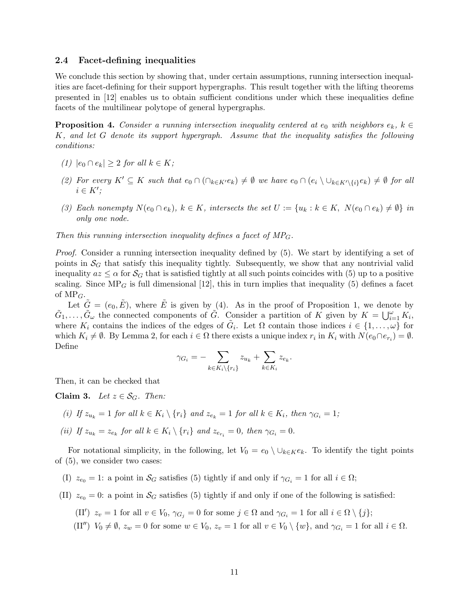#### 2.4 Facet-defining inequalities

We conclude this section by showing that, under certain assumptions, running intersection inequalities are facet-defining for their support hypergraphs. This result together with the lifting theorems presented in [12] enables us to obtain sufficient conditions under which these inequalities define facets of the multilinear polytope of general hypergraphs.

**Proposition 4.** Consider a running intersection inequality centered at  $e_0$  with neighbors  $e_k$ ,  $k \in$ K, and let G denote its support hypergraph. Assume that the inequality satisfies the following conditions:

- (1)  $|e_0 \cap e_k| > 2$  for all  $k \in K$ ;
- (2) For every  $K' \subseteq K$  such that  $e_0 \cap (\bigcap_{k \in K'} e_k) \neq \emptyset$  we have  $e_0 \cap (e_i \setminus \bigcup_{k \in K' \setminus \{i\}} e_k) \neq \emptyset$  for all  $i \in K'$ ;
- (3) Each nonempty  $N(e_0 \cap e_k)$ ,  $k \in K$ , intersects the set  $U := \{u_k : k \in K, N(e_0 \cap e_k) \neq \emptyset\}$  in only one node.

Then this running intersection inequality defines a facet of  $MP$ <sub>G</sub>.

Proof. Consider a running intersection inequality defined by (5). We start by identifying a set of points in  $\mathcal{S}_G$  that satisfy this inequality tightly. Subsequently, we show that any nontrivial valid inequality  $az \leq \alpha$  for  $\mathcal{S}_{\mathcal{G}}$  that is satisfied tightly at all such points coincides with (5) up to a positive scaling. Since  $MP_G$  is full dimensional [12], this in turn implies that inequality (5) defines a facet of  $MP<sub>G</sub>$ .

Let  $\tilde{G} = (e_0, \tilde{E})$ , where  $\tilde{E}$  is given by (4). As in the proof of Proposition 1, we denote by  $\tilde{G}_1,\ldots,\tilde{G}_{\omega}$  the connected components of  $\tilde{G}$ . Consider a partition of K given by  $K = \bigcup_{i=1}^{\omega} K_i$ , where  $K_i$  contains the indices of the edges of  $\tilde{G}_i$ . Let  $\Omega$  contain those indices  $i \in \{1, \ldots, \omega\}$  for which  $K_i \neq \emptyset$ . By Lemma 2, for each  $i \in \Omega$  there exists a unique index  $r_i$  in  $K_i$  with  $N(e_0 \cap e_{r_i}) = \emptyset$ . Define

$$
\gamma_{G_i} = -\sum_{k \in K_i \backslash \{r_i\}} z_{u_k} + \sum_{k \in K_i} z_{e_k}.
$$

Then, it can be checked that

Claim 3. Let  $z \in \mathcal{S}_G$ . Then:

- (i) If  $z_{u_k} = 1$  for all  $k \in K_i \setminus \{r_i\}$  and  $z_{e_k} = 1$  for all  $k \in K_i$ , then  $\gamma_{G_i} = 1$ ;
- (ii) If  $z_{u_k} = z_{e_k}$  for all  $k \in K_i \setminus \{r_i\}$  and  $z_{e_{r_i}} = 0$ , then  $\gamma_{G_i} = 0$ .

For notational simplicity, in the following, let  $V_0 = e_0 \setminus \cup_{k \in K} e_k$ . To identify the tight points of (5), we consider two cases:

- (I)  $z_{e_0} = 1$ : a point in  $\mathcal{S}_G$  satisfies (5) tightly if and only if  $\gamma_{G_i} = 1$  for all  $i \in \Omega$ ;
- (II)  $z_{e_0} = 0$ : a point in  $\mathcal{S}_G$  satisfies (5) tightly if and only if one of the following is satisfied:
	- (II')  $z_v = 1$  for all  $v \in V_0$ ,  $\gamma_{G_j} = 0$  for some  $j \in \Omega$  and  $\gamma_{G_i} = 1$  for all  $i \in \Omega \setminus \{j\};$
	- (II'')  $V_0 \neq \emptyset$ ,  $z_w = 0$  for some  $w \in V_0$ ,  $z_v = 1$  for all  $v \in V_0 \setminus \{w\}$ , and  $\gamma_{G_i} = 1$  for all  $i \in \Omega$ .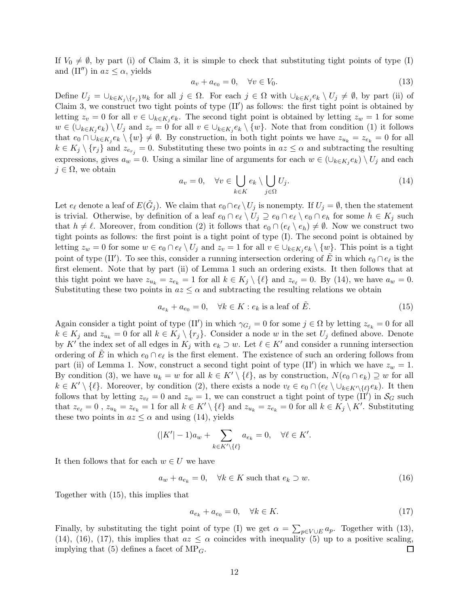If  $V_0 \neq \emptyset$ , by part (i) of Claim 3, it is simple to check that substituting tight points of type (I) and (II'') in  $az \leq \alpha$ , yields

$$
a_v + a_{e_0} = 0, \quad \forall v \in V_0. \tag{13}
$$

Define  $U_j = \bigcup_{k \in K_j \setminus \{r_j\}} u_k$  for all  $j \in \Omega$ . For each  $j \in \Omega$  with  $\bigcup_{k \in K_j} e_k \setminus U_j \neq \emptyset$ , by part (ii) of Claim 3, we construct two tight points of type  $(II')$  as follows: the first tight point is obtained by letting  $z_v = 0$  for all  $v \in \bigcup_{k \in K_j} e_k$ . The second tight point is obtained by letting  $z_w = 1$  for some  $w \in (\cup_{k \in K_j} e_k) \setminus U_j$  and  $z_v = 0$  for all  $v \in \cup_{k \in K_j} e_k \setminus \{w\}$ . Note that from condition (1) it follows that  $e_0 \cap \bigcup_{k \in K_j} e_k \setminus \{w\} \neq \emptyset$ . By construction, in both tight points we have  $z_{u_k} = z_{e_k} = 0$  for all  $k \in K_j \setminus \{r_j\}$  and  $z_{e_{r_j}} = 0$ . Substituting these two points in  $az \leq \alpha$  and subtracting the resulting expressions, gives  $a_w = 0$ . Using a similar line of arguments for each  $w \in (\cup_{k \in K_j} e_k) \setminus U_j$  and each  $j \in \Omega$ , we obtain

$$
a_v = 0, \quad \forall v \in \bigcup_{k \in K} e_k \setminus \bigcup_{j \in \Omega} U_j. \tag{14}
$$

Let  $e_{\ell}$  denote a leaf of  $E(\tilde{G}_j)$ . We claim that  $e_0 \cap e_{\ell} \setminus U_j$  is nonempty. If  $U_j = \emptyset$ , then the statement is trivial. Otherwise, by definition of a leaf  $e_0 \cap e_\ell \setminus U_j \supseteq e_0 \cap e_\ell \setminus e_0 \cap e_h$  for some  $h \in K_j$  such that  $h \neq \ell$ . Moreover, from condition (2) it follows that  $e_0 \cap (e_{\ell} \setminus e_h) \neq \emptyset$ . Now we construct two tight points as follows: the first point is a tight point of type (I). The second point is obtained by letting  $z_w = 0$  for some  $w \in e_0 \cap e_\ell \setminus U_j$  and  $z_v = 1$  for all  $v \in \bigcup_{k \in K_j} e_k \setminus \{w\}$ . This point is a tight point of type (II'). To see this, consider a running intersection ordering of  $\tilde{E}$  in which  $e_0 \cap e_\ell$  is the first element. Note that by part (ii) of Lemma 1 such an ordering exists. It then follows that at this tight point we have  $z_{u_k} = z_{e_k} = 1$  for all  $k \in K_j \setminus \{\ell\}$  and  $z_{e_\ell} = 0$ . By (14), we have  $a_w = 0$ . Substituting these two points in  $az \leq \alpha$  and subtracting the resulting relations we obtain

$$
a_{e_k} + a_{e_0} = 0, \quad \forall k \in K : e_k \text{ is a leaf of } \tilde{E}.
$$
 (15)

Again consider a tight point of type  $(II')$  in which  $\gamma_{G_j} = 0$  for some  $j \in \Omega$  by letting  $z_{e_k} = 0$  for all  $k \in K_j$  and  $z_{u_k} = 0$  for all  $k \in K_j \setminus \{r_j\}$ . Consider a node w in the set  $U_j$  defined above. Denote by K' the index set of all edges in  $K_j$  with  $e_k \supset w$ . Let  $\ell \in K'$  and consider a running intersection ordering of  $\tilde{E}$  in which  $e_0 \cap e_{\ell}$  is the first element. The existence of such an ordering follows from part (ii) of Lemma 1. Now, construct a second tight point of type  $(II')$  in which we have  $z_w = 1$ . By condition (3), we have  $u_k = w$  for all  $k \in K' \setminus \{\ell\}$ , as by construction,  $N(e_0 \cap e_k) \supseteq w$  for all  $k \in K' \setminus \{\ell\}.$  Moreover, by condition (2), there exists a node  $v_{\ell} \in e_0 \cap (e_{\ell} \setminus \cup_{k \in K' \setminus \{\ell\}} e_k).$  It then follows that by letting  $z_{v_\ell} = 0$  and  $z_w = 1$ , we can construct a tight point of type (II') in  $\mathcal{S}_G$  such that  $z_{e_\ell} = 0$ ,  $z_{u_k} = z_{e_k} = 1$  for all  $k \in K' \setminus \{\ell\}$  and  $z_{u_k} = z_{e_k} = 0$  for all  $k \in K_j \setminus K'$ . Substituting these two points in  $az \leq \alpha$  and using (14), yields

$$
(|K'|-1)a_w+\sum_{k\in K'\backslash\{\ell\}}a_{e_k}=0,\quad \forall \ell\in K'.
$$

It then follows that for each  $w \in U$  we have

$$
a_w + a_{e_k} = 0, \quad \forall k \in K \text{ such that } e_k \supset w. \tag{16}
$$

Together with (15), this implies that

$$
a_{e_k} + a_{e_0} = 0, \quad \forall k \in K. \tag{17}
$$

Finally, by substituting the tight point of type (I) we get  $\alpha = \sum_{p \in V \cup E} a_p$ . Together with (13), (14), (16), (17), this implies that  $az \leq \alpha$  coincides with inequality (5) up to a positive scaling, implying that (5) defines a facet of MP<sub>G</sub>. implying that (5) defines a facet of  $MP<sub>G</sub>$ .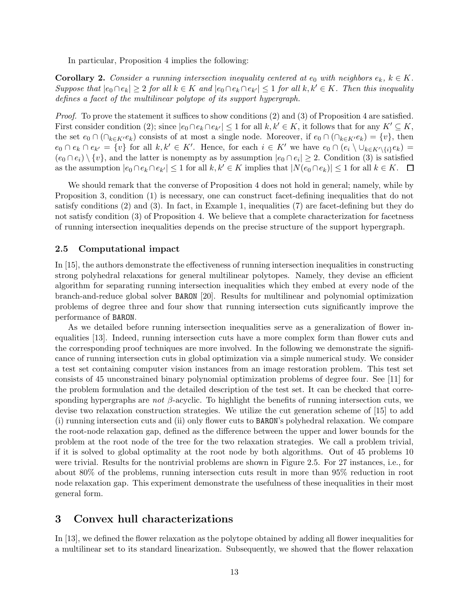In particular, Proposition 4 implies the following:

**Corollary 2.** Consider a running intersection inequality centered at  $e_0$  with neighbors  $e_k$ ,  $k \in K$ . Suppose that  $|e_0 \cap e_k| \geq 2$  for all  $k \in K$  and  $|e_0 \cap e_k \cap e_{k'}| \leq 1$  for all  $k, k' \in K$ . Then this inequality defines a facet of the multilinear polytope of its support hypergraph.

Proof. To prove the statement it suffices to show conditions (2) and (3) of Proposition 4 are satisfied. First consider condition (2); since  $|e_0 \cap e_k \cap e_{k'}| \leq 1$  for all  $k, k' \in K$ , it follows that for any  $K' \subseteq K$ , the set  $e_0 \cap (\bigcap_{k \in K'} e_k)$  consists of at most a single node. Moreover, if  $e_0 \cap (\bigcap_{k \in K'} e_k) = \{v\}$ , then  $e_0 \cap e_k \cap e_{k'} = \{v\}$  for all  $k, k' \in K'$ . Hence, for each  $i \in K'$  we have  $e_0 \cap (e_i \setminus \cup_{k \in K' \setminus \{i\}} e_k) =$  $(e_0 \cap e_i) \setminus \{v\}$ , and the latter is nonempty as by assumption  $|e_0 \cap e_i| \geq 2$ . Condition (3) is satisfied as the assumption  $|e_0 \cap e_k \cap e_{k'}| \leq 1$  for all  $k, k' \in K$  implies that  $|N(e_0 \cap e_k)| \leq 1$  for all  $k \in K$ .  $\Box$ 

We should remark that the converse of Proposition 4 does not hold in general; namely, while by Proposition 3, condition (1) is necessary, one can construct facet-defining inequalities that do not satisfy conditions (2) and (3). In fact, in Example 1, inequalities (7) are facet-defining but they do not satisfy condition (3) of Proposition 4. We believe that a complete characterization for facetness of running intersection inequalities depends on the precise structure of the support hypergraph.

## 2.5 Computational impact

In [15], the authors demonstrate the effectiveness of running intersection inequalities in constructing strong polyhedral relaxations for general multilinear polytopes. Namely, they devise an efficient algorithm for separating running intersection inequalities which they embed at every node of the branch-and-reduce global solver BARON [20]. Results for multilinear and polynomial optimization problems of degree three and four show that running intersection cuts significantly improve the performance of BARON.

As we detailed before running intersection inequalities serve as a generalization of flower inequalities [13]. Indeed, running intersection cuts have a more complex form than flower cuts and the corresponding proof techniques are more involved. In the following we demonstrate the significance of running intersection cuts in global optimization via a simple numerical study. We consider a test set containing computer vision instances from an image restoration problem. This test set consists of 45 unconstrained binary polynomial optimization problems of degree four. See [11] for the problem formulation and the detailed description of the test set. It can be checked that corresponding hypergraphs are not  $\beta$ -acyclic. To highlight the benefits of running intersection cuts, we devise two relaxation construction strategies. We utilize the cut generation scheme of [15] to add (i) running intersection cuts and (ii) only flower cuts to BARON's polyhedral relaxation. We compare the root-node relaxation gap, defined as the difference between the upper and lower bounds for the problem at the root node of the tree for the two relaxation strategies. We call a problem trivial, if it is solved to global optimality at the root node by both algorithms. Out of 45 problems 10 were trivial. Results for the nontrivial problems are shown in Figure 2.5. For 27 instances, i.e., for about 80% of the problems, running intersection cuts result in more than 95% reduction in root node relaxation gap. This experiment demonstrate the usefulness of these inequalities in their most general form.

## 3 Convex hull characterizations

In [13], we defined the flower relaxation as the polytope obtained by adding all flower inequalities for a multilinear set to its standard linearization. Subsequently, we showed that the flower relaxation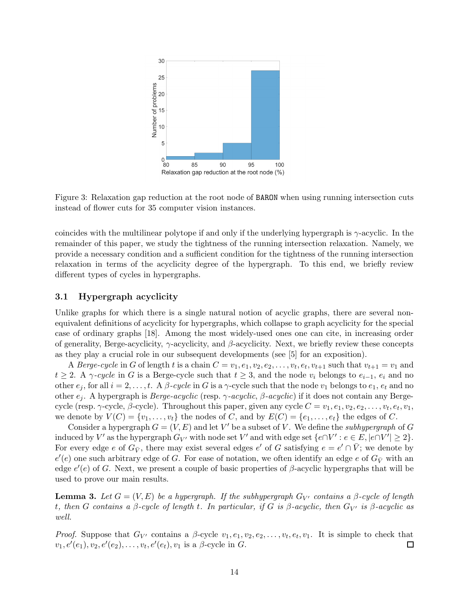

Figure 3: Relaxation gap reduction at the root node of BARON when using running intersection cuts instead of flower cuts for 35 computer vision instances.

coincides with the multilinear polytope if and only if the underlying hypergraph is  $\gamma$ -acyclic. In the remainder of this paper, we study the tightness of the running intersection relaxation. Namely, we provide a necessary condition and a sufficient condition for the tightness of the running intersection relaxation in terms of the acyclicity degree of the hypergraph. To this end, we briefly review different types of cycles in hypergraphs.

## 3.1 Hypergraph acyclicity

Unlike graphs for which there is a single natural notion of acyclic graphs, there are several nonequivalent definitions of acyclicity for hypergraphs, which collapse to graph acyclicity for the special case of ordinary graphs [18]. Among the most widely-used ones one can cite, in increasing order of generality, Berge-acyclicity,  $\gamma$ -acyclicity, and  $\beta$ -acyclicity. Next, we briefly review these concepts as they play a crucial role in our subsequent developments (see [5] for an exposition).

A *Berge-cycle* in G of length t is a chain  $C = v_1, e_1, v_2, e_2, \ldots, v_t, e_t, v_{t+1}$  such that  $v_{t+1} = v_1$  and  $t \geq 2$ . A  $\gamma$ -cycle in G is a Berge-cycle such that  $t \geq 3$ , and the node  $v_i$  belongs to  $e_{i-1}$ ,  $e_i$  and no other  $e_j$ , for all  $i = 2, \ldots, t$ . A  $\beta$ -cycle in G is a  $\gamma$ -cycle such that the node  $v_1$  belongs to  $e_1, e_t$  and no other  $e_j$ . A hypergraph is *Berge-acyclic* (resp.  $\gamma$ -acyclic,  $\beta$ -acyclic) if it does not contain any Bergecycle (resp.  $\gamma$ -cycle,  $\beta$ -cycle). Throughout this paper, given any cycle  $C = v_1, e_1, v_2, e_2, \ldots, v_t, e_t, v_1$ , we denote by  $V(C) = \{v_1, \ldots, v_t\}$  the nodes of C, and by  $E(C) = \{e_1, \ldots, e_t\}$  the edges of C.

Consider a hypergraph  $G = (V, E)$  and let V' be a subset of V. We define the *subhypergraph* of G induced by  $V'$  as the hypergraph  $G_{V'}$  with node set  $V'$  and with edge set  $\{e \cap V': e \in E, |e \cap V'| \geq 2\}$ . For every edge e of  $G_{\bar{V}}$ , there may exist several edges e' of G satisfying  $e = e' \cap \bar{V}$ ; we denote by  $e'(e)$  one such arbitrary edge of G. For ease of notation, we often identify an edge e of  $G_{\bar{V}}$  with an edge  $e'(e)$  of G. Next, we present a couple of basic properties of  $\beta$ -acyclic hypergraphs that will be used to prove our main results.

**Lemma 3.** Let  $G = (V, E)$  be a hypergraph. If the subhypergraph  $G_V$  contains a  $\beta$ -cycle of length t, then G contains a  $\beta$ -cycle of length t. In particular, if G is  $\beta$ -acyclic, then  $G_{V'}$  is  $\beta$ -acyclic as well.

*Proof.* Suppose that  $G_{V'}$  contains a  $\beta$ -cycle  $v_1, e_1, v_2, e_2, \ldots, v_t, e_t, v_1$ . It is simple to check that  $v_1, e'(e_1), v_2, e'(e_2), \ldots, v_t, e'(e_t), v_1$  is a  $\beta$ -cycle in G.  $\Box$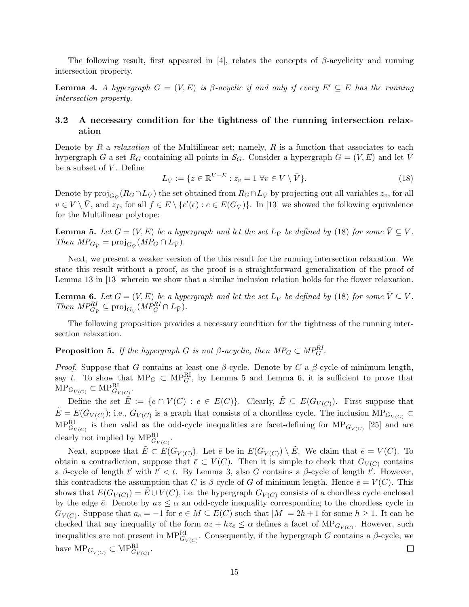The following result, first appeared in [4], relates the concepts of  $\beta$ -acyclicity and running intersection property.

**Lemma 4.** A hypergraph  $G = (V, E)$  is  $\beta$ -acyclic if and only if every  $E' \subseteq E$  has the running intersection property.

## 3.2 A necessary condition for the tightness of the running intersection relaxation

Denote by R a relaxation of the Multilinear set; namely, R is a function that associates to each hypergraph G a set  $R_G$  containing all points in  $\mathcal{S}_G$ . Consider a hypergraph  $G = (V, E)$  and let V be a subset of  $V$ . Define

$$
L_{\bar{V}} := \{ z \in \mathbb{R}^{V+E} : z_v = 1 \,\forall v \in V \setminus \bar{V} \}. \tag{18}
$$

Denote by  $\text{proj}_{G_{\bar{V}}}(R_G \cap L_{\bar{V}})$  the set obtained from  $R_G \cap L_{\bar{V}}$  by projecting out all variables  $z_v$ , for all  $v \in V \setminus \overline{V}$ , and  $z_f$ , for all  $f \in E \setminus \{e'(e) : e \in E(G_{\overline{V}})\}\)$ . In [13] we showed the following equivalence for the Multilinear polytope:

**Lemma 5.** Let  $G = (V, E)$  be a hypergraph and let the set  $L_{\bar{V}}$  be defined by (18) for some  $\bar{V} \subseteq V$ . Then  $MP_{G_{\bar{V}}} = \text{proj}_{G_{\bar{V}}} (MP_G \cap L_{\bar{V}}).$ 

Next, we present a weaker version of the this result for the running intersection relaxation. We state this result without a proof, as the proof is a straightforward generalization of the proof of Lemma 13 in [13] wherein we show that a similar inclusion relation holds for the flower relaxation.

**Lemma 6.** Let  $G = (V, E)$  be a hypergraph and let the set  $L_{\bar{V}}$  be defined by (18) for some  $\bar{V} \subseteq V$ . Then  $MP_{G_{\bar{V}}}^{RI} \subseteq \text{proj}_{G_{\bar{V}}} (MP_G^{RI} \cap L_{\bar{V}})$ .

The following proposition provides a necessary condition for the tightness of the running intersection relaxation.

**Proposition 5.** If the hypergraph G is not  $\beta$ -acyclic, then  $MP_G \subset MP_G^{RI}$ .

*Proof.* Suppose that G contains at least one  $\beta$ -cycle. Denote by C a  $\beta$ -cycle of minimum length, say t. To show that  $MP_G \subset MP_G^R$ , by Lemma 5 and Lemma 6, it is sufficient to prove that  $\text{MP}_{G_{V(C)}} \subset \text{MP}_{G_{V(C)}}^{\text{RI}}.$ 

Define the set  $\tilde{E} := \{e \cap V(C) : e \in E(C)\}\$ . Clearly,  $\tilde{E} \subseteq E(G_{V(C)})$ . First suppose that  $\tilde{E} = E(G_{V(C)})$ ; i.e.,  $G_{V(C)}$  is a graph that consists of a chordless cycle. The inclusion  $MP_{G_{V(C)}} \subset$  $MP_{G_{V(C)}}^{\text{RI}}$  is then valid as the odd-cycle inequalities are facet-defining for  $MP_{G_{V(C)}}$  [25] and are clearly not implied by  $MP_{G_{V(C)}}^{RI}$ .

Next, suppose that  $\tilde{E} \subset E(G_{V(C)})$ . Let  $\bar{e}$  be in  $E(G_{V(C)}) \setminus \tilde{E}$ . We claim that  $\bar{e} = V(C)$ . To obtain a contradiction, suppose that  $\bar{e} \subset V(C)$ . Then it is simple to check that  $G_{V(C)}$  contains a β-cycle of length  $t'$  with  $t' < t$ . By Lemma 3, also G contains a β-cycle of length  $t'$ . However, this contradicts the assumption that C is  $\beta$ -cycle of G of minimum length. Hence  $\bar{e} = V(C)$ . This shows that  $E(G_{V(C)}) = \tilde{E} \cup V(C)$ , i.e. the hypergraph  $G_{V(C)}$  consists of a chordless cycle enclosed by the edge  $\bar{e}$ . Denote by  $az \leq \alpha$  an odd-cycle inequality corresponding to the chordless cycle in  $G_{V(C)}$ . Suppose that  $a_e = -1$  for  $e \in M \subseteq E(C)$  such that  $|M| = 2h + 1$  for some  $h \ge 1$ . It can be checked that any inequality of the form  $az + hz_{\bar{e}} \leq \alpha$  defines a facet of  $MP_{G_{V(C)}}$ . However, such inequalities are not present in  $MP_{G_{V(C)}}^{\text{RI}}$ . Consequently, if the hypergraph G contains a  $\beta$ -cycle, we have  $\text{MP}_{G_{V(C)}} \subset \text{MP}_{G_{V(C)}}^{\text{RI}}$ .  $\Box$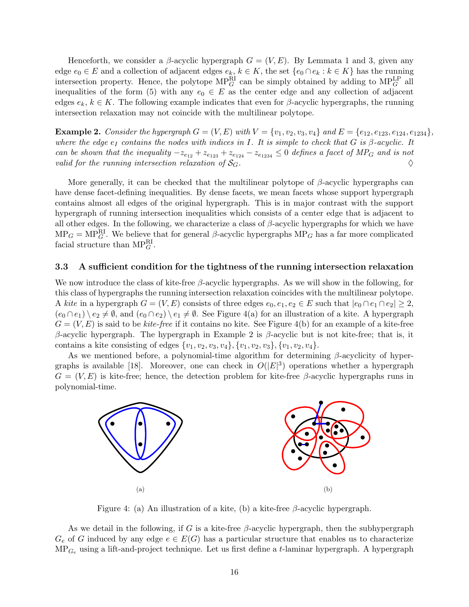Henceforth, we consider a  $\beta$ -acyclic hypergraph  $G = (V, E)$ . By Lemmata 1 and 3, given any edge  $e_0 \in E$  and a collection of adjacent edges  $e_k, k \in K$ , the set  $\{e_0 \cap e_k : k \in K\}$  has the running intersection property. Hence, the polytope  $MP_G^R$  can be simply obtained by adding to  $MP_G^{LP}$  all inequalities of the form (5) with any  $e_0 \in E$  as the center edge and any collection of adjacent edges  $e_k, k \in K$ . The following example indicates that even for  $\beta$ -acyclic hypergraphs, the running intersection relaxation may not coincide with the multilinear polytope.

**Example 2.** Consider the hypergraph  $G = (V, E)$  with  $V = \{v_1, v_2, v_3, v_4\}$  and  $E = \{e_{12}, e_{123}, e_{124}, e_{1234}\}$ , where the edge  $e_I$  contains the nodes with indices in I. It is simple to check that G is  $\beta$ -acyclic. It can be shown that the inequality  $-z_{e_{12}} + z_{e_{123}} + z_{e_{124}} - z_{e_{1234}} \leq 0$  defines a facet of MP<sub>G</sub> and is not valid for the running intersection relaxation of  $S_G$ . valid for the running intersection relaxation of  $S_G$ .

More generally, it can be checked that the multilinear polytope of  $\beta$ -acyclic hypergraphs can have dense facet-defining inequalities. By dense facets, we mean facets whose support hypergraph contains almost all edges of the original hypergraph. This is in major contrast with the support hypergraph of running intersection inequalities which consists of a center edge that is adjacent to all other edges. In the following, we characterize a class of  $\beta$ -acyclic hypergraphs for which we have  $MP_G = MP_G^R$ . We believe that for general  $\beta$ -acyclic hypergraphs  $MP_G$  has a far more complicated facial structure than  $MP_G^R$ .

### 3.3 A sufficient condition for the tightness of the running intersection relaxation

We now introduce the class of kite-free  $\beta$ -acyclic hypergraphs. As we will show in the following, for this class of hypergraphs the running intersection relaxation coincides with the multilinear polytope. A kite in a hypergraph  $G = (V, E)$  consists of three edges  $e_0, e_1, e_2 \in E$  such that  $|e_0 \cap e_1 \cap e_2| \geq 2$ ,  $(e_0 \cap e_1) \setminus e_2 \neq \emptyset$ , and  $(e_0 \cap e_2) \setminus e_1 \neq \emptyset$ . See Figure 4(a) for an illustration of a kite. A hypergraph  $G = (V, E)$  is said to be kite-free if it contains no kite. See Figure 4(b) for an example of a kite-free β-acyclic hypergraph. The hypergraph in Example 2 is β-acyclic but is not kite-free; that is, it contains a kite consisting of edges  $\{v_1, v_2, v_3, v_4\}, \{v_1, v_2, v_3\}, \{v_1, v_2, v_4\}.$ 

As we mentioned before, a polynomial-time algorithm for determining  $\beta$ -acyclicity of hypergraphs is available [18]. Moreover, one can check in  $O(|E|^3)$  operations whether a hypergraph  $G = (V, E)$  is kite-free; hence, the detection problem for kite-free β-acyclic hypergraphs runs in polynomial-time.



Figure 4: (a) An illustration of a kite, (b) a kite-free  $\beta$ -acyclic hypergraph.

As we detail in the following, if G is a kite-free  $\beta$ -acyclic hypergraph, then the subhypergraph  $G_e$  of G induced by any edge  $e \in E(G)$  has a particular structure that enables us to characterize  $MP_{Ge}$  using a lift-and-project technique. Let us first define a t-laminar hypergraph. A hypergraph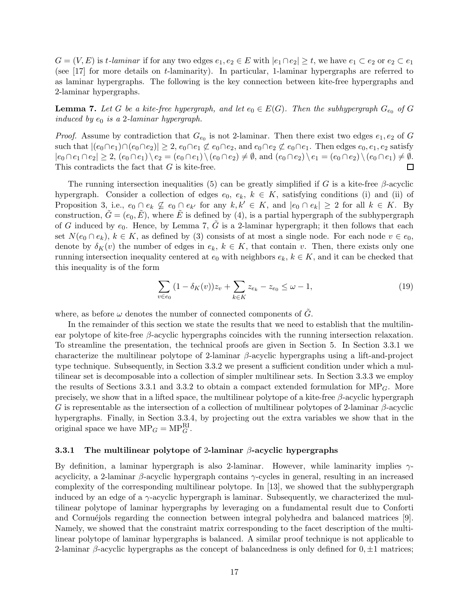$G = (V, E)$  is t-laminar if for any two edges  $e_1, e_2 \in E$  with  $|e_1 \cap e_2| \geq t$ , we have  $e_1 \subset e_2$  or  $e_2 \subset e_1$ (see [17] for more details on t-laminarity). In particular, 1-laminar hypergraphs are referred to as laminar hypergraphs. The following is the key connection between kite-free hypergraphs and 2-laminar hypergraphs.

**Lemma 7.** Let G be a kite-free hypergraph, and let  $e_0 \in E(G)$ . Then the subhypergraph  $G_{e_0}$  of G induced by  $e_0$  is a 2-laminar hypergraph.

*Proof.* Assume by contradiction that  $G_{e_0}$  is not 2-laminar. Then there exist two edges  $e_1, e_2$  of G such that  $|(e_0 \cap e_1) \cap (e_0 \cap e_2)| \geq 2$ ,  $e_0 \cap e_1 \not\subset e_0 \cap e_2$ , and  $e_0 \cap e_2 \not\subset e_0 \cap e_1$ . Then edges  $e_0, e_1, e_2$  satisfy  $|e_0 \cap e_1 \cap e_2| \geq 2$ ,  $(e_0 \cap e_1) \setminus e_2 = (e_0 \cap e_1) \setminus (e_0 \cap e_2) \neq \emptyset$ , and  $(e_0 \cap e_2) \setminus e_1 = (e_0 \cap e_2) \setminus (e_0 \cap e_1) \neq \emptyset$ .<br>This contradicts the fact that G is kite-free. This contradicts the fact that G is kite-free.

The running intersection inequalities (5) can be greatly simplified if G is a kite-free  $\beta$ -acyclic hypergraph. Consider a collection of edges  $e_0, e_k, k \in K$ , satisfying conditions (i) and (ii) of Proposition 3, i.e.,  $e_0 \cap e_k \nsubseteq e_0 \cap e_{k'}$  for any  $k, k' \in K$ , and  $|e_0 \cap e_k| \geq 2$  for all  $k \in K$ . By construction,  $\tilde{G} = (e_0, \tilde{E})$ , where  $\tilde{E}$  is defined by (4), is a partial hypergraph of the subhypergraph of G induced by  $e_0$ . Hence, by Lemma 7,  $\tilde{G}$  is a 2-laminar hypergraph; it then follows that each set  $N(e_0 \cap e_k)$ ,  $k \in K$ , as defined by (3) consists of at most a single node. For each node  $v \in e_0$ , denote by  $\delta_K(v)$  the number of edges in  $e_k, k \in K$ , that contain v. Then, there exists only one running intersection inequality centered at  $e_0$  with neighbors  $e_k$ ,  $k \in K$ , and it can be checked that this inequality is of the form

$$
\sum_{v \in e_0} (1 - \delta_K(v)) z_v + \sum_{k \in K} z_{e_k} - z_{e_0} \le \omega - 1,
$$
\n(19)

where, as before  $\omega$  denotes the number of connected components of  $\tilde{G}$ .

In the remainder of this section we state the results that we need to establish that the multilinear polytope of kite-free  $\beta$ -acyclic hypergraphs coincides with the running intersection relaxation. To streamline the presentation, the technical proofs are given in Section 5. In Section 3.3.1 we characterize the multilinear polytope of 2-laminar  $\beta$ -acyclic hypergraphs using a lift-and-project type technique. Subsequently, in Section 3.3.2 we present a sufficient condition under which a multilinear set is decomposable into a collection of simpler multilinear sets. In Section 3.3.3 we employ the results of Sections 3.3.1 and 3.3.2 to obtain a compact extended formulation for  $MP<sub>G</sub>$ . More precisely, we show that in a lifted space, the multilinear polytope of a kite-free  $\beta$ -acyclic hypergraph G is representable as the intersection of a collection of multilinear polytopes of 2-laminar  $\beta$ -acyclic hypergraphs. Finally, in Section 3.3.4, by projecting out the extra variables we show that in the original space we have  $\text{MP}_G = \text{MP}_G^{\text{RI}}$ .

## 3.3.1 The multilinear polytope of 2-laminar  $\beta$ -acyclic hypergraphs

By definition, a laminar hypergraph is also 2-laminar. However, while laminarity implies  $\gamma$ acyclicity, a 2-laminar  $\beta$ -acyclic hypergraph contains  $\gamma$ -cycles in general, resulting in an increased complexity of the corresponding multilinear polytope. In [13], we showed that the subhypergraph induced by an edge of a  $\gamma$ -acyclic hypergraph is laminar. Subsequently, we characterized the multilinear polytope of laminar hypergraphs by leveraging on a fundamental result due to Conforti and Cornué jols regarding the connection between integral polyhedra and balanced matrices [9]. Namely, we showed that the constraint matrix corresponding to the facet description of the multilinear polytope of laminar hypergraphs is balanced. A similar proof technique is not applicable to 2-laminar β-acyclic hypergraphs as the concept of balancedness is only defined for  $0, \pm 1$  matrices;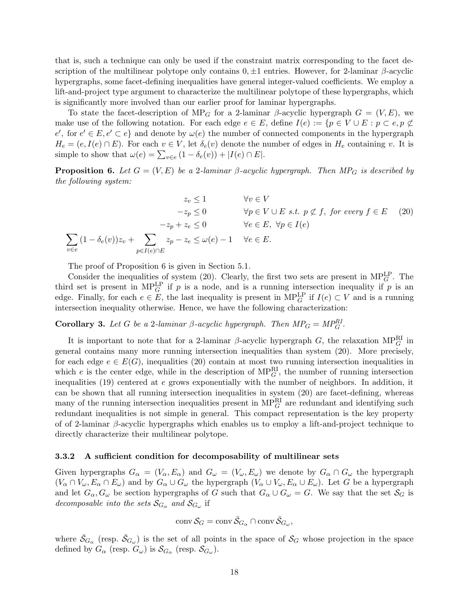that is, such a technique can only be used if the constraint matrix corresponding to the facet description of the multilinear polytope only contains  $0, \pm 1$  entries. However, for 2-laminar β-acyclic hypergraphs, some facet-defining inequalities have general integer-valued coefficients. We employ a lift-and-project type argument to characterize the multilinear polytope of these hypergraphs, which is significantly more involved than our earlier proof for laminar hypergraphs.

To state the facet-description of MP<sub>G</sub> for a 2-laminar  $\beta$ -acyclic hypergraph  $G = (V, E)$ , we make use of the following notation. For each edge  $e \in E$ , define  $I(e) := \{p \in V \cup E : p \subset e, p \not\subset E\}$  $e'$ , for  $e' \in E, e' \subset e$  and denote by  $\omega(e)$  the number of connected components in the hypergraph  $H_e = (e, I(e) \cap E)$ . For each  $v \in V$ , let  $\delta_e(v)$  denote the number of edges in  $H_e$  containing v. It is simple to show that  $\omega(e) = \sum_{v \in e} (1 - \delta_e(v)) + |I(e) \cap E|$ .

**Proposition 6.** Let  $G = (V, E)$  be a 2-laminar  $\beta$ -acyclic hypergraph. Then MP<sub>G</sub> is described by the following system:

$$
z_v \le 1 \qquad \forall v \in V
$$
  
\n
$$
-z_p \le 0 \qquad \forall p \in V \cup E \text{ s.t. } p \not\subset f, \text{ for every } f \in E \quad (20)
$$
  
\n
$$
-z_p + z_e \le 0 \qquad \forall e \in E, \forall p \in I(e)
$$
  
\n
$$
\sum_{v \in e} (1 - \delta_e(v))z_v + \sum_{p \in I(e) \cap E} z_p - z_e \le \omega(e) - 1 \qquad \forall e \in E.
$$

The proof of Proposition 6 is given in Section 5.1.

Consider the inequalities of system (20). Clearly, the first two sets are present in  $MP_G^{\text{LP}}$ . The third set is present in MP<sup>LP</sup> if p is a node, and is a running intersection inequality if p is an edge. Finally, for each  $e \in E$ , the last inequality is present in  $MP_G^{LP}$  if  $I(e) \subset V$  and is a running intersection inequality otherwise. Hence, we have the following characterization:

**Corollary 3.** Let G be a 2-laminar  $\beta$ -acyclic hypergraph. Then  $MP_G = MP_G^{RI}$ .

It is important to note that for a 2-laminar  $\beta$ -acyclic hypergraph G, the relaxation  $MP_G^{\text{RI}}$  in general contains many more running intersection inequalities than system (20). More precisely, for each edge  $e \in E(G)$ , inequalities (20) contain at most two running intersection inequalities in which e is the center edge, while in the description of  $MP_G^{\text{RI}}$ , the number of running intersection inequalities  $(19)$  centered at e grows exponentially with the number of neighbors. In addition, it can be shown that all running intersection inequalities in system (20) are facet-defining, whereas many of the running intersection inequalities present in  $MP_G^{\text{RI}}$  are redundant and identifying such redundant inequalities is not simple in general. This compact representation is the key property of of 2-laminar  $\beta$ -acyclic hypergraphs which enables us to employ a lift-and-project technique to directly characterize their multilinear polytope.

#### 3.3.2 A sufficient condition for decomposability of multilinear sets

Given hypergraphs  $G_{\alpha} = (V_{\alpha}, E_{\alpha})$  and  $G_{\omega} = (V_{\omega}, E_{\omega})$  we denote by  $G_{\alpha} \cap G_{\omega}$  the hypergraph  $(V_{\alpha} \cap V_{\omega}, E_{\alpha} \cap E_{\omega})$  and by  $G_{\alpha} \cup G_{\omega}$  the hypergraph  $(V_{\alpha} \cup V_{\omega}, E_{\alpha} \cup E_{\omega})$ . Let G be a hypergraph and let  $G_{\alpha}, G_{\omega}$  be section hypergraphs of G such that  $G_{\alpha} \cup G_{\omega} = G$ . We say that the set  $S_G$  is decomposable into the sets  $\mathcal{S}_{G_\alpha}$  and  $\mathcal{S}_{G_\omega}$  if

$$
\operatorname{conv} \mathcal{S}_G = \operatorname{conv} \bar{\mathcal{S}}_{G_\alpha} \cap \operatorname{conv} \bar{\mathcal{S}}_{G_\omega},
$$

where  $\bar{S}_{G_{\alpha}}$  (resp.  $\bar{S}_{G_{\omega}}$ ) is the set of all points in the space of  $S_G$  whose projection in the space defined by  $G_{\alpha}$  (resp.  $G_{\omega}$ ) is  $\mathcal{S}_{G_{\alpha}}$  (resp.  $\mathcal{S}_{G_{\omega}}$ ).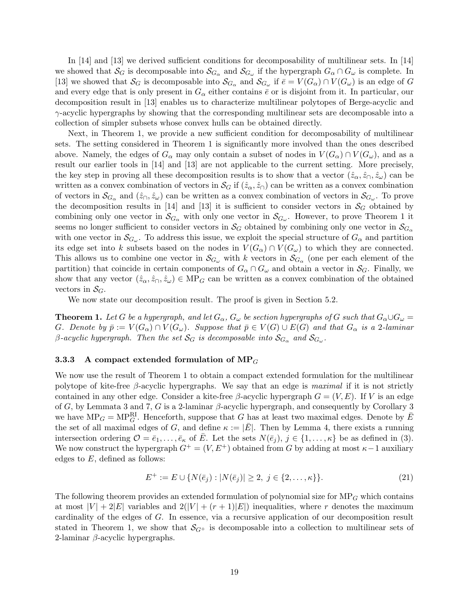In [14] and [13] we derived sufficient conditions for decomposability of multilinear sets. In [14] we showed that  $\mathcal{S}_G$  is decomposable into  $\mathcal{S}_{G_\alpha}$  and  $\mathcal{S}_{G_\omega}$  if the hypergraph  $G_\alpha \cap G_\omega$  is complete. In [13] we showed that  $S_G$  is decomposable into  $S_{G_\alpha}$  and  $S_{G_\omega}$  if  $\bar{e} = V(G_\alpha) \cap V(G_\omega)$  is an edge of G and every edge that is only present in  $G_{\alpha}$  either contains  $\bar{e}$  or is disjoint from it. In particular, our decomposition result in [13] enables us to characterize multilinear polytopes of Berge-acyclic and  $\gamma$ -acyclic hypergraphs by showing that the corresponding multilinear sets are decomposable into a collection of simpler subsets whose convex hulls can be obtained directly.

Next, in Theorem 1, we provide a new sufficient condition for decomposability of multilinear sets. The setting considered in Theorem 1 is significantly more involved than the ones described above. Namely, the edges of  $G_{\alpha}$  may only contain a subset of nodes in  $V(G_{\alpha}) \cap V(G_{\omega})$ , and as a result our earlier tools in [14] and [13] are not applicable to the current setting. More precisely, the key step in proving all these decomposition results is to show that a vector  $(\hat{z}_{\alpha}, \hat{z}_{\cap}, \hat{z}_{\omega})$  can be written as a convex combination of vectors in  $\mathcal{S}_G$  if  $(\hat{z}_{\alpha}, \hat{z}_{\cap})$  can be written as a convex combination of vectors in  $\mathcal{S}_{G_\alpha}$  and  $(\hat{z}_\cap, \hat{z}_\omega)$  can be written as a convex combination of vectors in  $\mathcal{S}_{G_\omega}$ . To prove the decomposition results in [14] and [13] it is sufficient to consider vectors in  $\mathcal{S}_G$  obtained by combining only one vector in  $\mathcal{S}_{G_\alpha}$  with only one vector in  $\mathcal{S}_{G_\omega}$ . However, to prove Theorem 1 it seems no longer sufficient to consider vectors in  $\mathcal{S}_G$  obtained by combining only one vector in  $\mathcal{S}_{G_\alpha}$ with one vector in  $\mathcal{S}_{G_\omega}$ . To address this issue, we exploit the special structure of  $G_\alpha$  and partition its edge set into k subsets based on the nodes in  $V(G_\alpha) \cap V(G_\omega)$  to which they are connected. This allows us to combine one vector in  $\mathcal{S}_{G_\omega}$  with k vectors in  $\mathcal{S}_{G_\alpha}$  (one per each element of the partition) that coincide in certain components of  $G_{\alpha} \cap G_{\omega}$  and obtain a vector in  $S_G$ . Finally, we show that any vector  $(\hat{z}_{\alpha}, \hat{z}_{\alpha}, \hat{z}_{\omega}) \in \text{MP}_G$  can be written as a convex combination of the obtained vectors in  $S_G$ .

We now state our decomposition result. The proof is given in Section 5.2.

**Theorem 1.** Let G be a hypergraph, and let  $G_{\alpha}$ ,  $G_{\omega}$  be section hypergraphs of G such that  $G_{\alpha} \cup G_{\omega} =$ G. Denote by  $\bar{p} := V(G_\alpha) \cap V(G_\omega)$ . Suppose that  $\bar{p} \in V(G) \cup E(G)$  and that  $G_\alpha$  is a 2-laminar  $\beta$ -acyclic hypergraph. Then the set  $\mathcal{S}_G$  is decomposable into  $\mathcal{S}_{G_\alpha}$  and  $\mathcal{S}_{G_\omega}.$ 

#### 3.3.3 A compact extended formulation of  $MP_G$

We now use the result of Theorem 1 to obtain a compact extended formulation for the multilinear polytope of kite-free  $\beta$ -acyclic hypergraphs. We say that an edge is maximal if it is not strictly contained in any other edge. Consider a kite-free  $\beta$ -acyclic hypergraph  $G = (V, E)$ . If V is an edge of G, by Lemmata 3 and 7, G is a 2-laminar  $\beta$ -acyclic hypergraph, and consequently by Corollary 3 we have  $MP_G = MP_G^R$ . Henceforth, suppose that G has at least two maximal edges. Denote by  $\overline{E}$ the set of all maximal edges of G, and define  $\kappa := |\bar{E}|$ . Then by Lemma 4, there exists a running intersection ordering  $\mathcal{O} = \bar{e}_1, \ldots, \bar{e}_\kappa$  of  $\bar{E}$ . Let the sets  $N(\bar{e}_i), j \in \{1, \ldots, \kappa\}$  be as defined in (3). We now construct the hypergraph  $G^+ = (V, E^+)$  obtained from G by adding at most  $\kappa - 1$  auxiliary edges to  $E$ , defined as follows:

$$
E^{+} := E \cup \{ N(\bar{e}_j) : |N(\bar{e}_j)| \ge 2, \ j \in \{2, \dots, \kappa\} \}.
$$
\n(21)

The following theorem provides an extended formulation of polynomial size for  $MP<sub>G</sub>$  which contains at most  $|V| + 2|E|$  variables and  $2(|V| + (r + 1)|E|)$  inequalities, where r denotes the maximum cardinality of the edges of G. In essence, via a recursive application of our decomposition result stated in Theorem 1, we show that  $\mathcal{S}_{G^+}$  is decomposable into a collection to multilinear sets of 2-laminar  $\beta$ -acyclic hypergraphs.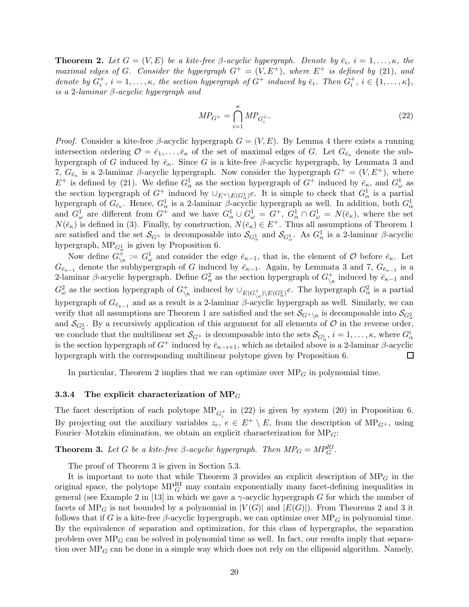**Theorem 2.** Let  $G = (V, E)$  be a kite-free  $\beta$ -acyclic hypergraph. Denote by  $\bar{e}_i$ ,  $i = 1, \ldots, \kappa$ , the maximal edges of G. Consider the hypergraph  $G^+ = (V, E^+)$ , where  $E^+$  is defined by (21), and denote by  $G_i^+$ ,  $i = 1, ..., \kappa$ , the section hypergraph of  $G^+$  induced by  $\bar{e}_i$ . Then  $G_i^+$ ,  $i \in \{1, ..., \kappa\}$ , is a 2-laminar  $\beta$ -acyclic hypergraph and

$$
MP_{G^+} = \bigcap_{i=1}^{\kappa} MP_{G_i^+}.
$$
\n(22)

*Proof.* Consider a kite-free  $\beta$ -acyclic hypergraph  $G = (V, E)$ . By Lemma 4 there exists a running intersection ordering  $\mathcal{O} = \bar{e}_1, \ldots, \bar{e}_\kappa$  of the set of maximal edges of G. Let  $G_{\bar{e}_\kappa}$  denote the subhypergraph of G induced by  $\bar{e}_{\kappa}$ . Since G is a kite-free  $\beta$ -acyclic hypergraph, by Lemmata 3 and 7,  $G_{\bar{e}_{\kappa}}$  is a 2-laminar  $\beta$ -acyclic hypergraph. Now consider the hypergraph  $G^+ = (V, E^+)$ , where  $E^+$  is defined by (21). We define  $G^1_\alpha$  as the section hypergraph of  $G^+$  induced by  $\bar{e}_{\kappa}$ , and  $G^1_\omega$  as the section hypergraph of  $G^+$  induced by  $\cup_{E^+\backslash E(G^1_\alpha)}e$ . It is simple to check that  $G^1_\alpha$  is a partial hypergraph of  $G_{\bar{e}_\kappa}$ . Hence,  $G^1_\alpha$  is a 2-laminar  $\beta$ -acyclic hypergraph as well. In addition, both  $G^1_\alpha$ and  $G^1_\omega$  are different from  $G^+$  and we have  $G^1_\alpha \cup G^1_\omega = G^+$ ,  $G^1_\alpha \cap G^1_\omega = N(\bar{e}_\kappa)$ , where the set  $N(\bar{e}_{\kappa})$  is defined in (3). Finally, by construction,  $N(\bar{e}_{\kappa}) \in E^+$ . Thus all assumptions of Theorem 1 are satisfied and the set  $\mathcal{S}_{G^+}$  is decomposable into  $\mathcal{S}_{G^1_\alpha}$  and  $\mathcal{S}_{G^1_\omega}$ . As  $G^1_\alpha$  is a 2-laminar  $\beta$ -acyclic hypergraph,  $MP_{G^1_{\alpha}}$  is given by Proposition 6.

Now define  $G_{\setminus\kappa}^{\dagger} := G_{\omega}^1$  and consider the edge  $\bar{e}_{\kappa-1}$ , that is, the element of  $\mathcal O$  before  $\bar{e}_{\kappa}$ . Let Ge<sub> $\bar{\epsilon}_{\kappa-1}$ </sub> denote the subhypergraph of G induced by  $\bar{\epsilon}_{\kappa-1}$ . Again, by Lemmata 3 and 7,  $G_{\bar{\epsilon}_{\kappa-1}}$  is a 2-laminar β-acyclic hypergraph. Define  $G^2_\alpha$  as the section hypergraph of  $G^+_{\setminus \mu}$  $\overrightarrow{\kappa}$  induced by  $\overrightarrow{e}_{\kappa-1}$  and  $G_{\omega}^2$  as the section hypergraph of  $G_{\backslash i}^+$ <sup>+</sup><sub>\k</sub> induced by  $\cup_{E(G_{\lambda^k}^{\downarrow})\backslash E(G_{\alpha}^2)}e$ . The hypergraph  $G_{\alpha}^2$  is a partial hypergraph of  $G_{\bar{e}_{\kappa-1}}$  and as a result is a 2-laminar β-acyclic hypergraph as well. Similarly, we can verify that all assumptions are Theorem 1 are satisfied and the set  $\mathcal{S}_{G^+\setminus\kappa}$  is decomposable into  $\mathcal{S}_{G^2_\alpha}$ and  $\mathcal{S}_{G^2_{\omega}}$ . By a recursively application of this argument for all elements of  $\mathcal O$  in the reverse order, we conclude that the multilinear set  $\mathcal{S}_{G^+}$  is decomposable into the sets  $\mathcal{S}_{G^i_\alpha}$ ,  $i = 1, \ldots, \kappa$ , where  $G^i_\alpha$ is the section hypergraph of  $G^+$  induced by  $\bar{e}_{\kappa-i+1}$ , which as detailed above is a 2-laminar β-acyclic<br>hypergraph with the corresponding multilinear polytope given by Proposition 6. hypergraph with the corresponding multilinear polytope given by Proposition 6.

In particular, Theorem 2 implies that we can optimize over  $MP<sub>G</sub>$  in polynomial time.

#### 3.3.4 The explicit characterization of  $MP_G$

The facet description of each polytope  $MP_{G_i^+}$  in (22) is given by system (20) in Proposition 6. By projecting out the auxiliary variables  $z_e, e \in E^+ \setminus E$ , from the description of MP<sub>G+</sub>, using Fourier–Motzkin elimination, we obtain an explicit characterization for  $MP_G$ :

**Theorem 3.** Let G be a kite-free  $\beta$ -acyclic hypergraph. Then  $MP_G = MP_G^{RI}$ .

The proof of Theorem 3 is given in Section 5.3.

It is important to note that while Theorem 3 provides an explicit description of  $MP<sub>G</sub>$  in the original space, the polytope  $MP_G^{\text{RI}}$  may contain exponentially many facet-defining inequalities in general (see Example 2 in [13] in which we gave a  $\gamma$ -acyclic hypergraph G for which the number of facets of  $MP_G$  is not bounded by a polynomial in  $|V(G)|$  and  $|E(G)|$ ). From Theorems 2 and 3 it follows that if G is a kite-free  $\beta$ -acyclic hypergraph, we can optimize over MP<sub>G</sub> in polynomial time. By the equivalence of separation and optimization, for this class of hypergraphs, the separation problem over  $MP_G$  can be solved in polynomial time as well. In fact, our results imply that separation over  $MP_G$  can be done in a simple way which does not rely on the ellipsoid algorithm. Namely,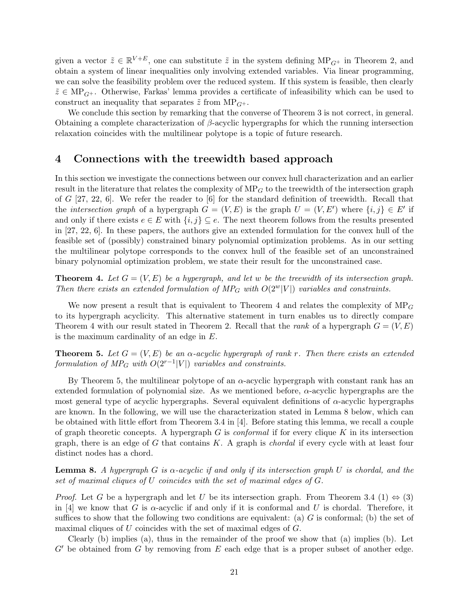given a vector  $\tilde{z} \in \mathbb{R}^{V+E}$ , one can substitute  $\tilde{z}$  in the system defining  $MP_{G^+}$  in Theorem 2, and obtain a system of linear inequalities only involving extended variables. Via linear programming, we can solve the feasibility problem over the reduced system. If this system is feasible, then clearly  $\tilde{z} \in MP_{G^+}$ . Otherwise, Farkas' lemma provides a certificate of infeasibility which can be used to construct an inequality that separates  $\tilde{z}$  from  $MP_{G^+}$ .

We conclude this section by remarking that the converse of Theorem 3 is not correct, in general. Obtaining a complete characterization of  $\beta$ -acyclic hypergraphs for which the running intersection relaxation coincides with the multilinear polytope is a topic of future research.

## 4 Connections with the treewidth based approach

In this section we investigate the connections between our convex hull characterization and an earlier result in the literature that relates the complexity of  $MP_G$  to the treewidth of the intersection graph of G  $[27, 22, 6]$ . We refer the reader to  $[6]$  for the standard definition of treewidth. Recall that the *intersection graph* of a hypergraph  $G = (V, E)$  is the graph  $U = (V, E')$  where  $\{i, j\} \in E'$  if and only if there exists  $e \in E$  with  $\{i, j\} \subseteq e$ . The next theorem follows from the results presented in [27, 22, 6]. In these papers, the authors give an extended formulation for the convex hull of the feasible set of (possibly) constrained binary polynomial optimization problems. As in our setting the multilinear polytope corresponds to the convex hull of the feasible set of an unconstrained binary polynomial optimization problem, we state their result for the unconstrained case.

**Theorem 4.** Let  $G = (V, E)$  be a hypergraph, and let w be the treewidth of its intersection graph. Then there exists an extended formulation of  $MP_G$  with  $O(2^w|V|)$  variables and constraints.

We now present a result that is equivalent to Theorem 4 and relates the complexity of  $MP<sub>G</sub>$ to its hypergraph acyclicity. This alternative statement in turn enables us to directly compare Theorem 4 with our result stated in Theorem 2. Recall that the rank of a hypergraph  $G = (V, E)$ is the maximum cardinality of an edge in E.

**Theorem 5.** Let  $G = (V, E)$  be an  $\alpha$ -acyclic hypergraph of rank r. Then there exists an extended formulation of  $MP_G$  with  $O(2^{r-1}|V|)$  variables and constraints.

By Theorem 5, the multilinear polytope of an  $\alpha$ -acyclic hypergraph with constant rank has an extended formulation of polynomial size. As we mentioned before,  $\alpha$ -acyclic hypergraphs are the most general type of acyclic hypergraphs. Several equivalent definitions of  $\alpha$ -acyclic hypergraphs are known. In the following, we will use the characterization stated in Lemma 8 below, which can be obtained with little effort from Theorem 3.4 in [4]. Before stating this lemma, we recall a couple of graph theoretic concepts. A hypergraph  $G$  is *conformal* if for every clique  $K$  in its intersection graph, there is an edge of G that contains  $K$ . A graph is *chordal* if every cycle with at least four distinct nodes has a chord.

**Lemma 8.** A hypergraph G is  $\alpha$ -acyclic if and only if its intersection graph U is chordal, and the set of maximal cliques of U coincides with the set of maximal edges of G.

*Proof.* Let G be a hypergraph and let U be its intersection graph. From Theorem 3.4 (1)  $\Leftrightarrow$  (3) in [4] we know that G is  $\alpha$ -acyclic if and only if it is conformal and U is chordal. Therefore, it suffices to show that the following two conditions are equivalent: (a)  $G$  is conformal; (b) the set of maximal cliques of U coincides with the set of maximal edges of G.

Clearly (b) implies (a), thus in the remainder of the proof we show that (a) implies (b). Let  $G'$  be obtained from G by removing from E each edge that is a proper subset of another edge.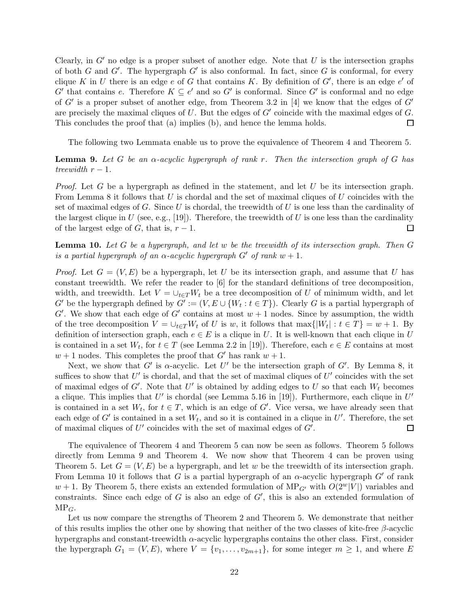Clearly, in  $G'$  no edge is a proper subset of another edge. Note that U is the intersection graphs of both G and G'. The hypergraph G' is also conformal. In fact, since G is conformal, for every clique K in U there is an edge e of G that contains K. By definition of  $G'$ , there is an edge  $e'$  of  $G'$  that contains e. Therefore  $K \subseteq e'$  and so  $G'$  is conformal. Since  $G'$  is conformal and no edge of  $G'$  is a proper subset of another edge, from Theorem 3.2 in [4] we know that the edges of  $G'$ are precisely the maximal cliques of  $U$ . But the edges of  $G'$  coincide with the maximal edges of  $G$ . This concludes the proof that (a) implies (b), and hence the lemma holds.  $\Box$ 

The following two Lemmata enable us to prove the equivalence of Theorem 4 and Theorem 5.

**Lemma 9.** Let G be an  $\alpha$ -acyclic hypergraph of rank r. Then the intersection graph of G has treewidth  $r - 1$ .

*Proof.* Let G be a hypergraph as defined in the statement, and let U be its intersection graph. From Lemma 8 it follows that  $U$  is chordal and the set of maximal cliques of  $U$  coincides with the set of maximal edges of G. Since U is chordal, the treewidth of U is one less than the cardinality of the largest clique in U (see, e.g., [19]). Therefore, the treewidth of U is one less than the cardinality of the largest edge of G, that is,  $r-1$ .  $\Box$ 

**Lemma 10.** Let G be a hypergraph, and let w be the treewidth of its intersection graph. Then  $G$ is a partial hypergraph of an  $\alpha$ -acyclic hypergraph  $G'$  of rank  $w + 1$ .

*Proof.* Let  $G = (V, E)$  be a hypergraph, let U be its intersection graph, and assume that U has constant treewidth. We refer the reader to [6] for the standard definitions of tree decomposition, width, and treewidth. Let  $V = \bigcup_{t \in T} W_t$  be a tree decomposition of U of minimum width, and let  $G'$  be the hypergraph defined by  $G' := (V, E \cup \{W_t : t \in T\})$ . Clearly G is a partial hypergraph of  $G'$ . We show that each edge of  $G'$  contains at most  $w + 1$  nodes. Since by assumption, the width of the tree decomposition  $V = \bigcup_{t \in T} W_t$  of U is w, it follows that  $\max\{|W_t| : t \in T\} = w + 1$ . By definition of intersection graph, each  $e \in E$  is a clique in U. It is well-known that each clique in U is contained in a set  $W_t$ , for  $t \in T$  (see Lemma 2.2 in [19]). Therefore, each  $e \in E$  contains at most  $w + 1$  nodes. This completes the proof that G' has rank  $w + 1$ .

Next, we show that G' is  $\alpha$ -acyclic. Let U' be the intersection graph of G'. By Lemma 8, it suffices to show that  $U'$  is chordal, and that the set of maximal cliques of  $U'$  coincides with the set of maximal edges of  $G'$ . Note that  $U'$  is obtained by adding edges to U so that each  $W_t$  becomes a clique. This implies that U' is chordal (see Lemma 5.16 in [19]). Furthermore, each clique in  $U'$ is contained in a set  $W_t$ , for  $t \in T$ , which is an edge of G'. Vice versa, we have already seen that each edge of  $G'$  is contained in a set  $W_t$ , and so it is contained in a clique in  $U'$ . Therefore, the set of maximal cliques of  $U'$  coincides with the set of maximal edges of  $G'$ .  $\Box$ 

The equivalence of Theorem 4 and Theorem 5 can now be seen as follows. Theorem 5 follows directly from Lemma 9 and Theorem 4. We now show that Theorem 4 can be proven using Theorem 5. Let  $G = (V, E)$  be a hypergraph, and let w be the treewidth of its intersection graph. From Lemma 10 it follows that G is a partial hypergraph of an  $\alpha$ -acyclic hypergraph G' of rank  $w + 1$ . By Theorem 5, there exists an extended formulation of MP<sub>G'</sub> with  $O(2^w|V|)$  variables and constraints. Since each edge of  $G$  is also an edge of  $G'$ , this is also an extended formulation of  $MP_G.$ 

Let us now compare the strengths of Theorem 2 and Theorem 5. We demonstrate that neither of this results implies the other one by showing that neither of the two classes of kite-free  $\beta$ -acyclic hypergraphs and constant-treewidth  $\alpha$ -acyclic hypergraphs contains the other class. First, consider the hypergraph  $G_1 = (V, E)$ , where  $V = \{v_1, \ldots, v_{2m+1}\}\$ , for some integer  $m \geq 1$ , and where E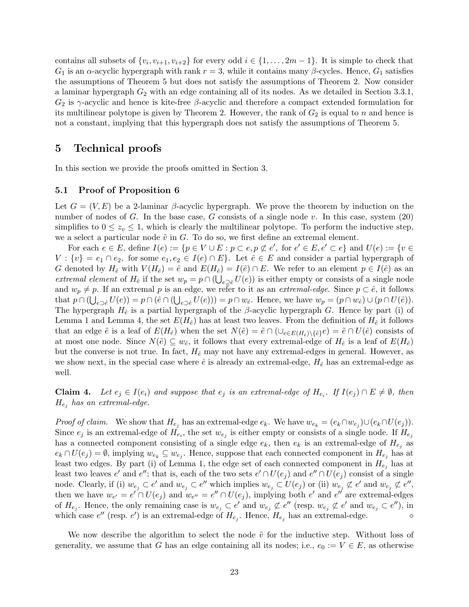contains all subsets of  $\{v_i, v_{i+1}, v_{i+2}\}$  for every odd  $i \in \{1, ..., 2m-1\}$ . It is simple to check that  $G_1$  is an  $\alpha$ -acyclic hypergraph with rank  $r = 3$ , while it contains many  $\beta$ -cycles. Hence,  $G_1$  satisfies the assumptions of Theorem 5 but does not satisfy the assumptions of Theorem 2. Now consider a laminar hypergraph  $G_2$  with an edge containing all of its nodes. As we detailed in Section 3.3.1,  $G_2$  is  $\gamma$ -acyclic and hence is kite-free  $\beta$ -acyclic and therefore a compact extended formulation for its multilinear polytope is given by Theorem 2. However, the rank of  $G_2$  is equal to n and hence is not a constant, implying that this hypergraph does not satisfy the assumptions of Theorem 5.

## 5 Technical proofs

In this section we provide the proofs omitted in Section 3.

## 5.1 Proof of Proposition 6

Let  $G = (V, E)$  be a 2-laminar  $\beta$ -acyclic hypergraph. We prove the theorem by induction on the number of nodes of G. In the base case, G consists of a single node v. In this case, system  $(20)$ simplifies to  $0 \leq z_v \leq 1$ , which is clearly the multilinear polytope. To perform the inductive step, we a select a particular node  $\tilde{v}$  in G. To do so, we first define an extremal element.

For each  $e \in E$ , define  $I(e) := \{p \in V \cup E : p \subset e, p \not\subset e'$ , for  $e' \in E, e' \subset e\}$  and  $U(e) := \{v \in E\}$  $V: \{v\} = e_1 \cap e_2$ , for some  $e_1, e_2 \in I(e) \cap E$ . Let  $\hat{e} \in E$  and consider a partial hypergraph of G denoted by  $H_{\hat{e}}$  with  $V(H_{\hat{e}}) = \hat{e}$  and  $E(H_{\hat{e}}) = I(\hat{e}) \cap E$ . We refer to an element  $p \in I(\hat{e})$  as an extremal element of  $H_{\hat{e}}$  if the set  $w_p = p \cap (\bigcup_{e \supsetneq \hat{e}} U(e))$  is either empty or consists of a single node and  $w_p \neq p$ . If an extremal p is an edge, we refer to it as an *extremal-edge*. Since  $p \subset \hat{e}$ , it follows that  $p \cap (\bigcup_{e \supset e} U(e)) = p \cap (\hat{e} \cap (\bigcup_{e \supset e} U(e))) = p \cap w_{\hat{e}}$ . Hence, we have  $w_p = (p \cap w_{\hat{e}}) \cup (p \cap U(\hat{e}))$ . The hypergraph  $H_{\hat{e}}$  is a partial hypergraph of the β-acyclic hypergraph G. Hence by part (i) of Lemma 1 and Lemma 4, the set  $E(H_{\hat{e}})$  has at least two leaves. From the definition of  $H_{\hat{e}}$  it follows that an edge  $\tilde{e}$  is a leaf of  $E(H_{\hat{e}})$  when the set  $N(\tilde{e}) = \tilde{e} \cap (\cup_{e \in E(H_{\hat{e}}) \setminus {\{\hat{e}\}}}e) = \tilde{e} \cap U(\hat{e})$  consists of at most one node. Since  $N(\tilde{e}) \subseteq w_{\tilde{e}}$ , it follows that every extremal-edge of  $H_{\tilde{e}}$  is a leaf of  $E(H_{\tilde{e}})$ but the converse is not true. In fact,  $H_{\hat{e}}$  may not have any extremal-edges in general. However, as we show next, in the special case where  $\hat{e}$  is already an extremal-edge,  $H_{\hat{e}}$  has an extremal-edge as well.

**Claim 4.** Let  $e_j \in I(e_i)$  and suppose that  $e_j$  is an extremal-edge of  $H_{e_i}$ . If  $I(e_j) \cap E \neq \emptyset$ , then  $H_{e_j}$  has an extremal-edge.

*Proof of claim.* We show that  $H_{e_j}$  has an extremal-edge  $e_k$ . We have  $w_{e_k} = (e_k \cap w_{e_j}) \cup (e_k \cap U(e_j))$ . Since  $e_j$  is an extremal-edge of  $H_{e_i}$ , the set  $w_{e_j}$  is either empty or consists of a single node. If  $H_{e_j}$ has a connected component consisting of a single edge  $e_k$ , then  $e_k$  is an extremal-edge of  $H_{e_j}$  as  $e_k \cap U(e_j) = \emptyset$ , implying  $w_{e_k} \subseteq w_{e_j}$ . Hence, suppose that each connected component in  $H_{e_j}$  has at least two edges. By part (i) of Lemma 1, the edge set of each connected component in  $H_{e_i}$  has at least two leaves e' and e''; that is, each of the two sets  $e' \cap U(e_j)$  and  $e'' \cap U(e_j)$  consist of a single node. Clearly, if (i)  $w_{e_j} \subset e'$  and  $w_{e_j} \subset e''$  which implies  $w_{e_j} \subset U(e_j)$  or (ii)  $w_{e_j} \not\subset e'$  and  $w_{e_j} \not\subset e''$ , then we have  $w_{e'} = e' \cap U(e_j)$  and  $w_{e''} = e'' \cap U(e_j)$ , implying both  $e'$  and  $e''$  are extremal-edges of  $H_{e_j}$ . Hence, the only remaining case is  $w_{e_j} \subset e'$  and  $w_{e_j} \not\subset e''$  (resp.  $w_{e_j} \not\subset e'$  and  $w_{e_j} \subset e''$ ), in which case  $e''$  (resp.  $e'$ ) is an extremal-edge of  $H_{e_j}$ . Hence,  $H_{e_j}$  has an extremal-edge.  $\diamond$ 

We now describe the algorithm to select the node  $\tilde{v}$  for the inductive step. Without loss of generality, we assume that G has an edge containing all its nodes; i.e.,  $e_0 := V \in E$ , as otherwise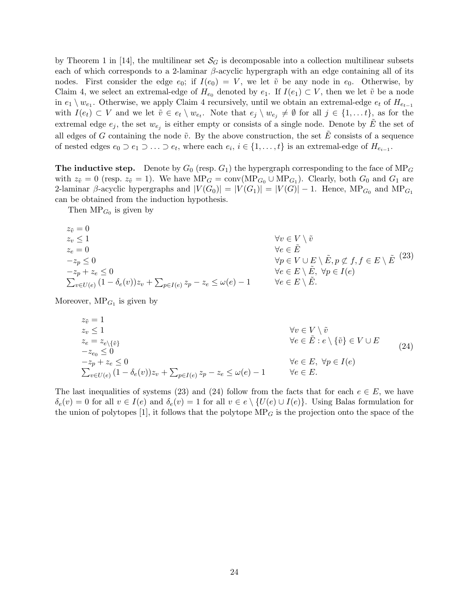by Theorem 1 in [14], the multilinear set  $\mathcal{S}_G$  is decomposable into a collection multilinear subsets each of which corresponds to a 2-laminar  $\beta$ -acyclic hypergraph with an edge containing all of its nodes. First consider the edge  $e_0$ ; if  $I(e_0) = V$ , we let  $\tilde{v}$  be any node in  $e_0$ . Otherwise, by Claim 4, we select an extremal-edge of  $H_{e_0}$  denoted by  $e_1$ . If  $I(e_1) \subset V$ , then we let  $\tilde{v}$  be a node in  $e_1 \setminus w_{e_1}$ . Otherwise, we apply Claim 4 recursively, until we obtain an extremal-edge  $e_t$  of  $H_{e_{t-1}}$ with  $I(e_t) \subset V$  and we let  $\tilde{v} \in e_t \setminus w_{e_t}$ . Note that  $e_j \setminus w_{e_j} \neq \emptyset$  for all  $j \in \{1, \ldots t\}$ , as for the extremal edge  $e_j$ , the set  $w_{e_j}$  is either empty or consists of a single node. Denote by  $\tilde{E}$  the set of all edges of G containing the node  $\tilde{v}$ . By the above construction, the set  $\tilde{E}$  consists of a sequence of nested edges  $e_0 \supset e_1 \supset \ldots \supset e_t$ , where each  $e_i, i \in \{1, \ldots, t\}$  is an extremal-edge of  $H_{e_{i-1}}$ .

**The inductive step.** Denote by  $G_0$  (resp.  $G_1$ ) the hypergraph corresponding to the face of MP<sub>G</sub> with  $z_{\tilde{v}} = 0$  (resp.  $z_{\tilde{v}} = 1$ ). We have  $MP_G = \text{conv}(MP_{G_0} \cup MP_{G_1})$ . Clearly, both  $G_0$  and  $G_1$  are 2-laminar  $\beta$ -acyclic hypergraphs and  $|V(G_0)| = |V(G_1)| = |V(G)| - 1$ . Hence,  $MP_{G_0}$  and  $MP_{G_1}$ can be obtained from the induction hypothesis.

Then  $\text{MP}_{G_0}$  is given by

$$
z_{\tilde{v}} = 0
$$
  
\n
$$
z_{v} \leq 1
$$
  
\n
$$
z_{e} = 0
$$
  
\n
$$
-z_{p} \leq 0
$$
  
\n
$$
-\sum_{v \in U(e)} (1 - \delta_{e}(v))z_{v} + \sum_{p \in I(e)} z_{p} - z_{e} \leq \omega(e) - 1
$$
  
\n
$$
\forall v \in V \setminus \tilde{v}
$$
  
\n
$$
\forall v \in V \setminus \tilde{v}
$$
  
\n
$$
\forall e \in \tilde{E}
$$
  
\n
$$
\forall e \in E \setminus \tilde{E}, p \notin f, f \in E \setminus \tilde{E}
$$
  
\n
$$
\forall e \in E \setminus \tilde{E}, \forall p \in I(e)
$$
  
\n
$$
\forall e \in E \setminus \tilde{E}.
$$
  
\n(23)

Moreover,  $MP_{G_1}$  is given by

$$
z_{\tilde{v}} = 1
$$
  
\n
$$
z_{v} \leq 1
$$
  
\n
$$
z_{e} = z_{e \setminus \{\tilde{v}\}}
$$
  
\n
$$
-z_{e_{0}} \leq 0
$$
  
\n
$$
-z_{p} + z_{e} \leq 0
$$
  
\n
$$
\sum_{v \in U(e)} (1 - \delta_{e}(v))z_{v} + \sum_{p \in I(e)} z_{p} - z_{e} \leq \omega(e) - 1
$$
  
\n
$$
\forall e \in E, \forall p \in I(e)
$$
  
\n
$$
\forall e \in E, \forall p \in I(e)
$$
  
\n
$$
\forall e \in E, \forall p \in I(e)
$$
  
\n(24)

The last inequalities of systems (23) and (24) follow from the facts that for each  $e \in E$ , we have  $\delta_e(v) = 0$  for all  $v \in I(e)$  and  $\delta_e(v) = 1$  for all  $v \in e \setminus \{U(e) \cup I(e)\}\)$ . Using Balas formulation for the union of polytopes [1], it follows that the polytope  $MP_G$  is the projection onto the space of the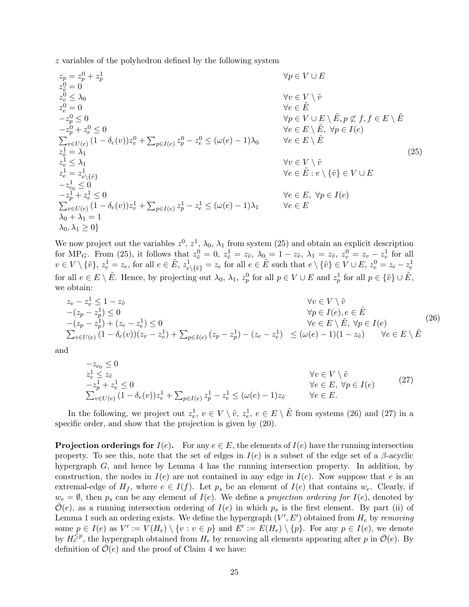z variables of the polyhedron defined by the following system

$$
z_{p} = z_{p}^{0} + z_{p}^{1}
$$
  
\n
$$
z_{v}^{0} = 0
$$
  
\n
$$
z_{v}^{0} \leq \lambda_{0}
$$
  
\n
$$
z_{v}^{0} = 0
$$
  
\n
$$
z_{v}^{0} \leq 0
$$
  
\n
$$
z_{v}^{0} = 0
$$
  
\n
$$
z_{v}^{1} \leq 0
$$
  
\n
$$
\sum_{v \in U(e)} (1 - \delta_{e}(v)) z_{v}^{0} + \sum_{p \in I(e)} z_{p}^{0} - z_{e}^{0} \leq (\omega(e) - 1) \lambda_{0}
$$
  
\n
$$
z_{v}^{1} = \lambda_{1}
$$
  
\n
$$
z_{v}^{1} = \lambda_{1}
$$
  
\n
$$
z_{v}^{1} \leq \lambda_{1}
$$
  
\n
$$
z_{v}^{1} = \lambda_{1}
$$
  
\n
$$
z_{v}^{1} \leq \lambda_{1}
$$
  
\n
$$
z_{v}^{1} = \lambda_{1}
$$
  
\n
$$
z_{v}^{1} \leq \lambda_{1}
$$
  
\n
$$
z_{v}^{1} = \lambda_{1}
$$
  
\n
$$
z_{v}^{1} \leq 0
$$
  
\n
$$
z_{v}^{1} \leq 0
$$
  
\n
$$
z_{v}^{1} = \lambda_{1}
$$
  
\n
$$
z_{v}^{1} \leq 0
$$
  
\n
$$
z_{v}^{1} \leq 0
$$
  
\n
$$
z_{v}^{1} \leq 0
$$
  
\n
$$
z_{v}^{1} \leq 0
$$
  
\n
$$
z_{v}^{1} \leq 0
$$
  
\n
$$
z_{v}^{1} \leq 0
$$
  
\n
$$
z_{v}^{1} \leq 0
$$
  
\n
$$
z_{v}^{1} \leq 0
$$
  
\n
$$
z_{v}^{1} \leq 0
$$
  
\n
$$
z_{v}^{1} \leq 0
$$
  
\n
$$
z
$$

We now project out the variables  $z^0$ ,  $z^1$ ,  $\lambda_0$ ,  $\lambda_1$  from system (25) and obtain an explicit description for MP<sub>G</sub>. From (25), it follows that  $z_{\tilde{v}}^0 = 0$ ,  $z_{\tilde{v}}^1 = z_{\tilde{v}}$ ,  $\lambda_{0} = 1 - z_{\tilde{v}}$ ,  $\lambda_1 = z_{\tilde{v}}$ ,  $z_{v}^0 = z_{v} - z_{v}^1$  for all  $v \in V \setminus \{\tilde{v}\}, z_e^1 = z_e$ , for all  $e \in \tilde{E}$ ,  $z_{e \setminus \{\tilde{v}\}}^1 = z_e$  for all  $e \in \tilde{E}$  such that  $e \setminus \{\tilde{v}\} \in V \cup E$ ,  $z_e^0 = z_e - z_e^1$ for all  $e \in E \setminus \tilde{E}$ . Hence, by projecting out  $\lambda_0$ ,  $\lambda_1$ ,  $z_p^0$  for all  $p \in V \cup E$  and  $z_p^1$  for all  $p \in {\tilde{v}} \cup \tilde{E}$ , we obtain:

$$
z_v - z_v^1 \le 1 - z_{\tilde{v}} \qquad \forall v \in V \setminus \tilde{v} -(z_p - z_p^1) \le 0 \qquad \forall p \in I(e), e \in \tilde{E} -(z_p - z_p^1) + (z_e - z_e^1) \le 0 \qquad \forall e \in E \setminus \tilde{E}, \forall p \in I(e) \sum_{v \in U(e)} (1 - \delta_e(v))(z_v - z_v^1) + \sum_{p \in I(e)} (z_p - z_p^1) - (z_e - z_e^1) \le (\omega(e) - 1)(1 - z_{\tilde{v}}) \qquad \forall e \in E \setminus \tilde{E}
$$
 (26)

and

$$
-z_{e_0} \le 0
$$
  
\n
$$
z_v^1 \le z_{\tilde{v}}
$$
  
\n
$$
-z_p^1 + z_e^1 \le 0
$$
  
\n
$$
\sum_{v \in U(e)} (1 - \delta_e(v)) z_v^1 + \sum_{p \in I(e)} z_p^1 - z_e^1 \le (\omega(e) - 1) z_{\tilde{v}}
$$
  
\n
$$
\forall v \in V \setminus \tilde{v}
$$
  
\n
$$
\forall e \in E, \forall p \in I(e)
$$
  
\n
$$
\forall e \in E.
$$
\n(27)

In the following, we project out  $z_v^1$ ,  $v \in V \setminus \tilde{v}$ ,  $z_e^1$ ,  $e \in E \setminus \tilde{E}$  from systems (26) and (27) in a specific order, and show that the projection is given by (20).

**Projection orderings for**  $I(e)$ . For any  $e \in E$ , the elements of  $I(e)$  have the running intersection property. To see this, note that the set of edges in  $I(e)$  is a subset of the edge set of a β-acyclic hypergraph G, and hence by Lemma 4 has the running intersection property. In addition, by construction, the nodes in  $I(e)$  are not contained in any edge in  $I(e)$ . Now suppose that e is an extremal-edge of  $H_f$ , where  $e \in I(f)$ . Let  $p_s$  be an element of  $I(e)$  that contains  $w_e$ . Clearly, if  $w_e = \emptyset$ , then  $p_s$  can be any element of  $I(e)$ . We define a projection ordering for  $I(e)$ , denoted by  $\mathcal{O}(e)$ , as a running intersection ordering of  $I(e)$  in which  $p_s$  is the first element. By part (ii) of Lemma 1 such an ordering exists. We define the hypergraph  $(V', E')$  obtained from  $H_e$  by removing some  $p \in I(e)$  as  $V' := V(H_e) \setminus \{v : v \in p\}$  and  $E' := E(H_e) \setminus \{p\}$ . For any  $p \in I(e)$ , we denote by  $H_e^{\leq p}$ , the hypergraph obtained from  $H_e$  by removing all elements appearing after p in  $\bar{\mathcal{O}}(e)$ . By definition of  $\overline{\mathcal{O}}(e)$  and the proof of Claim 4 we have: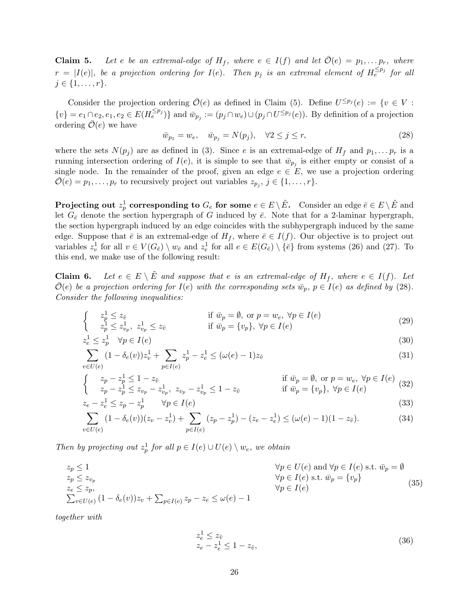**Claim 5.** Let e be an extremal-edge of  $H_f$ , where  $e \in I(f)$  and let  $\overline{\mathcal{O}}(e) = p_1, \ldots, p_r$ , where  $r = |I(e)|$ , be a projection ordering for  $I(e)$ . Then  $p_j$  is an extremal element of  $H_e^{\leq p_j}$  for all  $j \in \{1, \ldots, r\}.$ 

Consider the projection ordering  $\overline{\mathcal{O}}(e)$  as defined in Claim (5). Define  $U^{\leq p_j}(e) := \{v \in V :$  $\{v\} = e_1 \cap e_2, e_1, e_2 \in E(H_e^{\leq p_j})\}$  and  $\bar{w}_{p_j} := (p_j \cap w_e) \cup (p_j \cap U^{\leq p_j}(e))$ . By definition of a projection ordering  $\overline{\mathcal{O}}(e)$  we have

$$
\bar{w}_{p_1} = w_e, \quad \bar{w}_{p_j} = N(p_j), \quad \forall 2 \le j \le r,
$$
\n
$$
(28)
$$

where the sets  $N(p_j)$  are as defined in (3). Since e is an extremal-edge of  $H_f$  and  $p_1, \ldots p_r$  is a running intersection ordering of  $I(e)$ , it is simple to see that  $\bar{w}_{p_j}$  is either empty or consist of a single node. In the remainder of the proof, given an edge  $e \in E$ , we use a projection ordering  $\overline{\mathcal{O}}(e) = p_1, \ldots, p_r$  to recursively project out variables  $z_{p_j}, j \in \{1, \ldots, r\}.$ 

**Projecting out**  $z_p^1$  corresponding to  $G_e$  for some  $e \in E \setminus \tilde{E}$ . Consider an edge  $\bar{e} \in E \setminus \tilde{E}$  and let  $G_{\bar{e}}$  denote the section hypergraph of G induced by  $\bar{e}$ . Note that for a 2-laminar hypergraph, the section hypergraph induced by an edge coincides with the subhypergraph induced by the same edge. Suppose that  $\bar{e}$  is an extremal-edge of  $H_f$ , where  $\bar{e} \in I(f)$ . Our objective is to project out variables  $z_v^1$  for all  $v \in V(G_{\bar{e}}) \setminus w_{\bar{e}}$  and  $z_e^1$  for all  $e \in E(G_{\bar{e}}) \setminus {\bar{e}}$  from systems (26) and (27). To this end, we make use of the following result:

**Claim 6.** Let  $e \in E \setminus E$  and suppose that e is an extremal-edge of  $H_f$ , where  $e \in I(f)$ . Let  $\overline{\mathcal{O}}(e)$  be a projection ordering for  $I(e)$  with the corresponding sets  $\overline{w}_p$ ,  $p \in I(e)$  as defined by (28). Consider the following inequalities:

$$
\begin{cases}\n z_p^1 \le z_{\tilde{v}} & \text{if } \bar{w}_p = \emptyset, \text{ or } p = w_e, \forall p \in I(e) \\
 z_p^1 \le z_{v_p}^1, \ z_{v_p}^1 \le z_{\tilde{v}} & \text{if } \bar{w}_p = \{v_p\}, \ \forall p \in I(e)\n\end{cases}
$$
\n(29)

$$
z_e^1 \le z_p^1 \quad \forall p \in I(e) \tag{30}
$$

$$
\sum_{v \in U(e)} (1 - \delta_e(v)) z_v^1 + \sum_{p \in I(e)} z_p^1 - z_e^1 \le (\omega(e) - 1) z_{\tilde{v}}
$$
\n(31)

$$
\begin{cases}\n z_p - z_p^1 \le 1 - z_{\tilde{v}} & \text{if } \bar{w}_p = \emptyset, \text{ or } p = w_e, \forall p \in I(e) \\
 z_p - z_p^1 \le z_{v_p} - z_{v_p}^1, \ z_{v_p} - z_{v_p}^1 \le 1 - z_{\tilde{v}} & \text{if } \bar{w}_p = \{v_p\}, \ \forall p \in I(e)\n\end{cases}
$$
\n(32)

$$
z_e - z_e^1 \le z_p - z_p^1 \qquad \forall p \in I(e)
$$
\n
$$
(33)
$$

$$
\sum_{v \in U(e)} (1 - \delta_e(v))(z_v - z_v^1) + \sum_{p \in I(e)} (z_p - z_p^1) - (z_e - z_e^1) \le (\omega(e) - 1)(1 - z_{\tilde{v}}).
$$
 (34)

Then by projecting out  $z_p^1$  for all  $p \in I(e) \cup U(e) \setminus w_e$ , we obtain

$$
z_p \le 1
$$
  
\n
$$
z_p \le z_{v_p}
$$
  
\n
$$
z_e \le z_p,
$$
  
\n
$$
\sum_{v \in U(e)} (1 - \delta_e(v))z_v + \sum_{p \in I(e)} z_p - z_e \le \omega(e) - 1
$$
  
\n
$$
z_e \le z_p,
$$
  
\n
$$
\forall p \in I(e) \text{ s.t. } \bar{w}_p = \{v_p\}
$$
  
\n
$$
\forall p \in I(e)
$$
  
\n
$$
\forall p \in I(e) \text{ s.t. } \bar{w}_p = \{v_p\}
$$
  
\n(35)

together with

$$
z_e^1 \le z_{\tilde{v}} z_e - z_e^1 \le 1 - z_{\tilde{v}},
$$
 (36)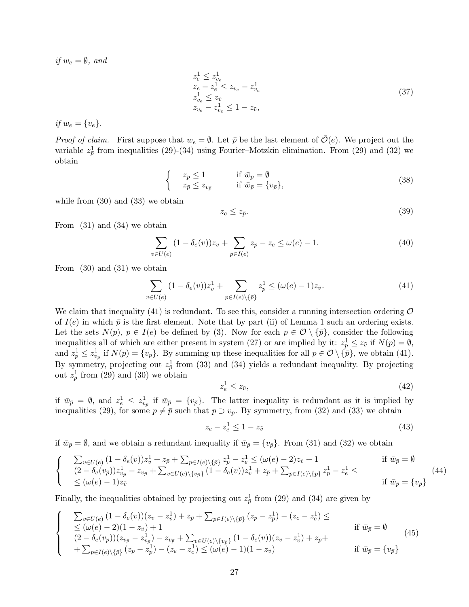if  $w_e = \emptyset$ , and

$$
z_e^1 \le z_{v_e}^1 z_e - z_e^1 \le z_{v_e} - z_{v_e}^1 z_{v_e}^1 \le z_{\tilde{v}} z_{v_e} - z_{v_e}^1 \le 1 - z_{\tilde{v}},
$$
 (37)

if  $w_e = \{v_e\}.$ 

*Proof of claim.* First suppose that  $w_e = \emptyset$ . Let  $\bar{p}$  be the last element of  $\mathcal{O}(e)$ . We project out the variable  $z_{\bar{p}}^1$  from inequalities (29)-(34) using Fourier–Motzkin elimination. From (29) and (32) we obtain

$$
\begin{cases}\n z_{\bar{p}} \le 1 & \text{if } \bar{w}_{\bar{p}} = \emptyset \\
 z_{\bar{p}} \le z_{v_{\bar{p}}} & \text{if } \bar{w}_{\bar{p}} = \{v_{\bar{p}}\},\n\end{cases}
$$
\n(38)

while from (30) and (33) we obtain

$$
z_e \le z_{\bar{p}}.\tag{39}
$$

From (31) and (34) we obtain

$$
\sum_{v \in U(e)} (1 - \delta_e(v))z_v + \sum_{p \in I(e)} z_p - z_e \le \omega(e) - 1.
$$
\n(40)

From (30) and (31) we obtain

$$
\sum_{v \in U(e)} (1 - \delta_e(v)) z_v^1 + \sum_{p \in I(e) \setminus \{\bar{p}\}} z_p^1 \le (\omega(e) - 1) z_{\tilde{v}}.
$$
\n(41)

We claim that inequality (41) is redundant. To see this, consider a running intersection ordering  $\mathcal O$ of  $I(e)$  in which  $\bar{p}$  is the first element. Note that by part (ii) of Lemma 1 such an ordering exists. Let the sets  $N(p)$ ,  $p \in I(e)$  be defined by (3). Now for each  $p \in \mathcal{O} \setminus \{\bar{p}\}\)$ , consider the following inequalities all of which are either present in system (27) or are implied by it:  $z_p^1 \leq z_{\tilde{v}}$  if  $N(p) = \emptyset$ , and  $z_p^1 \leq z_{v_p}^1$  if  $N(p) = \{v_p\}$ . By summing up these inequalities for all  $p \in \mathcal{O} \setminus {\{\overline{p}\}}$ , we obtain (41). By symmetry, projecting out  $z_{\overline{p}}$  from (33) and (34) yields a redundant inequality. By projecting out  $z_{\bar{p}}^1$  from (29) and (30) we obtain

$$
z_e^1 \le z_{\tilde{v}},\tag{42}
$$

if  $\bar{w}_{\bar{p}} = \emptyset$ , and  $z_e^1 \leq z_{v_{\bar{p}}}^1$  if  $\bar{w}_{\bar{p}} = \{v_{\bar{p}}\}$ . The latter inequality is redundant as it is implied by inequalities (29), for some  $p \neq \bar{p}$  such that  $p \supset v_{\bar{p}}$ . By symmetry, from (32) and (33) we obtain

$$
z_e - z_e^1 \le 1 - z_{\tilde{v}} \tag{43}
$$

if  $\bar{w}_{\bar{p}} = \emptyset$ , and we obtain a redundant inequality if  $\bar{w}_{\bar{p}} = \{v_{\bar{p}}\}$ . From (31) and (32) we obtain

$$
\begin{cases}\n\sum_{v \in U(e)} (1 - \delta_e(v)) z_v^1 + z_{\bar{p}} + \sum_{p \in I(e) \setminus \{\bar{p}\}} z_p^1 - z_e^1 \le (\omega(e) - 2) z_{\tilde{v}} + 1 & \text{if } \bar{w}_{\bar{p}} = \emptyset \\
(2 - \delta_e(v_{\bar{p}})) z_{v_{\bar{p}}}^1 - z_{v_{\bar{p}}} + \sum_{v \in U(e) \setminus \{v_{\bar{p}}\}} (1 - \delta_e(v)) z_v^1 + z_{\bar{p}} + \sum_{p \in I(e) \setminus \{\bar{p}\}} z_p^1 - z_e^1 \le (\omega(e) - 1) z_{\tilde{v}} & \text{if } \bar{w}_{\bar{p}} = \{v_{\bar{p}}\}\n\end{cases}
$$
\n
$$
(44)
$$

Finally, the inequalities obtained by projecting out  $z_{\bar{p}}^1$  from (29) and (34) are given by

$$
\begin{cases}\n\sum_{v \in U(e)} (1 - \delta_e(v))(z_v - z_v^1) + z_{\bar{p}} + \sum_{p \in I(e)} \sum_{\{\bar{p}\}} (z_p - z_p^1) - (z_e - z_e^1) \le \\
\le (\omega(e) - 2)(1 - z_{\tilde{v}}) + 1 & \text{if } \bar{w}_{\bar{p}} = \emptyset \\
(2 - \delta_e(v_{\bar{p}}))(z_{v_{\bar{p}}} - z_{v_{\bar{p}}}) - z_{v_{\bar{p}}} + \sum_{v \in U(e)} \sum_{\{v_{\bar{p}}\}} (1 - \delta_e(v))(z_v - z_v^1) + z_{\bar{p}} + \sum_{p \in I(e)} \sum_{\{\bar{p}\}} (z_p - z_p^1) - (z_e - z_e^1) \le (\omega(e) - 1)(1 - z_{\tilde{v}}) & \text{if } \bar{w}_{\bar{p}} = \{v_{\bar{p}}\}\n\end{cases}
$$
\n(45)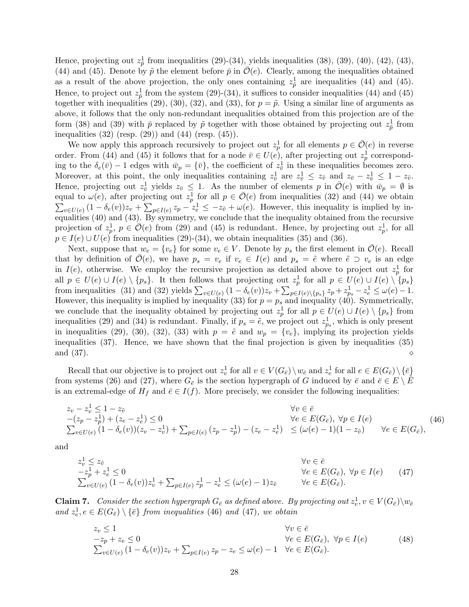Hence, projecting out  $z_{\bar{p}}^1$  from inequalities (29)-(34), yields inequalities (38), (39), (40), (42), (43), (44) and (45). Denote by  $\tilde{p}$  the element before  $\bar{p}$  in  $\overline{\mathcal{O}}(e)$ . Clearly, among the inequalities obtained as a result of the above projection, the only ones containing  $z_{\tilde{p}}^1$  are inequalities (44) and (45). Hence, to project out  $z_{\tilde{p}}^1$  from the system (29)-(34), it suffices to consider inequalities (44) and (45) together with inequalities (29), (30), (32), and (33), for  $p = \tilde{p}$ . Using a similar line of arguments as above, it follows that the only non-redundant inequalities obtained from this projection are of the form (38) and (39) with  $\bar{p}$  replaced by  $\tilde{p}$  together with those obtained by projecting out  $z_{\tilde{p}}^1$  from inequalities (32) (resp. (29)) and (44) (resp. (45)).

We now apply this approach recursively to project out  $z_p^1$  for all elements  $p \in \overline{\mathcal{O}}(e)$  in reverse order. From (44) and (45) it follows that for a node  $\overline{v} \in U(e)$ , after projecting out  $z_p^1$  corresponding to the  $\delta_e(\bar{v}) - 1$  edges with  $\bar{w}_p = {\bar{v}}$ , the coefficient of  $z_{\bar{v}}^1$  in these inequalities becomes zero. Moreover, at this point, the only inequalities containing  $z_{\overline{v}}^1$  are  $z_{\overline{v}}^1 \leq z_{\overline{v}}$  and  $z_{\overline{v}} - z_{\overline{v}}^1 \leq 1 - z_{\overline{v}}$ . Hence, projecting out  $z_{\bar{v}}^1$  yields  $z_{\bar{v}} \leq 1$ . As the number of elements p in  $\bar{\mathcal{O}}(e)$  with  $\bar{w}_p = \emptyset$  is equal to  $\omega(e)$ , after projecting out  $z_p^1$  for all  $p \in \overline{\mathcal{O}}(e)$  from inequalities (32) and (44) we obtain  $\sum_{x \in U(e)} (1 - \delta_e(v))z_x + \sum_{x \in U(e)} z_n - z_x^1 \leq -z_{\tilde{n}} + \omega(e)$ . However, this inequality is implied by in $v\in U(e)$   $(1-\delta_e(v))z_v + \sum_{p\in I(e)} z_p - z_e^1 \leq -z_{\tilde{v}} + \omega(e)$ . However, this inequality is implied by inequalities (40) and (43). By symmetry, we conclude that the inequality obtained from the recursive projection of  $z_p^1$ ,  $p \in \overline{\mathcal{O}}(e)$  from (29) and (45) is redundant. Hence, by projecting out  $z_p^1$ , for all  $p \in I(e) \cup U(e)$  from inequalities (29)-(34), we obtain inequalities (35) and (36).

Next, suppose that  $w_e = \{v_e\}$  for some  $v_e \in V$ . Denote by  $p_s$  the first element in  $\mathcal{O}(e)$ . Recall that by definition of  $\overline{\mathcal{O}}(e)$ , we have  $p_s = v_e$  if  $v_e \in I(e)$  and  $p_s = \tilde{e}$  where  $\tilde{e} \supset v_e$  is an edge in  $I(e)$ , otherwise. We employ the recursive projection as detailed above to project out  $z_p^1$  for all  $p \in U(e) \cup I(e) \setminus \{p_s\}$ . It then follows that projecting out  $z_p^1$  for all  $p \in U(e) \cup I(e) \setminus \{p_s\}$ from inequalities (31) and (32) yields  $\sum_{v \in U(e)} (1 - \delta_e(v))z_v + \sum_{p \in I(e) \setminus \{p_s\}} z_p + z_{p_s}^1 - z_e^1 \leq \omega(e) - 1.$ However, this inequality is implied by inequality (33) for  $p = p_s$  and inequality (40). Symmetrically, we conclude that the inequality obtained by projecting out  $z_p^1$  for all  $p \in U(e) \cup I(e) \setminus \{p_s\}$  from inequalities (29) and (34) is redundant. Finally, if  $p_s = \tilde{e}$ , we project out  $z_{p_s}^1$ , which is only present in inequalities (29), (30), (32), (33) with  $p = \tilde{e}$  and  $w_p = \{v_e\}$ , implying its projection yields inequalities (37). Hence, we have shown that the final projection is given by inequalities (35) and  $(37)$ .  $\diamond$ 

Recall that our objective is to project out  $z_v^1$  for all  $v \in V(G_{\bar{e}}) \setminus w_{\bar{e}}$  and  $z_e^1$  for all  $e \in E(G_{\bar{e}}) \setminus {\bar{e}}$ from systems (26) and (27), where  $G_{\bar{e}}$  is the section hypergraph of G induced by  $\bar{e}$  and  $\bar{e} \in E \setminus E$ is an extremal-edge of  $H_f$  and  $\bar{e} \in I(f)$ . More precisely, we consider the following inequalities:

$$
z_v - z_v^1 \le 1 - z_{\tilde{v}} \qquad \forall v \in \bar{e} -(z_p - z_p^1) + (z_e - z_e^1) \le 0 \qquad \forall e \in E(G_{\bar{e}}), \ \forall p \in I(e) \sum_{v \in U(e)} (1 - \delta_e(v))(z_v - z_v^1) + \sum_{p \in I(e)} (z_p - z_p^1) - (z_e - z_e^1) \le (\omega(e) - 1)(1 - z_{\tilde{v}}) \qquad \forall e \in E(G_{\bar{e}}),
$$
(46)

and

$$
z_v^1 \le z_{\tilde{v}} \qquad \forall v \in \bar{e} -z_p^1 + z_e^1 \le 0 \qquad \forall e \in E(G_{\bar{e}}), \ \forall p \in I(e) \qquad (47)
$$
  

$$
\sum_{v \in U(e)} (1 - \delta_e(v)) z_v^1 + \sum_{p \in I(e)} z_p^1 - z_e^1 \le (\omega(e) - 1) z_{\tilde{v}} \qquad \forall e \in E(G_{\bar{e}}).
$$

**Claim 7.** Consider the section hypergraph  $G_{\bar{e}}$  as defined above. By projecting out  $z_v^1, v \in V(G_{\bar{e}}) \setminus w_{\bar{e}}$ and  $z_e^1, e \in E(G_{\bar{e}}) \setminus {\bar{e}}$  from inequalities (46) and (47), we obtain

$$
z_v \le 1
$$
  
\n
$$
-z_p + z_e \le 0
$$
  
\n
$$
\sum_{v \in U(e)} (1 - \delta_e(v))z_v + \sum_{p \in I(e)} z_p - z_e \le \omega(e) - 1 \quad \forall e \in E(G_{\bar{e}}).
$$
  
\n
$$
(48)
$$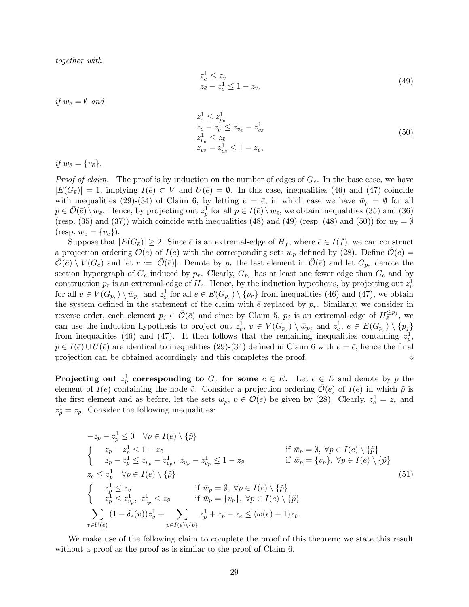together with

$$
z_{\bar{e}}^1 \le z_{\tilde{v}} z_{\bar{e}} - z_{\bar{e}}^1 \le 1 - z_{\tilde{v}},
$$
 (49)

if  $w_{\bar{e}} = \emptyset$  and

$$
z_{\bar{e}}^1 \le z_{v_{\bar{e}}}^1
$$
  
\n
$$
z_{\bar{e}} - z_{\bar{e}}^1 \le z_{v_{\bar{e}}} - z_{v_{\bar{e}}}^1
$$
  
\n
$$
z_{v_{\bar{e}}}^1 \le z_{\tilde{v}}
$$
  
\n
$$
z_{v_{\bar{e}}} - z_{v_{\bar{e}}}^1 \le 1 - z_{\tilde{v}},
$$
\n(50)

if  $w_{\bar{e}} = \{v_{\bar{e}}\}.$ 

*Proof of claim.* The proof is by induction on the number of edges of  $G_{\bar{e}}$ . In the base case, we have  $|E(G_{\bar{e}})| = 1$ , implying  $I(\bar{e}) \subset V$  and  $U(\bar{e}) = \emptyset$ . In this case, inequalities (46) and (47) coincide with inequalities (29)-(34) of Claim 6, by letting  $e = \overline{e}$ , in which case we have  $\overline{w}_p = \emptyset$  for all  $p \in \overline{\mathcal{O}}(\overline{e}) \setminus w_{\overline{e}}$ . Hence, by projecting out  $z_p^1$  for all  $p \in I(\overline{e}) \setminus w_{\overline{e}}$ , we obtain inequalities (35) and (36) (resp. (35) and (37)) which coincide with inequalities (48) and (49) (resp. (48) and (50)) for  $w_{\bar{e}} = \emptyset$ (resp.  $w_{\bar{e}} = \{v_{\bar{e}}\}\.$ 

Suppose that  $|E(G_{\bar{e}})| \geq 2$ . Since  $\bar{e}$  is an extremal-edge of  $H_f$ , where  $\bar{e} \in I(f)$ , we can construct a projection ordering  $\overline{\mathcal{O}}(\overline{e})$  of  $I(\overline{e})$  with the corresponding sets  $\overline{w}_p$  defined by (28). Define  $\mathcal{O}(\overline{e})$  =  $\overline{\mathcal{O}}(\overline{e}) \setminus V(G_{\overline{e}})$  and let  $r := |\mathcal{O}(\overline{e})|$ . Denote by  $p_r$  the last element in  $\mathcal{O}(\overline{e})$  and let  $G_{p_r}$  denote the section hypergraph of  $G_{\bar{e}}$  induced by  $p_r$ . Clearly,  $G_{p_r}$  has at least one fewer edge than  $G_{\bar{e}}$  and by construction  $p_r$  is an extremal-edge of  $H_{\bar{e}}$ . Hence, by the induction hypothesis, by projecting out  $z_v^1$ for all  $v \in V(G_{p_r}) \setminus \bar{w}_{p_r}$  and  $z_e^1$  for all  $e \in E(G_{p_r}) \setminus \{p_r\}$  from inequalities (46) and (47), we obtain the system defined in the statement of the claim with  $\bar{e}$  replaced by  $p_r$ . Similarly, we consider in reverse order, each element  $p_j \in \tilde{\mathcal{O}}(\bar{e})$  and since by Claim 5,  $p_j$  is an extremal-edge of  $H_{\bar{e}}^{\leq p_j}$ , we can use the induction hypothesis to project out  $z_v^1$ ,  $v \in V(G_{p_j}) \setminus \bar{w}_{p_j}$  and  $z_e^1$ ,  $e \in E(G_{p_j}) \setminus \{p_j\}$ from inequalities (46) and (47). It then follows that the remaining inequalities containing  $z_p^1$ ,  $p \in I(\bar{e}) \cup U(\bar{e})$  are identical to inequalities (29)-(34) defined in Claim 6 with  $e = \bar{e}$ ; hence the final projection can be obtained accordingly and this completes the proof. projection can be obtained accordingly and this completes the proof.

Projecting out  $z_p^1$  corresponding to  $G_e$  for some  $e \in \tilde{E}$ . Let  $e \in \tilde{E}$  and denote by  $\tilde{p}$  the element of  $I(e)$  containing the node  $\tilde{v}$ . Consider a projection ordering  $\overline{\mathcal{O}}(e)$  of  $I(e)$  in which  $\tilde{p}$  is the first element and as before, let the sets  $\bar{w}_p$ ,  $p \in \bar{\mathcal{O}}(e)$  be given by (28). Clearly,  $z_e^1 = z_e$  and  $z_{\tilde{p}}^1 = z_{\tilde{p}}$ . Consider the following inequalities:

$$
-z_p + z_p^1 \le 0 \quad \forall p \in I(e) \setminus \{\tilde{p}\}
$$
  
\n
$$
\begin{cases}\nz_p - z_p^1 \le 1 - z_{\tilde{v}} & \text{if } \bar{w}_p = \emptyset, \ \forall p \in I(e) \setminus \{\tilde{p}\} \\
z_p - z_p^1 \le z_{v_p} - z_{v_p}^1, \ z_{v_p} - z_{v_p}^1 \le 1 - z_{\tilde{v}} & \text{if } \bar{w}_p = \{v_p\}, \ \forall p \in I(e) \setminus \{\tilde{p}\} \\
z_e \le z_p^1 \quad \forall p \in I(e) \setminus \{\tilde{p}\} & \text{if } \bar{w}_p = \emptyset, \ \forall p \in I(e) \setminus \{\tilde{p}\} \\
z_p^1 \le z_{\tilde{v}} & \text{if } \bar{w}_p = \{v_p\}, \ \forall p \in I(e) \setminus \{\tilde{p}\} \\
\sum_{v \in U(e)} (1 - \delta_e(v)) z_v^1 + \sum_{p \in I(e) \setminus \{\tilde{p}\}} z_p^1 + z_{\tilde{p}} - z_e \le (\omega(e) - 1) z_{\tilde{v}}.\n\end{cases}
$$
\n
$$
(51)
$$

We make use of the following claim to complete the proof of this theorem; we state this result without a proof as the proof as is similar to the proof of Claim 6.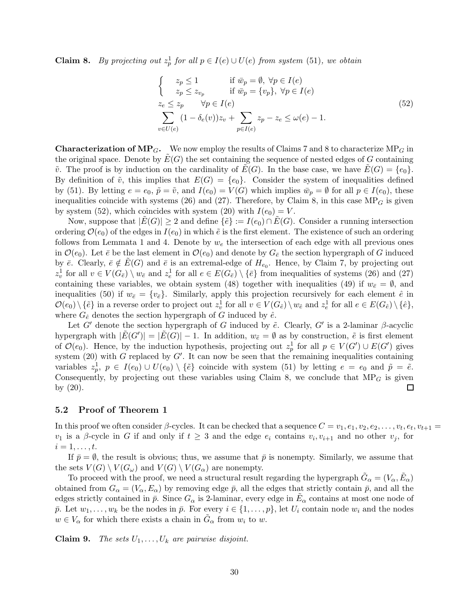**Claim 8.** By projecting out  $z_p^1$  for all  $p \in I(e) \cup U(e)$  from system (51), we obtain

$$
\begin{cases}\n z_p \le 1 & \text{if } \bar{w}_p = \emptyset, \ \forall p \in I(e) \\
 z_p \le z_{v_p} & \text{if } \bar{w}_p = \{v_p\}, \ \forall p \in I(e) \\
 z_e \le z_p & \forall p \in I(e) \\
 \sum_{v \in U(e)} (1 - \delta_e(v))z_v + \sum_{p \in I(e)} z_p - z_e \le \omega(e) - 1.\n\end{cases}
$$
\n(52)

**Characterization of MP<sub>G</sub>.** We now employ the results of Claims 7 and 8 to characterize MP<sub>G</sub> in the original space. Denote by  $E(G)$  the set containing the sequence of nested edges of G containing  $\tilde{v}$ . The proof is by induction on the cardinality of  $E(G)$ . In the base case, we have  $E(G) = \{e_0\}$ . By definition of  $\tilde{v}$ , this implies that  $E(G) = \{e_0\}$ . Consider the system of inequalities defined by (51). By letting  $e = e_0$ ,  $\tilde{p} = \tilde{v}$ , and  $I(e_0) = V(G)$  which implies  $\bar{w}_p = \emptyset$  for all  $p \in I(e_0)$ , these inequalities coincide with systems (26) and (27). Therefore, by Claim 8, in this case  $MP_G$  is given by system (52), which coincides with system (20) with  $I(e_0) = V$ .

Now, suppose that  $|E(G)| \geq 2$  and define  $\{\tilde{e}\} := I(e_0) \cap E(G)$ . Consider a running intersection ordering  $\mathcal{O}(e_0)$  of the edges in  $I(e_0)$  in which  $\tilde{e}$  is the first element. The existence of such an ordering follows from Lemmata 1 and 4. Denote by  $w_e$  the intersection of each edge with all previous ones in  $\mathcal{O}(e_0)$ . Let  $\bar{e}$  be the last element in  $\mathcal{O}(e_0)$  and denote by  $G_{\bar{e}}$  the section hypergraph of G induced by  $\bar{e}$ . Clearly,  $\bar{e} \notin \tilde{E}(G)$  and  $\bar{e}$  is an extremal-edge of  $H_{e_0}$ . Hence, by Claim 7, by projecting out  $z_v^1$  for all  $v \in V(G_{\bar{e}}) \setminus w_{\bar{e}}$  and  $z_e^1$  for all  $e \in E(G_{\bar{e}}) \setminus {\bar{e}}$  from inequalities of systems (26) and (27) containing these variables, we obtain system (48) together with inequalities (49) if  $w_{\bar{e}} = \emptyset$ , and inequalities (50) if  $w_{\bar{e}} = \{v_{\bar{e}}\}.$  Similarly, apply this projection recursively for each element  $\hat{e}$  in  $\mathcal{O}(e_0) \setminus {\tilde{e}}$  in a reverse order to project out  $z_v^1$  for all  $v \in V(G_{\hat{e}}) \setminus w_{\hat{e}}$  and  $z_e^1$  for all  $e \in E(G_{\hat{e}}) \setminus {\hat{e}}$ , where  $G_{\hat{e}}$  denotes the section hypergraph of G induced by  $\hat{e}$ .

Let G' denote the section hypergraph of G induced by  $\tilde{e}$ . Clearly, G' is a 2-laminar  $\beta$ -acyclic hypergraph with  $|\tilde{E}(G')| = |\tilde{E}(G)| - 1$ . In addition,  $w_{\tilde{e}} = \emptyset$  as by construction,  $\tilde{e}$  is first element of  $\mathcal{O}(e_0)$ . Hence, by the induction hypothesis, projecting out  $z_p^1$  for all  $p \in V(G') \cup E(G')$  gives system (20) with G replaced by  $G'$ . It can now be seen that the remaining inequalities containing variables  $z_p^1$ ,  $p \in I(e_0) \cup U(e_0) \setminus {\tilde{e}}$  coincide with system (51) by letting  $e = e_0$  and  $\tilde{p} = \tilde{e}$ . Consequently, by projecting out these variables using Claim 8, we conclude that  $MP<sub>G</sub>$  is given by (20).  $\Box$ 

## 5.2 Proof of Theorem 1

In this proof we often consider  $\beta$ -cycles. It can be checked that a sequence  $C = v_1, e_1, v_2, e_2, \ldots, v_t, e_t, v_{t+1} =$  $v_1$  is a  $\beta$ -cycle in G if and only if  $t \geq 3$  and the edge  $e_i$  contains  $v_i, v_{i+1}$  and no other  $v_j$ , for  $i=1,\ldots,t$ .

If  $\bar{p} = \emptyset$ , the result is obvious; thus, we assume that  $\bar{p}$  is nonempty. Similarly, we assume that the sets  $V(G) \setminus V(G_\omega)$  and  $V(G) \setminus V(G_\alpha)$  are nonempty.

To proceed with the proof, we need a structural result regarding the hypergraph  $\tilde{G}_{\alpha} = (V_{\alpha}, \tilde{E}_{\alpha})$ obtained from  $G_{\alpha} = (V_{\alpha}, E_{\alpha})$  by removing edge  $\bar{p}$ , all the edges that strictly contain  $\bar{p}$ , and all the edges strictly contained in  $\bar{p}$ . Since  $G_{\alpha}$  is 2-laminar, every edge in  $\tilde{E}_{\alpha}$  contains at most one node of  $\bar{p}$ . Let  $w_1, \ldots, w_k$  be the nodes in  $\bar{p}$ . For every  $i \in \{1, \ldots, p\}$ , let  $U_i$  contain node  $w_i$  and the nodes  $w \in V_\alpha$  for which there exists a chain in  $\tilde{G}_\alpha$  from  $w_i$  to  $w$ .

**Claim 9.** The sets  $U_1, \ldots, U_k$  are pairwise disjoint.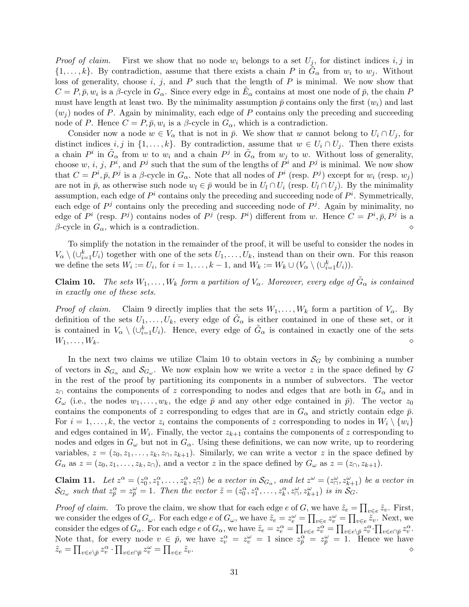*Proof of claim.* First we show that no node  $w_i$  belongs to a set  $U_j$ , for distinct indices i, j in  $\{1,\ldots,k\}$ . By contradiction, assume that there exists a chain P in  $\tilde{G}_{\alpha}$  from  $w_i$  to  $w_j$ . Without loss of generality, choose i, j, and P such that the length of P is minimal. We now show that  $C = P, \bar{p}, w_i$  is a  $\beta$ -cycle in  $G_\alpha$ . Since every edge in  $\tilde{E}_\alpha$  contains at most one node of  $\bar{p}$ , the chain P must have length at least two. By the minimality assumption  $\bar{p}$  contains only the first  $(w_i)$  and last  $(w<sub>i</sub>)$  nodes of P. Again by minimality, each edge of P contains only the preceding and succeeding node of P. Hence  $C = P, \bar{p}, w_i$  is a  $\beta$ -cycle in  $G_{\alpha}$ , which is a contradiction.

Consider now a node  $w \in V_\alpha$  that is not in  $\bar{p}$ . We show that w cannot belong to  $U_i \cap U_j$ , for distinct indices i, j in  $\{1,\ldots,k\}$ . By contradiction, assume that  $w \in U_i \cap U_j$ . Then there exists a chain  $P^i$  in  $\tilde{G}_{\alpha}$  from w to  $w_i$  and a chain  $P^j$  in  $\tilde{G}_{\alpha}$  from  $w_j$  to w. Without loss of generality, choose w, i, j,  $P^i$ , and  $P^j$  such that the sum of the lengths of  $P^i$  and  $P^j$  is minimal. We now show that  $C = P^i, \bar{p}, P^j$  is a  $\beta$ -cycle in  $G_\alpha$ . Note that all nodes of  $P^i$  (resp.  $P^j$ ) except for  $w_i$  (resp.  $w_j$ ) are not in  $\bar{p}$ , as otherwise such node  $w_l \in \bar{p}$  would be in  $U_l \cap U_i$  (resp.  $U_l \cap U_j$ ). By the minimality assumption, each edge of  $P^i$  contains only the preceding and succeeding node of  $P^i$ . Symmetrically, each edge of  $P<sup>j</sup>$  contains only the preceding and succeeding node of  $P<sup>j</sup>$ . Again by minimality, no edge of  $P^i$  (resp.  $P^j$ ) contains nodes of  $P^j$  (resp.  $P^i$ ) different from w. Hence  $C = P^i, \bar{p}, P^j$  is a  $\beta$ -cycle in  $G_{\alpha}$ , which is a contradiction.  $\diamond$ 

To simplify the notation in the remainder of the proof, it will be useful to consider the nodes in  $V_{\alpha} \setminus (\cup_{i=1}^{k} U_i)$  together with one of the sets  $U_1, \ldots, U_k$ , instead than on their own. For this reason we define the sets  $W_i := U_i$ , for  $i = 1, ..., k - 1$ , and  $W_k := W_k \cup (V_\alpha \setminus (\cup_{i=1}^k U_i))$ .

**Claim 10.** The sets  $W_1, \ldots, W_k$  form a partition of  $V_\alpha$ . Moreover, every edge of  $\tilde{G}_\alpha$  is contained in exactly one of these sets.

*Proof of claim.* Claim 9 directly implies that the sets  $W_1, \ldots, W_k$  form a partition of  $V_\alpha$ . By definition of the sets  $U_1, \ldots, U_k$ , every edge of  $\tilde{G}_{\alpha}$  is either contained in one of these set, or it is contained in  $V_\alpha \setminus (\cup_{i=1}^k U_i)$ . Hence, every edge of  $\tilde{G}_\alpha$  is contained in exactly one of the sets  $W_1, \ldots, W_k.$ 

In the next two claims we utilize Claim 10 to obtain vectors in  $\mathcal{S}_G$  by combining a number of vectors in  $\mathcal{S}_{G_\alpha}$  and  $\mathcal{S}_{G_\omega}$ . We now explain how we write a vector z in the space defined by G in the rest of the proof by partitioning its components in a number of subvectors. The vector  $z<sub>0</sub>$  contains the components of z corresponding to nodes and edges that are both in  $G_{\alpha}$  and in  $G_{\omega}$  (i.e., the nodes  $w_1, \ldots, w_k$ , the edge  $\bar{p}$  and any other edge contained in  $\bar{p}$ ). The vector  $z_0$ contains the components of z corresponding to edges that are in  $G_{\alpha}$  and strictly contain edge  $\bar{p}$ . For  $i = 1, \ldots, k$ , the vector  $z_i$  contains the components of z corresponding to nodes in  $W_i \setminus \{w_i\}$ and edges contained in  $W_i$ . Finally, the vector  $z_{k+1}$  contains the components of z corresponding to nodes and edges in  $G_{\omega}$  but not in  $G_{\alpha}$ . Using these definitions, we can now write, up to reordering variables,  $z = (z_0, z_1, \ldots, z_k, z_0, z_{k+1})$ . Similarly, we can write a vector z in the space defined by  $G_{\alpha}$  as  $z = (z_0, z_1, \ldots, z_k, z_{\cap}),$  and a vector z in the space defined by  $G_{\omega}$  as  $z = (z_{\cap}, z_{k+1}).$ 

**Claim 11.** Let  $z^{\alpha} = (z_0^{\alpha}, z_1^{\alpha}, \dots, z_k^{\alpha}, z_{\cap}^{\alpha})$  be a vector in  $\mathcal{S}_{G_{\alpha}}$ , and let  $z^{\omega} = (z_{\cap}^{\omega}, z_{k+1}^{\omega})$  be a vector in  $\mathcal{S}_{G_\omega}$  such that  $z_{\overline{p}}^{\alpha} = z_{\overline{p}}^{\omega} = 1$ . Then the vector  $\tilde{z} = (z_0^{\alpha}, z_1^{\alpha}, \dots, z_k^{\alpha}, z_{\cap}^{\omega}, z_{k+1}^{\omega})$  is in  $\mathcal{S}_G$ .

*Proof of claim.* To prove the claim, we show that for each edge e of G, we have  $\tilde{z}_e = \prod_{v \in e} \tilde{z}_v$ . First, we consider the edges of  $G_{\omega}$ . For each edge e of  $G_{\omega}$ , we have  $\tilde{z}_e = z_e^{\omega} = \prod_{v \in e} z_v^{\omega} = \prod_{v \in e} \tilde{z}_v$ . Next, we consider the edges of  $G_{\alpha}$ . For each edge  $e$  of  $G_{\alpha}$ , we have  $\tilde{z}_e = z_e^{\alpha} = \prod_{v \in e} \tilde{z}_v^{\alpha} = \prod_{v \in e \setminus \overline{p}} \tilde{z}_v^{\alpha} \cdot \prod_{v \in e \cap \overline{p}} z_v^{\alpha}$ . Note that, for every node  $v \in \bar{p}$ , we have  $z_v^{\alpha} = z_v^{\omega} = 1$  since  $z_{\bar{p}}^{\alpha} = z_{\bar{p}}^{\omega} = 1$ . Hence we have  $\tilde{z}_e = \prod_{v \in e \setminus \bar{p}} z_v^{\alpha} \cdot \prod_{v \in e \cap \bar{p}} z_v^{\omega} = \prod_{v \in e}$  $\tilde{z}_v$ .  $\diamond$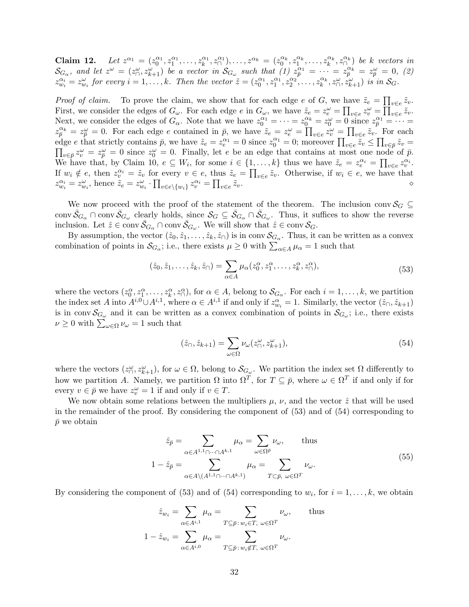**Claim 12.** Let  $z^{\alpha_1} = (z_0^{\alpha_1}, z_1^{\alpha_1}, \ldots, z_k^{\alpha_1}, z_0^{\alpha_1}), \ldots, z^{\alpha_k} = (z_0^{\alpha_k}, z_1^{\alpha_k}, \ldots, z_k^{\alpha_k}, z_0^{\alpha_k})$  be k vectors in  $\mathcal{S}_{G_{\alpha}}$ , and let  $z^{\omega} = (z_0^{\omega}, z_{k+1}^{\omega})$  be a vector in  $\mathcal{S}_{G_{\omega}}$  such that  $(1)$   $z_0^{\alpha_1} = \cdots = z_{\overline{p}}^{\alpha_k} = z_{\overline{p}}^{\omega} = 0$ , (2)  $z_{w_i}^{\alpha_i} = z_{w_i}^{\omega}$  for every  $i = 1, \ldots, k$ . Then the vector  $\tilde{z} = (z_0^{\alpha_1}, z_1^{\alpha_1}, z_2^{\alpha_2}, \ldots, z_k^{\alpha_k}, z_{\Omega}^{\omega}, z_{k+1}^{\omega})$  is in  $\mathcal{S}_G$ .

*Proof of claim.* To prove the claim, we show that for each edge e of G, we have  $\tilde{z}_e = \prod_{v \in e} \tilde{z}_v$ . v∈e First, we consider the edges of  $G_{\omega}$ . For each edge e in  $G_{\omega}$ , we have  $\tilde{z}_e = z_e^{\omega} = \prod_{v \in e} z_v^{\omega} = \prod_{v \in e} \tilde{z}_v$ . Next, we consider the edges of  $G_{\alpha}$ . Note that we have  $z_0^{\alpha_1} = \cdots = z_0^{\alpha_k} = z_0^{\omega} = 0$  since  $z_{\overline{p}}^{\alpha_1} = \cdots = z_0^{\alpha_k}$  $z_{\bar{p}}^{\alpha_k} = z_{\bar{p}}^{\omega} = 0$ . For each edge e contained in  $\bar{p}$ , we have  $\tilde{z}_e = z_e^{\omega} = \prod_{v \in e} z_v^{\omega} = \prod_{v \in e} \tilde{z}_v$ . For each edge e that strictly contains  $\bar{p}$ , we have  $\tilde{z}_e = z_e^{\alpha_1} = 0$  since  $z_0^{\alpha_1} = 0$ ; moreover  $\prod_{v \in e} \tilde{z}_v \le \prod_{v \in \bar{p}} \tilde{z}_v =$ <br> $\prod_{v \in \bar{p}} \tilde{z}_v = \prod_{v \in \bar{p}} \tilde{z}_v = 0$  since  $z_0^{\alpha} = 0$ . Finally, let e be a  $v \in \bar{p}z^{\omega} = z^{\omega} = 0$  since  $z^{\omega} = 0$ . Finally, let e be an edge that contains at most one node of  $\bar{p}$ . We have that, by Claim 10,  $e \subseteq W_i$ , for some  $i \in \{1, \ldots, k\}$  thus we have  $\tilde{z}_e = z_e^{\alpha_i} = \prod_{v \in e} z_v^{\alpha_i}$ . If  $w_i \notin e$ , then  $z_v^{\alpha_i} = \tilde{z}_v$  for every  $v \in e$ , thus  $\tilde{z}_e = \prod_{v \in e} \tilde{z}_v$ . Otherwise, if  $w_i \in e$ , we have that  $z_{w_i}^{\alpha_i} = z_{w_i}^{\omega}$ , hence  $\tilde{z}_e = z_{w_i}^{\omega} \cdot \prod_{v \in e \setminus \{w_i\}} z_v^{\alpha_i} = \prod_{v \in e}$  $\tilde{z}_v$ .  $\diamond$ 

We now proceed with the proof of the statement of the theorem. The inclusion conv  $\mathcal{S}_G \subseteq$ conv  $\bar{S}_{G_{\alpha}} \cap \text{conv } \bar{S}_{G_{\omega}}$  clearly holds, since  $S_G \subseteq \bar{S}_{G_{\alpha}} \cap \bar{S}_{G_{\omega}}$ . Thus, it suffices to show the reverse inclusion. Let  $\hat{z} \in \text{conv } \bar{\mathcal{S}}_{G_\alpha} \cap \text{conv } \bar{\mathcal{S}}_{G_\omega}$ . We will show that  $\hat{z} \in \text{conv } \mathcal{S}_G$ .

By assumption, the vector  $(\hat{z}_0, \hat{z}_1, \dots, \hat{z}_k, \hat{z}_\cap)$  is in conv  $\mathcal{S}_{\underline{G}_\alpha}$ . Thus, it can be written as a convex combination of points in  $S_{G_\alpha}$ ; i.e., there exists  $\mu \geq 0$  with  $\sum_{\alpha \in A} \mu_\alpha = 1$  such that

$$
(\hat{z}_0, \hat{z}_1, \dots, \hat{z}_k, \hat{z}_\cap) = \sum_{\alpha \in A} \mu_\alpha(z_0^\alpha, z_1^\alpha, \dots, z_k^\alpha, z_\cap^\alpha),\tag{53}
$$

where the vectors  $(z_0^{\alpha}, z_1^{\alpha}, \ldots, z_k^{\alpha}, z_0^{\alpha})$ , for  $\alpha \in A$ , belong to  $\mathcal{S}_{G_{\alpha}}$ . For each  $i = 1, \ldots, k$ , we partition the index set A into  $A^{i,0} \cup A^{i,1}$ , where  $\alpha \in A^{i,1}$  if and only if  $z_{w_i}^{\alpha} = 1$ . Similarly, the vector  $(\hat{z}_0, \hat{z}_{k+1})$ is in conv $\mathcal{S}_{G_\omega}$  and it can be written as a convex combination of points in  $\mathcal{S}_{G_\omega}$ ; i.e., there exists  $\nu \geq 0$  with  $\sum_{\omega \in \Omega} \nu_{\omega} = 1$  such that

$$
(\hat{z}_{\cap}, \hat{z}_{k+1}) = \sum_{\omega \in \Omega} \nu_{\omega}(z_{\cap}^{\omega}, z_{k+1}^{\omega}),\tag{54}
$$

where the vectors  $(z_0^{\omega}, z_{k+1}^{\omega})$ , for  $\omega \in \Omega$ , belong to  $\mathcal{S}_{G_{\omega}}$ . We partition the index set  $\Omega$  differently to how we partition A. Namely, we partition  $\Omega$  into  $\Omega^T$ , for  $T \subseteq \bar{p}$ , where  $\omega \in \Omega^T$  if and only if for every  $v \in \bar{p}$  we have  $z_v^{\omega} = 1$  if and only if  $v \in T$ .

We now obtain some relations between the multipliers  $\mu$ ,  $\nu$ , and the vector  $\hat{z}$  that will be used in the remainder of the proof. By considering the component of (53) and of (54) corresponding to  $\bar{p}$  we obtain

$$
\hat{z}_{\bar{p}} = \sum_{\alpha \in A^{1,1} \cap \dots \cap A^{k,1}} \mu_{\alpha} = \sum_{\omega \in \Omega^{\bar{p}}} \nu_{\omega}, \quad \text{thus}
$$

$$
1 - \hat{z}_{\bar{p}} = \sum_{\alpha \in A \setminus (A^{1,1} \cap \dots \cap A^{k,1})} \mu_{\alpha} = \sum_{T \subset \bar{p}, \ \omega \in \Omega^{T}} \nu_{\omega}.
$$

$$
(55)
$$

By considering the component of (53) and of (54) corresponding to  $w_i$ , for  $i = 1, ..., k$ , we obtain

$$
\hat{z}_{w_i} = \sum_{\alpha \in A^{i,1}} \mu_{\alpha} = \sum_{T \subseteq \bar{p}: w_i \in T, \ \omega \in \Omega^T} \nu_{\omega}, \quad \text{thus}
$$

$$
1 - \hat{z}_{w_i} = \sum_{\alpha \in A^{i,0}} \mu_{\alpha} = \sum_{T \subseteq \bar{p}: w_i \notin T, \ \omega \in \Omega^T} \nu_{\omega}.
$$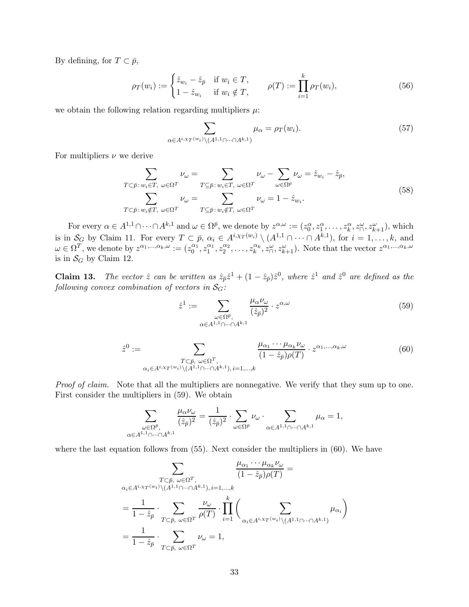By defining, for  $T \subset \bar{p}$ ,

$$
\rho_T(w_i) := \begin{cases} \hat{z}_{w_i} - \hat{z}_{\bar{p}} & \text{if } w_i \in T, \\ 1 - \hat{z}_{w_i} & \text{if } w_i \notin T, \end{cases} \qquad \rho(T) := \prod_{i=1}^k \rho_T(w_i), \tag{56}
$$

we obtain the following relation regarding multipliers  $\mu$ :

$$
\sum_{\alpha \in A^{i, \chi_T(w_i)} \setminus (A^{1,1} \cap \dots \cap A^{k,1})} \mu_{\alpha} = \rho_T(w_i). \tag{57}
$$

For multipliers  $\nu$  we derive

$$
\sum_{T \subset \bar{p}: w_i \in T, \ \omega \in \Omega^T} \nu_{\omega} = \sum_{T \subseteq \bar{p}: w_i \in T, \ \omega \in \Omega^T} \nu_{\omega} - \sum_{\omega \in \Omega^{\bar{p}}} \nu_{\omega} = \hat{z}_{w_i} - \hat{z}_{\bar{p}},
$$
\n
$$
\sum_{T \subset \bar{p}: w_i \notin T, \ \omega \in \Omega^T} \nu_{\omega} = \sum_{T \subseteq \bar{p}: w_i \notin T, \ \omega \in \Omega^T} \nu_{\omega} = 1 - \hat{z}_{w_i}.
$$
\n(58)

For every  $\alpha \in A^{1,1} \cap \cdots \cap A^{k,1}$  and  $\omega \in \Omega^{\bar{p}}$ , we denote by  $z^{\alpha,\omega} := (z_0^{\alpha}, z_1^{\alpha}, \ldots, z_k^{\alpha}, z_{\cap}^{\omega}, z_{k+1}^{\omega})$ , which is in  $S_G$  by Claim 11. For every  $T \subset \bar{p}$ ,  $\alpha_i \in A^{i,\chi_T(w_i)} \setminus (A^{1,1} \cap \cdots \cap A^{k,1})$ , for  $i = 1,\ldots,k$ , and  $\omega \in \Omega^T$ , we denote by  $z^{\alpha_1,...,\alpha_k,\omega} := (z_0^{\alpha_1}, z_1^{\alpha_1}, z_2^{\alpha_2}, \dots, z_k^{\alpha_k}, z_{\Omega}^{\omega}, z_{k+1}^{\omega}).$  Note that the vector  $z^{\alpha_1,...,\alpha_k,\omega}$ is in  $S_G$  by Claim 12.

**Claim 13.** The vector  $\hat{z}$  can be written as  $\hat{z}_{\bar{p}}\hat{z}^1 + (1 - \hat{z}_{\bar{p}})\hat{z}^0$ , where  $\hat{z}^1$  and  $\hat{z}^0$  are defined as the following convex combination of vectors in  $S_G$ :

$$
\hat{z}^{1} := \sum_{\substack{\omega \in \Omega^{\bar{p}}, \\ \alpha \in A^{1,1} \cap \dots \cap A^{k,1}}} \frac{\mu_{\alpha} \nu_{\omega}}{(\hat{z}_{\bar{p}})^{2}} \cdot z^{\alpha,\omega}
$$
\n
$$
(59)
$$

$$
\hat{z}^{0} := \sum_{\substack{T \subset \bar{p}, \ \omega \in \Omega^{T}, \\ \alpha_i \in A^{i, \chi_T(w_i)} \setminus (A^{1,1} \cap \dots \cap A^{k,1}), \ i=1,\dots,k}} \frac{\mu_{\alpha_1} \cdots \mu_{\alpha_k} \nu_{\omega}}{(1 - \hat{z}_{\bar{p}}) \rho(T)} \cdot z^{\alpha_1, \dots, \alpha_k, \omega}
$$
(60)

Proof of claim. Note that all the multipliers are nonnegative. We verify that they sum up to one. First consider the multipliers in (59). We obtain

$$
\sum_{\substack{\omega \in \Omega^{\bar{p}}, \\ \alpha \in A^{1,1} \cap \dots \cap A^{k,1}}} \frac{\mu_{\alpha} \nu_{\omega}}{(\hat{z}_{\bar{p}})^2} = \frac{1}{(\hat{z}_{\bar{p}})^2} \cdot \sum_{\omega \in \Omega^{\bar{p}}} \nu_{\omega} \cdot \sum_{\alpha \in A^{1,1} \cap \dots \cap A^{k,1}} \mu_{\alpha} = 1,
$$

where the last equation follows from  $(55)$ . Next consider the multipliers in  $(60)$ . We have

$$
\sum_{\substack{T \subset \bar{p}, \ \omega \in \Omega^T, \\ \alpha_i \in A^{i, \chi_T(w_i)} \backslash (A^{1,1} \cap \dots \cap A^{k,1}), i=1,\dots,k}} \frac{\mu_{\alpha_1} \cdots \mu_{\alpha_k} \nu_{\omega}}{(1 - \hat{z}_{\bar{p}}) \rho(T)} =
$$
\n
$$
= \frac{1}{1 - \hat{z}_{\bar{p}}} \cdot \sum_{T \subset \bar{p}, \ \omega \in \Omega^T} \frac{\nu_{\omega}}{\rho(T)} \cdot \prod_{i=1}^k \left( \sum_{\alpha_i \in A^{i, \chi_T(w_i)} \backslash (A^{1,1} \cap \dots \cap A^{k,1})} \mu_{\alpha_i} \right)
$$
\n
$$
= \frac{1}{1 - \hat{z}_{\bar{p}}} \cdot \sum_{T \subset \bar{p}, \ \omega \in \Omega^T} \nu_{\omega} = 1,
$$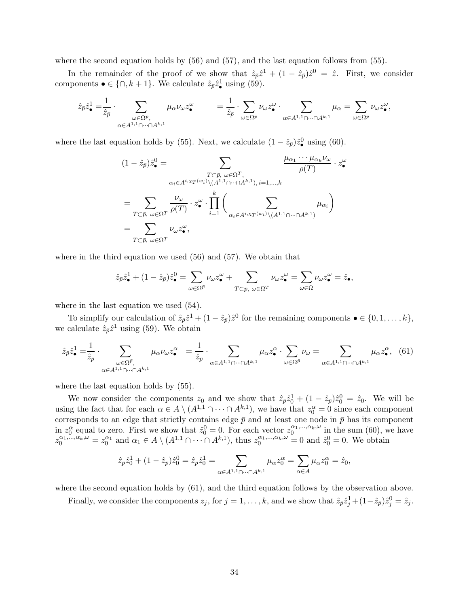where the second equation holds by (56) and (57), and the last equation follows from (55).

In the remainder of the proof of we show that  $\hat{z}_{\bar{p}}\hat{z}^1 + (1 - \hat{z}_{\bar{p}})\hat{z}^0 = \hat{z}$ . First, we consider components  $\bullet \in \{\cap, k+1\}$ . We calculate  $\hat{z}_{\bar{p}}\hat{z}_{\bullet}^1$  using (59).

$$
\hat{z}_{\bar{p}}\hat{z}_{\bullet}^1=\frac{1}{\hat{z}_{\bar{p}}}\cdot \sum_{\substack{\omega\in \Omega^{\bar{p}},\\ \alpha\in A^{1,1}\cap\cdots\cap A^{k,1}}}\mu_{\alpha}\nu_{\omega}z_{\bullet}^{\omega}\qquad \ \ =\frac{1}{\hat{z}_{\bar{p}}}\cdot \sum_{\omega\in \Omega^{\bar{p}}}\nu_{\omega}z_{\bullet}^{\omega}\cdot \sum_{\alpha\in A^{1,1}\cap\cdots\cap A^{k,1}}\mu_{\alpha}=\sum_{\omega\in \Omega^{\bar{p}}}\nu_{\omega}z_{\bullet}^{\omega},
$$

where the last equation holds by (55). Next, we calculate  $(1 - \hat{z}_{\bar{p}})\hat{z}_{\bullet}^{0}$  using (60).

$$
(1 - \hat{z}_{\bar{p}})\hat{z}_{\bullet}^{0} = \sum_{\substack{T \subset \bar{p}, \ \omega \in \Omega^{T}, \\ \alpha_{i} \in A^{i, \chi_{T}(w_{i})} \backslash (A^{1,1} \cap \dots \cap A^{k,1}), i=1,\dots,k}} \frac{\mu_{\alpha_{1}} \cdots \mu_{\alpha_{k}} \nu_{\omega}}{\rho(T)} \cdot z_{\bullet}^{\omega} \cdot \sum_{i=1}^{n} \left( \sum_{\alpha_{i} \in A^{i, \chi_{T}(w_{i})} \backslash (A^{1,1} \cap \dots \cap A^{k,1})} \mu_{\alpha_{i}} \right)
$$
  

$$
= \sum_{T \subset \bar{p}, \ \omega \in \Omega^{T}} \nu_{\omega} z_{\bullet}^{\omega},
$$

where in the third equation we used (56) and (57). We obtain that

$$
\hat{z}_{\bar{p}}\hat{z}_{\bullet}^1 + (1 - \hat{z}_{\bar{p}})\hat{z}_{\bullet}^0 = \sum_{\omega \in \Omega^{\bar{p}}} \nu_{\omega} z_{\bullet}^{\omega} + \sum_{T \subset \bar{p}, \ \omega \in \Omega^T} \nu_{\omega} z_{\bullet}^{\omega} = \sum_{\omega \in \Omega} \nu_{\omega} z_{\bullet}^{\omega} = \hat{z}_{\bullet},
$$

where in the last equation we used (54).

To simplify our calculation of  $\hat{z}_{\bar{p}}\hat{z}^1 + (1 - \hat{z}_{\bar{p}})\hat{z}^0$  for the remaining components  $\bullet \in \{0, 1, \ldots, k\},\$ we calculate  $\hat{z}_{\bar{p}}\hat{z}^1$  using (59). We obtain

$$
\hat{z}_{\bar{p}}\hat{z}_{\bullet}^{1} = \frac{1}{\hat{z}_{\bar{p}}} \cdot \sum_{\omega \in \Omega^{\bar{p}}, \atop \alpha \in A^{1,1} \cap \dots \cap A^{k,1}} \mu_{\alpha} \nu_{\omega} z_{\bullet}^{\alpha} = \frac{1}{\hat{z}_{\bar{p}}} \cdot \sum_{\alpha \in A^{1,1} \cap \dots \cap A^{k,1}} \mu_{\alpha} z_{\bullet}^{\alpha} \cdot \sum_{\omega \in \Omega^{\bar{p}}} \nu_{\omega} = \sum_{\alpha \in A^{1,1} \cap \dots \cap A^{k,1}} \mu_{\alpha} z_{\bullet}^{\alpha}, \tag{61}
$$

where the last equation holds by (55).

We now consider the components  $z_0$  and we show that  $\hat{z}_{\bar{p}}\hat{z}_0^1 + (1 - \hat{z}_{\bar{p}})\hat{z}_0^0 = \hat{z}_0$ . We will be using the fact that for each  $\alpha \in A \setminus (A^{1,1} \cap \cdots \cap A^{k,1})$ , we have that  $z_0^{\alpha} = 0$  since each component corresponds to an edge that strictly contains edge  $\bar{p}$  and at least one node in  $\bar{p}$  has its component in  $z_0^{\alpha}$  equal to zero. First we show that  $\hat{z}_0^0 = 0$ . For each vector  $z_0^{\alpha_1,...,\alpha_k,\omega}$  in the sum (60), we have  $z_0^{\alpha_1,\dots,\alpha_k,\omega} = z_0^{\alpha_1}$  and  $\alpha_1 \in A \setminus (A^{1,1} \cap \cdots \cap A^{k,1}),$  thus  $z_0^{\alpha_1,\dots,\alpha_k,\omega} = 0$  and  $\hat{z}_0^0 = 0$ . We obtain

$$
\hat{z}_{\bar{p}}\hat{z}_0^1+(1-\hat{z}_{\bar{p}})\hat{z}_0^0=\hat{z}_{\bar{p}}\hat{z}_0^1=\sum_{\alpha\in A^{1,1}\cap\cdots\cap A^{k,1}}\mu_{\alpha}z_0^{\alpha}=\sum_{\alpha\in A}\mu_{\alpha}z_0^{\alpha}=\hat{z}_0,
$$

where the second equation holds by (61), and the third equation follows by the observation above.

Finally, we consider the components  $z_j$ , for  $j = 1, ..., k$ , and we show that  $\hat{z}_{\bar{p}} \hat{z}_j^1 + (1 - \hat{z}_{\bar{p}}) \hat{z}_j^0 = \hat{z}_j$ .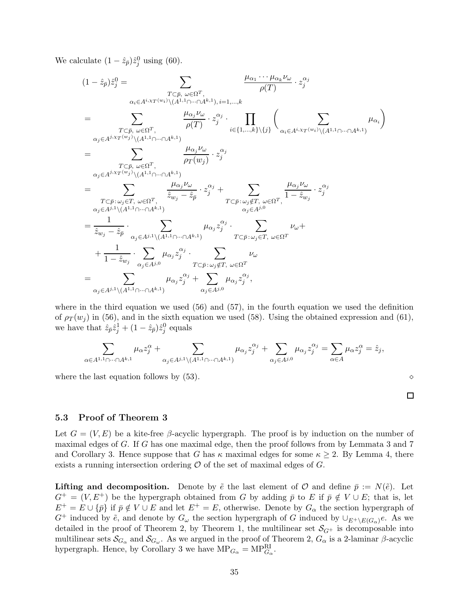We calculate  $(1 - \hat{z}_{\bar{p}})\hat{z}_j^0$  using (60).

$$
(1 - \hat{z}_{\bar{p}})\hat{z}_{j}^{0} = \sum_{\substack{\alpha_{i} \in A^{i,x}T^{(w_{i})}\backslash (A^{1,1}\cap \cdots \cap A^{k,1}), i=1,\ldots,k \\ \alpha_{i} \in A^{i,x}T^{(w_{i})}\backslash (A^{1,1}\cap \cdots \cap A^{k,1}), i=1,\ldots,k \\ \cdots, k}} \frac{\mu_{\alpha_{j}}\nu_{\omega}}{\rho(T)} \cdot z_{j}^{\alpha_{j}} \cdot \prod_{i \in \{1,\ldots,k\}\backslash \{j\}} \left( \sum_{\alpha_{i} \in A^{i,x}T^{(w_{i})}\backslash (A^{1,1}\cap \cdots \cap A^{k,1})} \mu_{\alpha_{i}} \right)
$$
\n
$$
= \sum_{\substack{\alpha_{j} \in A^{j,x}T^{(w_{j})}\backslash (A^{1,1}\cap \cdots \cap A^{k,1}) \\ T \subset \bar{p}, \ \omega \in \Omega^{T}, \\ \alpha_{j} \in A^{j,x}T^{(w_{j})}\backslash (A^{1,1}\cap \cdots \cap A^{k,1})}} \frac{\mu_{\alpha_{j}}\nu_{\omega}}{\rho_{T}(w_{j})} \cdot z_{j}^{\alpha_{j}} \cdot \sum_{\alpha_{j} \in A^{i,x}T^{(w_{j})}\backslash (A^{1,1}\cap \cdots \cap A^{k,1})} \mu_{\alpha_{i}}\right)
$$
\n
$$
= \sum_{\substack{T \subset \bar{p}, \ \omega_{j} \in T, \ \omega \in \Omega^{T}, \\ \alpha_{j} \in A^{j,1}\backslash (A^{1,1}\cap \cdots \cap A^{k,1})}} \frac{\mu_{\alpha_{j}}\nu_{\omega}}{\hat{z}_{w_{j}} - \hat{z}_{\bar{p}}} \cdot z_{j}^{\alpha_{j}} + \sum_{\substack{\alpha_{j} \in A^{j,0} \\ \alpha_{j} \in A^{j,0}}} \mu_{\alpha_{j}}z_{j}^{\alpha_{j}} \cdot \sum_{\alpha_{j} \in A^{j,0} \\ T \subset \bar{p}: \ \omega_{j} \in T, \ \omega \in \Omega^{T}}} \nu_{\omega} + \frac{1}{1 - \hat{z}_{w_{j}}} \cdot \sum_{\alpha_{j} \in A^{j,0}} \mu_{\alpha_{j}}z_{j}^{\alpha_{j}} \cdot \sum_{\alpha_{j}
$$

where in the third equation we used (56) and (57), in the fourth equation we used the definition of  $\rho_T(w_j)$  in (56), and in the sixth equation we used (58). Using the obtained expression and (61), we have that  $\hat{z}_{\bar{p}}\hat{z}_{j}^{1} + (1 - \hat{z}_{\bar{p}})\hat{z}_{j}^{0}$  equals

$$
\sum_{\alpha\in A^{1,1}\cap\cdots\cap A^{k,1}}\mu_{\alpha}z_{j}^{\alpha}+\sum_{\alpha_{j}\in A^{j,1}\backslash(A^{1,1}\cap\cdots\cap A^{k,1})}\mu_{\alpha_{j}}z_{j}^{\alpha_{j}}+\sum_{\alpha_{j}\in A^{j,0}}\mu_{\alpha_{j}}z_{j}^{\alpha_{j}}=\sum_{\alpha\in A}\mu_{\alpha}z_{j}^{\alpha}=\hat{z}_{j},
$$

where the last equation follows by (53). ⋄

 $\Box$ 

## 5.3 Proof of Theorem 3

Let  $G = (V, E)$  be a kite-free β-acyclic hypergraph. The proof is by induction on the number of maximal edges of G. If G has one maximal edge, then the proof follows from by Lemmata 3 and 7 and Corollary 3. Hence suppose that G has  $\kappa$  maximal edges for some  $\kappa \geq 2$ . By Lemma 4, there exists a running intersection ordering  $\mathcal O$  of the set of maximal edges of  $G$ .

**Lifting and decomposition.** Denote by  $\tilde{e}$  the last element of  $\mathcal{O}$  and define  $\bar{p} := N(\tilde{e})$ . Let  $G^+ = (V, E^+)$  be the hypergraph obtained from G by adding  $\bar{p}$  to E if  $\bar{p} \notin V \cup E$ ; that is, let  $E^+ = E \cup \{\bar{p}\}\$ if  $\bar{p} \notin V \cup E$  and let  $E^+ = E$ , otherwise. Denote by  $G_\alpha$  the section hypergraph of  $G^+$  induced by  $\tilde{e}$ , and denote by  $G_{\omega}$  the section hypergraph of G induced by  $\cup_{E^+\setminus E(G_{\alpha})}e$ . As we detailed in the proof of Theorem 2, by Theorem 1, the multilinear set  $\mathcal{S}_{G^+}$  is decomposable into multilinear sets  $\mathcal{S}_{G_\alpha}$  and  $\mathcal{S}_{G_\omega}$ . As we argued in the proof of Theorem 2,  $G_\alpha$  is a 2-laminar  $\beta$ -acyclic hypergraph. Hence, by Corollary 3 we have  $MP_{G_\alpha} = MP_{G_\alpha}^{\text{RI}}$ .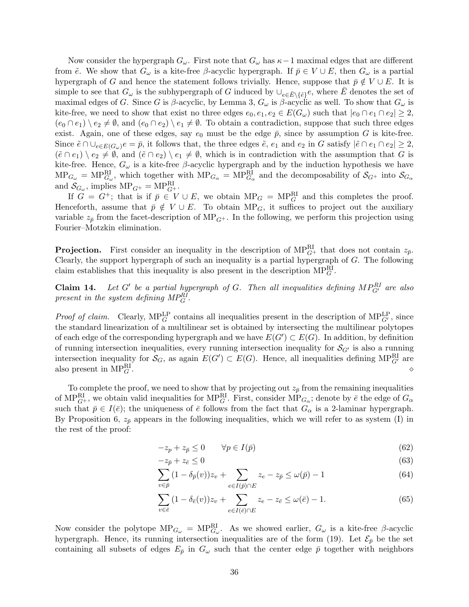Now consider the hypergraph  $G_{\omega}$ . First note that  $G_{\omega}$  has  $\kappa-1$  maximal edges that are different from  $\tilde{e}$ . We show that  $G_{\omega}$  is a kite-free  $\beta$ -acyclic hypergraph. If  $\bar{p} \in V \cup E$ , then  $G_{\omega}$  is a partial hypergraph of G and hence the statement follows trivially. Hence, suppose that  $\bar{p} \notin V \cup E$ . It is simple to see that  $G_{\omega}$  is the subhypergraph of G induced by  $\cup_{e \in \bar{E} \setminus \{\tilde{e}\}} e$ , where  $\bar{E}$  denotes the set of maximal edges of G. Since G is  $\beta$ -acyclic, by Lemma 3,  $G_{\omega}$  is  $\beta$ -acyclic as well. To show that  $G_{\omega}$  is kite-free, we need to show that exist no three edges  $e_0, e_1, e_2 \in E(G_\omega)$  such that  $|e_0 \cap e_1 \cap e_2| \geq 2$ ,  $(e_0 \cap e_1) \setminus e_2 \neq \emptyset$ , and  $(e_0 \cap e_2) \setminus e_1 \neq \emptyset$ . To obtain a contradiction, suppose that such three edges exist. Again, one of these edges, say  $e_0$  must be the edge  $\bar{p}$ , since by assumption G is kite-free. Since  $\tilde{e} \cap \bigcup_{e \in E(G_\omega)} e = \bar{p}$ , it follows that, the three edges  $\tilde{e}$ ,  $e_1$  and  $e_2$  in G satisfy  $|\tilde{e} \cap e_1 \cap e_2| \geq 2$ ,  $(\tilde{e} \cap e_1) \setminus e_2 \neq \emptyset$ , and  $(\tilde{e} \cap e_2) \setminus e_1 \neq \emptyset$ , which is in contradiction with the assumption that G is kite-free. Hence,  $G_{\omega}$  is a kite-free  $\beta$ -acyclic hypergraph and by the induction hypothesis we have  $MP_{G_{\omega}} = MP_{G_{\omega}}^{\text{RI}},$  which together with  $MP_{G_{\alpha}} = MP_{G_{\alpha}}^{\text{RI}}$  and the decomposability of  $S_{G^+}$  into  $S_{G_{\alpha}}$ and  $S_{G_\omega}$ , implies  $MP_{G^+} = MP_{G^+}^R$ .

If  $G = G^+$ ; that is if  $\bar{p} \in V \cup E$ , we obtain  $MP_G = MP_G^R$  and this completes the proof. Henceforth, assume that  $\bar{p} \notin V \cup E$ . To obtain MP<sub>G</sub>, it suffices to project out the auxiliary variable  $z_{\bar{p}}$  from the facet-description of MP<sub>G+</sub>. In the following, we perform this projection using Fourier–Motzkin elimination.

**Projection.** First consider an inequality in the description of  $MP_{G^+}^{RI}$  that does not contain  $z_{\bar{p}}$ . Clearly, the support hypergraph of such an inequality is a partial hypergraph of  $G$ . The following claim establishes that this inequality is also present in the description  $MP_G^R$ .

Claim 14. be a partial hypergraph of G. Then all inequalities defining  $MP_{G'}^{RI}$  are also present in the system defining  $MP_G^{RI}$ .

*Proof of claim.* Clearly,  $MP_G^{LP}$  contains all inequalities present in the description of  $MP_{G'}^{LP}$ , since the standard linearization of a multilinear set is obtained by intersecting the multilinear polytopes of each edge of the corresponding hypergraph and we have  $E(G') \subset E(G)$ . In addition, by definition of running intersection inequalities, every running intersection inequality for  $\mathcal{S}_{G'}$  is also a running intersection inequality for  $\mathcal{S}_G$ , as again  $E(G') \subset E(G)$ . Hence, all inequalities defining MP<sub>G</sub><sup>n</sup></sub> are also present in  $MP_G^{\text{RI}}$ .  $\mathbb{R}^1$  .  $\Diamond$ 

To complete the proof, we need to show that by projecting out  $z_{\bar{p}}$  from the remaining inequalities of MP $_{G^+}^{RI}$ , we obtain valid inequalities for MP $_{G}^{RI}$ . First, consider MP $_{G_{\alpha}}$ ; denote by  $\bar{e}$  the edge of  $G_{\alpha}$ such that  $\bar{p} \in I(\bar{e})$ ; the uniqueness of  $\bar{e}$  follows from the fact that  $G_{\alpha}$  is a 2-laminar hypergraph. By Proposition 6,  $z_{\bar{p}}$  appears in the following inequalities, which we will refer to as system (I) in the rest of the proof:

$$
-z_p + z_{\bar{p}} \le 0 \qquad \forall p \in I(\bar{p}) \tag{62}
$$

$$
-z_{\bar{p}} + z_{\bar{e}} \le 0 \tag{63}
$$

$$
\sum_{v \in \bar{p}} (1 - \delta_{\bar{p}}(v)) z_v + \sum_{e \in I(\bar{p}) \cap E} z_e - z_{\bar{p}} \le \omega(\bar{p}) - 1 \tag{64}
$$

$$
\sum_{v \in \bar{e}} (1 - \delta_{\bar{e}}(v)) z_v + \sum_{e \in I(\bar{e}) \cap E} z_e - z_{\bar{e}} \le \omega(\bar{e}) - 1.
$$
\n(65)

Now consider the polytope  $MP_{G_{\omega}} = MP_{G_{\omega}}^{\text{RI}}$ . As we showed earlier,  $G_{\omega}$  is a kite-free  $\beta$ -acyclic hypergraph. Hence, its running intersection inequalities are of the form (19). Let  $\mathcal{E}_{\bar{p}}$  be the set containing all subsets of edges  $E_{\bar{p}}$  in  $G_{\omega}$  such that the center edge  $\bar{p}$  together with neighbors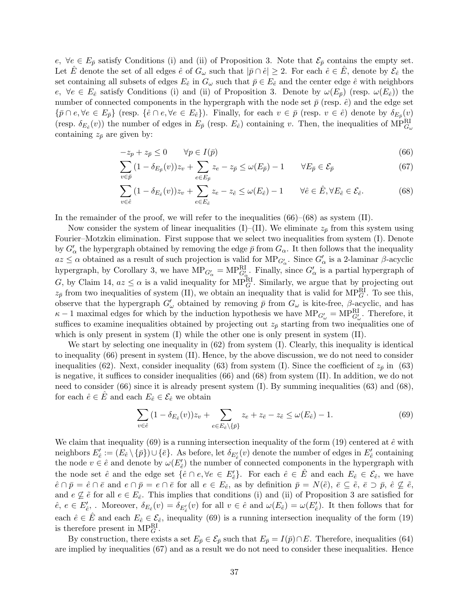e,  $\forall e \in E_{\bar{p}}$  satisfy Conditions (i) and (ii) of Proposition 3. Note that  $\mathcal{E}_{\bar{p}}$  contains the empty set. Let  $\hat{E}$  denote the set of all edges  $\hat{e}$  of  $G_{\omega}$  such that  $|\bar{p} \cap \hat{e}| \geq 2$ . For each  $\hat{e} \in \hat{E}$ , denote by  $\mathcal{E}_{\hat{e}}$  the set containing all subsets of edges  $E_{\hat{e}}$  in  $G_{\omega}$  such that  $\bar{p} \in E_{\hat{e}}$  and the center edge  $\hat{e}$  with neighbors e,  $\forall e \in E_{\hat{e}}$  satisfy Conditions (i) and (ii) of Proposition 3. Denote by  $\omega(E_{\bar{p}})$  (resp.  $\omega(E_{\hat{e}})$ ) the number of connected components in the hypergraph with the node set  $\bar{p}$  (resp.  $\hat{e}$ ) and the edge set  ${\overline{p} \cap e, \forall e \in E_{\overline{p}}\}$  (resp.  ${\overline{e} \cap e, \forall e \in E_{\hat{e}}}\$ ). Finally, for each  $v \in \overline{p}$  (resp.  $v \in \hat{e}$ ) denote by  $\delta_{E_{\overline{p}}}(v)$ (resp.  $\delta_{E_{\hat{e}}}(v)$ ) the number of edges in  $E_{\bar{p}}$  (resp.  $E_{\hat{e}}$ ) containing v. Then, the inequalities of MP $_{G_{\omega}}^{\text{RI}}$ containing  $z_{\bar{p}}$  are given by:

$$
-z_p + z_{\bar{p}} \le 0 \qquad \forall p \in I(\bar{p}) \tag{66}
$$

$$
\sum_{v \in \bar{p}} (1 - \delta_{E_{\bar{p}}}(v)) z_v + \sum_{e \in E_{\bar{p}}} z_e - z_{\bar{p}} \le \omega(E_{\bar{p}}) - 1 \qquad \forall E_{\bar{p}} \in \mathcal{E}_{\bar{p}} \tag{67}
$$

$$
\sum_{v \in \hat{e}} (1 - \delta_{E_{\hat{e}}}(v)) z_v + \sum_{e \in E_{\hat{e}}} z_e - z_{\hat{e}} \le \omega(E_{\hat{e}}) - 1 \qquad \forall \hat{e} \in \hat{E}, \forall E_{\hat{e}} \in \mathcal{E}_{\hat{e}}.
$$
 (68)

In the remainder of the proof, we will refer to the inequalities  $(66)$ – $(68)$  as system (II).

Now consider the system of linear inequalities (I)–(II). We eliminate  $z_{\bar{p}}$  from this system using Fourier–Motzkin elimination. First suppose that we select two inequalities from system (I). Denote by  $G'_{\alpha}$  the hypergraph obtained by removing the edge  $\bar{p}$  from  $G_{\alpha}$ . It then follows that the inequality  $az \leq \alpha$  obtained as a result of such projection is valid for  $MP_{G'_\alpha}$ . Since  $G'_\alpha$  is a 2-laminar  $\beta$ -acyclic hypergraph, by Corollary 3, we have  $MP_{G'_\alpha} = MP_{G'_\alpha}^{RI}$ . Finally, since  $G'_\alpha$  is a partial hypergraph of G, by Claim 14,  $az \leq \alpha$  is a valid inequality for MP<sub>G</sub>. Similarly, we argue that by projecting out  $z_{\bar{p}}$  from two inequalities of system (II), we obtain an inequality that is valid for MP<sub>G</sub>. To see this, observe that the hypergraph  $G'_{\omega}$  obtained by removing  $\bar{p}$  from  $G_{\omega}$  is kite-free,  $\beta$ -acyclic, and has  $\kappa - 1$  maximal edges for which by the induction hypothesis we have  $MP_{G'_\omega} = MP_{G'_\omega}^{RI}$ . Therefore, it suffices to examine inequalities obtained by projecting out  $z_{\bar{p}}$  starting from two inequalities one of which is only present in system (I) while the other one is only present in system (II).

We start by selecting one inequality in  $(62)$  from system  $(I)$ . Clearly, this inequality is identical to inequality (66) present in system (II). Hence, by the above discussion, we do not need to consider inequalities (62). Next, consider inequality (63) from system (I). Since the coefficient of  $z_{\bar{p}}$  in (63) is negative, it suffices to consider inequalities (66) and (68) from system (II). In addition, we do not need to consider (66) since it is already present system (I). By summing inequalities (63) and (68), for each  $\hat{e} \in \hat{E}$  and each  $E_{\hat{e}} \in \mathcal{E}_{\hat{e}}$  we obtain

$$
\sum_{v \in \hat{e}} (1 - \delta_{E_{\hat{e}}}(v)) z_v + \sum_{e \in E_{\hat{e}} \setminus \{\bar{p}\}} z_e + z_{\bar{e}} - z_{\hat{e}} \le \omega(E_{\hat{e}}) - 1.
$$
\n(69)

We claim that inequality (69) is a running intersection inequality of the form (19) centered at  $\hat{e}$  with neighbors  $E'_{\hat{e}} := (E_{\hat{e}} \setminus {\{\bar{p}\}}) \cup {\{\bar{e}\}}$ . As before, let  $\delta_{E'_{\hat{e}}}(v)$  denote the number of edges in  $E'_{\hat{e}}$  containing the node  $v \in \hat{e}$  and denote by  $\omega(E'_{\hat{e}})$  the number of connected components in the hypergraph with the node set  $\hat{e}$  and the edge set  $\{\hat{e} \cap e, \forall e \in E'_{\hat{e}}\}$ . For each  $\hat{e} \in \hat{E}$  and each  $E_{\hat{e}} \in \mathcal{E}_{\hat{e}}$ , we have  $\hat{e} \cap \bar{p} = \hat{e} \cap \bar{e}$  and  $e \cap \bar{p} = e \cap \bar{e}$  for all  $e \in E_{\hat{e}},$  as by definition  $\bar{p} = N(\tilde{e}), \bar{e} \subseteq \tilde{e}, \bar{e} \supset \bar{p}, \hat{e} \not\subseteq \tilde{e},$ and  $e \nsubseteq \tilde{e}$  for all  $e \in E_{\hat{e}}$ . This implies that conditions (i) and (ii) of Proposition 3 are satisfied for  $\hat{e}, e \in E'_{\hat{e}},$ . Moreover,  $\delta_{E_{\hat{e}}}(v) = \delta_{E'_{\hat{e}}}(v)$  for all  $v \in \hat{e}$  and  $\omega(E_{\hat{e}}) = \omega(E'_{\hat{e}})$ . It then follows that for each  $\hat{e} \in \hat{E}$  and each  $E_{\hat{e}} \in \mathcal{E}_{\hat{e}}$ , inequality (69) is a running intersection inequality of the form (19) is therefore present in  $MP_G^{\text{RI}}$ .

By construction, there exists a set  $E_{\bar{p}} \in \mathcal{E}_{\bar{p}}$  such that  $E_{\bar{p}} = I(\bar{p}) \cap E$ . Therefore, inequalities (64) are implied by inequalities (67) and as a result we do not need to consider these inequalities. Hence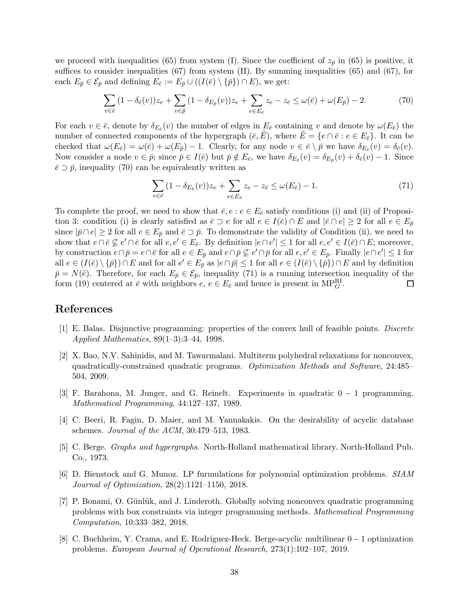we proceed with inequalities (65) from system (I). Since the coefficient of  $z_{\bar{p}}$  in (65) is positive, it suffices to consider inequalities (67) from system (II). By summing inequalities (65) and (67), for each  $E_{\bar{p}} \in \mathcal{E}_{\bar{p}}$  and defining  $E_{\bar{e}} := E_{\bar{p}} \cup ((I(\bar{e}) \setminus {\bar{p}}) \cap E)$ , we get:

$$
\sum_{v \in \bar{e}} (1 - \delta_{\bar{e}}(v)) z_v + \sum_{v \in \bar{p}} (1 - \delta_{E_{\bar{p}}}(v)) z_v + \sum_{e \in E_{\bar{e}}} z_e - z_{\bar{e}} \le \omega(\bar{e}) + \omega(E_{\bar{p}}) - 2.
$$
 (70)

For each  $v \in \bar{e}$ , denote by  $\delta_{E_{\bar{e}}}(v)$  the number of edges in  $E_{\bar{e}}$  containing v and denote by  $\omega(E_{\bar{e}})$  the number of connected components of the hypergraph  $(\bar{e}, \bar{E})$ , where  $\bar{E} = \{e \cap \bar{e} : e \in E_{\bar{e}}\}$ . It can be checked that  $\omega(E_{\bar{e}}) = \omega(\bar{e}) + \omega(E_{\bar{p}}) - 1$ . Clearly, for any node  $v \in \bar{e} \setminus \bar{p}$  we have  $\delta_{E_{\bar{e}}}(v) = \delta_{\bar{e}}(v)$ . Now consider a node  $v \in \bar{p}$ ; since  $\bar{p} \in I(\bar{e})$  but  $\bar{p} \notin E_{\bar{e}}$ , we have  $\delta_{E_{\bar{e}}}(v) = \delta_{E_{\bar{p}}}(v) + \delta_{\bar{e}}(v) - 1$ . Since  $\bar{e} \supset \bar{p}$ , inequality (70) can be equivalently written as

$$
\sum_{v \in \bar{e}} (1 - \delta_{E_{\bar{e}}}(v)) z_v + \sum_{e \in E_{\bar{e}}} z_e - z_{\bar{e}} \le \omega(E_{\bar{e}}) - 1.
$$
\n(71)

To complete the proof, we need to show that  $\bar{e}, e : e \in E_{\bar{e}}$  satisfy conditions (i) and (ii) of Proposition 3: condition (i) is clearly satisfied as  $\bar{e} \supset e$  for all  $e \in I(\bar{e}) \cap E$  and  $|\bar{e} \cap e| \geq 2$  for all  $e \in E_{\bar{p}}$ since  $|\bar{p} \cap e| \geq 2$  for all  $e \in E_{\bar{p}}$  and  $\bar{e} \supset \bar{p}$ . To demonstrate the validity of Condition (ii), we need to show that  $e \cap \overline{e} \nsubseteq e' \cap \overline{e}$  for all  $e, e' \in E_{\overline{e}}$ . By definition  $|e \cap e'| \leq 1$  for all  $e, e' \in I(\overline{e}) \cap E$ ; moreover, by construction  $e \cap \bar{p} = e \cap \bar{e}$  for all  $e \in E_{\bar{p}}$  and  $e \cap \bar{p} \not\subseteq e' \cap \bar{p}$  for all  $e, e' \in E_{\bar{p}}$ . Finally  $|e \cap e'| \leq 1$  for all  $e \in (I(\bar{e}) \setminus {\{\bar{p}\}}) \cap E$  and for all  $e' \in E_{\bar{p}}$  as  $|e \cap \bar{p}| \le 1$  for all  $e \in (I(\bar{e}) \setminus {\{\bar{p}\}}) \cap E$  and by definition  $\bar{p} = N(\tilde{e})$ . Therefore, for each  $E_{\bar{p}} \in \mathcal{E}_{\bar{p}}$ , inequality (71) is a running intersection inequality of the form (19) centered at  $\bar{e}$  with neighbors  $e, e \in E_{\bar{e}}$  and hence is present in MP<sub>C</sub>. form (19) centered at  $\bar{e}$  with neighbors  $e, e \in E_{\bar{e}}$  and hence is present in  $MP_G^{\text{RI}}$ .

## References

- [1] E. Balas. Disjunctive programming: properties of the convex hull of feasible points. Discrete Applied Mathematics, 89(1–3):3–44, 1998.
- [2] X. Bao, N.V. Sahinidis, and M. Tawarmalani. Multiterm polyhedral relaxations for nonconvex, quadratically-constrained quadratic programs. Optimization Methods and Software, 24:485– 504, 2009.
- [3] F. Barahona, M. Junger, and G. Reinelt. Experiments in quadratic 0 − 1 programming. Mathematical Programming, 44:127–137, 1989.
- [4] C. Beeri, R. Fagin, D. Maier, and M. Yannakakis. On the desirability of acyclic database schemes. Journal of the ACM, 30:479–513, 1983.
- [5] C. Berge. Graphs and hypergraphs. North-Holland mathematical library. North-Holland Pub. Co., 1973.
- [6] D. Bienstock and G. Munoz. LP furmulations for polynomial optimization problems. SIAM Journal of Optimization, 28(2):1121–1150, 2018.
- [7] P. Bonami, O. Günlük, and J. Linderoth. Globally solving nonconvex quadratic programming problems with box constraints via integer programming methods. Mathematical Programming Computation, 10:333–382, 2018.
- [8] C. Buchheim, Y. Crama, and E. Rodríguez-Heck. Berge-acyclic multilinear  $0 1$  optimization problems. European Journal of Operational Research, 273(1):102–107, 2019.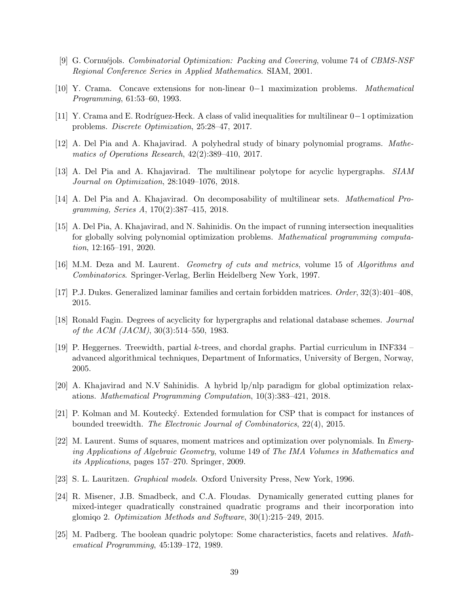- [9] G. Cornu´ejols. Combinatorial Optimization: Packing and Covering, volume 74 of CBMS-NSF Regional Conference Series in Applied Mathematics. SIAM, 2001.
- [10] Y. Crama. Concave extensions for non-linear 0−1 maximization problems. Mathematical Programming, 61:53–60, 1993.
- [11] Y. Crama and E. Rodríguez-Heck. A class of valid inequalities for multilinear  $0-1$  optimization problems. Discrete Optimization, 25:28–47, 2017.
- [12] A. Del Pia and A. Khajavirad. A polyhedral study of binary polynomial programs. Mathematics of Operations Research, 42(2):389–410, 2017.
- [13] A. Del Pia and A. Khajavirad. The multilinear polytope for acyclic hypergraphs. SIAM Journal on Optimization, 28:1049–1076, 2018.
- [14] A. Del Pia and A. Khajavirad. On decomposability of multilinear sets. Mathematical Programming, Series A, 170(2):387–415, 2018.
- [15] A. Del Pia, A. Khajavirad, and N. Sahinidis. On the impact of running intersection inequalities for globally solving polynomial optimization problems. Mathematical programming computation, 12:165–191, 2020.
- [16] M.M. Deza and M. Laurent. Geometry of cuts and metrics, volume 15 of Algorithms and Combinatorics. Springer-Verlag, Berlin Heidelberg New York, 1997.
- [17] P.J. Dukes. Generalized laminar families and certain forbidden matrices. Order, 32(3):401–408, 2015.
- [18] Ronald Fagin. Degrees of acyclicity for hypergraphs and relational database schemes. Journal of the ACM (JACM), 30(3):514–550, 1983.
- [19] P. Heggernes. Treewidth, partial k-trees, and chordal graphs. Partial curriculum in INF334 advanced algorithmical techniques, Department of Informatics, University of Bergen, Norway, 2005.
- [20] A. Khajavirad and N.V Sahinidis. A hybrid lp/nlp paradigm for global optimization relaxations. Mathematical Programming Computation, 10(3):383–421, 2018.
- [21] P. Kolman and M. Koutecký. Extended formulation for CSP that is compact for instances of bounded treewidth. The Electronic Journal of Combinatorics, 22(4), 2015.
- [22] M. Laurent. Sums of squares, moment matrices and optimization over polynomials. In Emerging Applications of Algebraic Geometry, volume 149 of The IMA Volumes in Mathematics and its Applications, pages 157–270. Springer, 2009.
- [23] S. L. Lauritzen. Graphical models. Oxford University Press, New York, 1996.
- [24] R. Misener, J.B. Smadbeck, and C.A. Floudas. Dynamically generated cutting planes for mixed-integer quadratically constrained quadratic programs and their incorporation into glomiqo 2. Optimization Methods and Software, 30(1):215–249, 2015.
- [25] M. Padberg. The boolean quadric polytope: Some characteristics, facets and relatives. Mathematical Programming, 45:139–172, 1989.